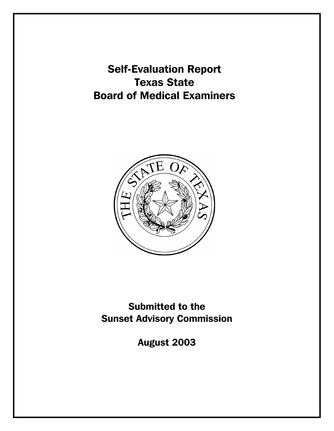Self-Evaluation Report Texas State Board of Medical Examiners



Submitted to the Sunset Advisory Commission

August 2003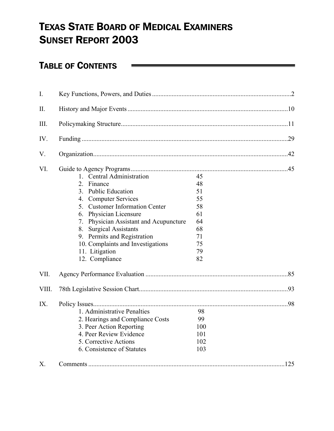# TEXAS STATE BOARD OF MEDICAL EXAMINERS SUNSET REPORT 2003

# TABLE OF CONTENTS

| I.           |                                                                                                                                                                               |                                      |
|--------------|-------------------------------------------------------------------------------------------------------------------------------------------------------------------------------|--------------------------------------|
| II.          |                                                                                                                                                                               |                                      |
| III.         |                                                                                                                                                                               |                                      |
| IV.          |                                                                                                                                                                               |                                      |
| V.           |                                                                                                                                                                               |                                      |
| VI.          | 1. Central Administration<br>2. Finance<br>3. Public Education<br>4. Computer Services<br>5. Customer Information Center<br>6. Physician Licensure                            | 45<br>48<br>51<br>55<br>58<br>61     |
| VII.         | 7. Physician Assistant and Acupuncture<br>8. Surgical Assistants<br>9. Permits and Registration<br>10. Complaints and Investigations<br>11. Litigation<br>12. Compliance      | 64<br>68<br>71<br>75<br>79<br>82     |
|              |                                                                                                                                                                               |                                      |
| VIII.<br>IX. | 1. Administrative Penalties<br>2. Hearings and Compliance Costs<br>3. Peer Action Reporting<br>4. Peer Review Evidence<br>5. Corrective Actions<br>6. Consistence of Statutes | 98<br>99<br>100<br>101<br>102<br>103 |
| X.           |                                                                                                                                                                               |                                      |

<u> The Communication of the Communication of the Communication of the Communication of the Communication of the Co</u>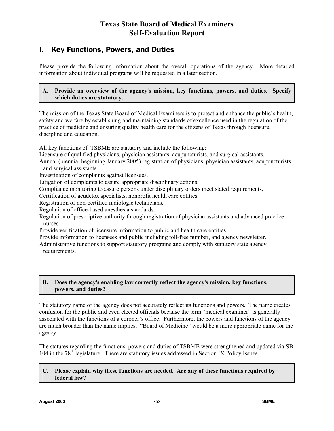## **Texas State Board of Medical Examiners Self-Evaluation Report**

## I. Key Functions, Powers, and Duties

Please provide the following information about the overall operations of the agency. More detailed information about individual programs will be requested in a later section.

### A. Provide an overview of the agency's mission, key functions, powers, and duties. Specify **which duties are statutory.**

The mission of the Texas State Board of Medical Examiners is to protect and enhance the public's health, safety and welfare by establishing and maintaining standards of excellence used in the regulation of the practice of medicine and ensuring quality health care for the citizens of Texas through licensure, discipline and education.

All key functions of TSBME are statutory and include the following:

Licensure of qualified physicians, physician assistants, acupuncturists, and surgical assistants.

Annual (biennial beginning January 2005) registration of physicians, physician assistants, acupuncturists and surgical assistants.

Investigation of complaints against licensees.

Litigation of complaints to assure appropriate disciplinary actions.

Compliance monitoring to assure persons under disciplinary orders meet stated requirements.

Certification of acudetox specialists, nonprofit health care entities.

Registration of non-certified radiologic technicians.

Regulation of office-based anesthesia standards.

Regulation of prescriptive authority through registration of physician assistants and advanced practice nurses.

Provide verification of licensure information to public and health care entities.

Provide information to licensees and public including toll-free number, and agency newsletter. Administrative functions to support statutory programs and comply with statutory state agency requirements.

## **B.** Does the agency's enabling law correctly reflect the agency's mission, key functions, **powers, and duties?**

The statutory name of the agency does not accurately reflect its functions and powers. The name creates confusion for the public and even elected officials because the term "medical examiner" is generally associated with the functions of a coroner's office. Furthermore, the powers and functions of the agency are much broader than the name implies. "Board of Medicine" would be a more appropriate name for the agency.

The statutes regarding the functions, powers and duties of TSBME were strengthened and updated via SB 104 in the  $78<sup>th</sup>$  legislature. There are statutory issues addressed in Section IX Policy Issues.

## **C. Please explain why these functions are needed. Are any of these functions required by federal law?**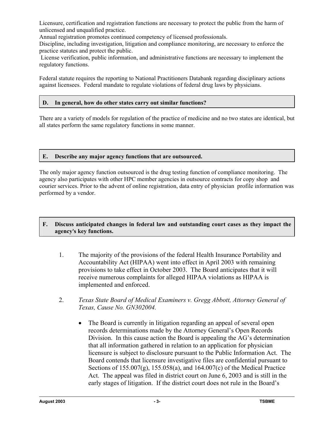Licensure, certification and registration functions are necessary to protect the public from the harm of unlicensed and unqualified practice.

Annual registration promotes continued competency of licensed professionals.

Discipline, including investigation, litigation and compliance monitoring, are necessary to enforce the practice statutes and protect the public.

 License verification, public information, and administrative functions are necessary to implement the regulatory functions.

Federal statute requires the reporting to National Practitioners Databank regarding disciplinary actions against licensees. Federal mandate to regulate violations of federal drug laws by physicians.

## **D. In general, how do other states carry out similar functions?**

There are a variety of models for regulation of the practice of medicine and no two states are identical, but all states perform the same regulatory functions in some manner.

## **E. Describe any major agency functions that are outsourced.**

The only major agency function outsourced is the drug testing function of compliance monitoring. The agency also participates with other HPC member agencies in outsource contracts for copy shop and courier services. Prior to the advent of online registration, data entry of physician profile information was performed by a vendor.

## **F. Discuss anticipated changes in federal law and outstanding court cases as they impact the agency**=**s key functions.**

- 1. The majority of the provisions of the federal Health Insurance Portability and Accountability Act (HIPAA) went into effect in April 2003 with remaining provisions to take effect in October 2003. The Board anticipates that it will receive numerous complaints for alleged HIPAA violations as HIPAA is implemented and enforced.
- 2. *Texas State Board of Medical Examiners v. Gregg Abbott, Attorney General of Texas, Cause No. GN302004.*
	- The Board is currently in litigation regarding an appeal of several open records determinations made by the Attorney General's Open Records Division. In this cause action the Board is appealing the AG's determination that all information gathered in relation to an application for physician licensure is subject to disclosure pursuant to the Public Information Act. The Board contends that licensure investigative files are confidential pursuant to Sections of 155.007(g), 155.058(a), and 164.007(c) of the Medical Practice Act. The appeal was filed in district court on June 6, 2003 and is still in the early stages of litigation. If the district court does not rule in the Board's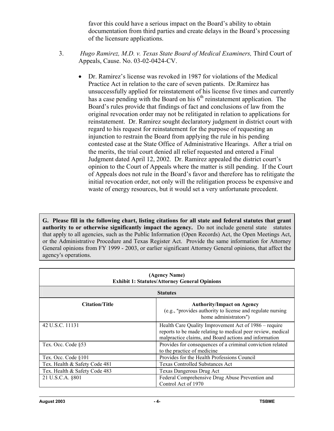favor this could have a serious impact on the Board's ability to obtain documentation from third parties and create delays in the Board's processing of the licensure applications.

- 3. *Hugo Ramirez, M.D. v. Texas State Board of Medical Examiners,* Third Court of Appeals, Cause. No. 03-02-0424-CV.
	- Dr. Ramirez's license was revoked in 1987 for violations of the Medical Practice Act in relation to the care of seven patients. Dr.Ramirez has unsuccessfully applied for reinstatement of his license five times and currently has a case pending with the Board on his  $6<sup>th</sup>$  reinstatement application. The Board's rules provide that findings of fact and conclusions of law from the original revocation order may not be relitigated in relation to applications for reinstatement. Dr. Ramirez sought declaratory judgment in district court with regard to his request for reinstatement for the purpose of requesting an injunction to restrain the Board from applying the rule in his pending contested case at the State Office of Administrative Hearings. After a trial on the merits, the trial court denied all relief requested and entered a Final Judgment dated April 12, 2002. Dr. Ramirez appealed the district court's opinion to the Court of Appeals where the matter is still pending. If the Court of Appeals does not rule in the Board's favor and therefore has to relitigate the initial revocation order, not only will the relitigation process be expensive and waste of energy resources, but it would set a very unfortunate precedent.

**G. Please fill in the following chart, listing citations for all state and federal statutes that grant authority to or otherwise significantly impact the agency.** Do not include general state statutes that apply to all agencies, such as the Public Information (Open Records) Act, the Open Meetings Act, or the Administrative Procedure and Texas Register Act. Provide the same information for Attorney General opinions from FY 1999 - 2003, or earlier significant Attorney General opinions, that affect the agency's operations.

| (Agency Name)<br><b>Exhibit 1: Statutes/Attorney General Opinions</b>                                                                                                                            |                                                                                                                          |  |  |
|--------------------------------------------------------------------------------------------------------------------------------------------------------------------------------------------------|--------------------------------------------------------------------------------------------------------------------------|--|--|
| <b>Statutes</b>                                                                                                                                                                                  |                                                                                                                          |  |  |
| <b>Citation/Title</b>                                                                                                                                                                            | <b>Authority/Impact on Agency</b><br>(e.g., "provides authority to license and regulate nursing<br>home administrators") |  |  |
| 42 U.S.C. 11131<br>Health Care Quality Improvement Act of 1986 – require<br>reports to be made relating to medical peer review, medical<br>malpractice claims, and Board actions and information |                                                                                                                          |  |  |
| Tex. Occ. Code §53                                                                                                                                                                               | Provides for consequences of a criminal conviction related<br>to the practice of medicine                                |  |  |
| Tex. Occ. Code §101                                                                                                                                                                              | Provides for the Health Professions Council                                                                              |  |  |
| Tex. Health & Safety Code 481                                                                                                                                                                    | <b>Texas Controlled Substances Act</b>                                                                                   |  |  |
| Tex. Health & Safety Code 483                                                                                                                                                                    | Texas Dangerous Drug Act                                                                                                 |  |  |
| Federal Comprehensive Drug Abuse Prevention and<br>21 U.S.C.A. §801<br>Control Act of 1970                                                                                                       |                                                                                                                          |  |  |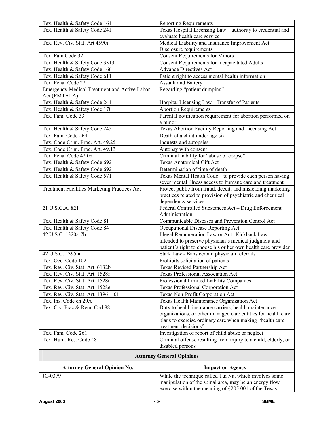| Tex. Health & Safety Code 161                                | <b>Reporting Requirements</b>                                                     |
|--------------------------------------------------------------|-----------------------------------------------------------------------------------|
| Tex. Health & Safety Code 241                                | Texas Hospital Licensing Law - authority to credential and                        |
|                                                              | evaluate health care service                                                      |
| Tex. Rev. Civ. Stat. Art 4590i                               | Medical Liability and Insurance Improvement Act-                                  |
|                                                              | Disclosure requirements                                                           |
| Tex. Fam Code 32                                             | <b>Consent Requirements for Minors</b>                                            |
| Tex. Health & Safety Code 3313                               | <b>Consent Requirements for Incapacitated Adults</b>                              |
| Tex. Health & Safety Code 166                                | <b>Advance Directives Act</b>                                                     |
| Tex. Health & Safety Code 611                                | Patient right to access mental health information                                 |
| Tex. Penal Code 22                                           | <b>Assault and Battery</b>                                                        |
| Emergency Medical Treatment and Active Labor<br>Act (EMTALA) | Regarding "patient dumping"                                                       |
| Tex. Health & Safety Code 241                                | Hospital Licensing Law - Transfer of Patients                                     |
| Tex. Health & Safety Code 170                                | <b>Abortion Requirements</b>                                                      |
| Tex. Fam. Code 33                                            | Parental notification requirement for abortion performed on<br>a minor            |
| Tex. Health & Safety Code 245                                | Texas Abortion Facility Reporting and Licensing Act                               |
| Tex. Fam. Code 264                                           | Death of a child under age six                                                    |
| Tex. Code Crim. Proc. Art. 49.25                             | Inquests and autopsies                                                            |
| Tex. Code Crim. Proc. Art. 49.13                             | Autopsy with consent                                                              |
| Tex. Penal Code 42.08                                        | Criminal liability for "abuse of corpse"                                          |
| Tex. Health & Safety Code 692                                | <b>Texas Anatomical Gift Act</b>                                                  |
| Tex. Health & Safety Code 692                                | Determination of time of death                                                    |
| Tex. Health & Safety Code 571                                | Texas Mental Health Code - to provide each person having                          |
|                                                              | sever mental illness access to humane care and treatment                          |
| Treatment Facilities Marketing Practices Act                 | Protect public from fraud, deceit, and misleading marketing                       |
|                                                              | practices related to provision of psychiatric and chemical                        |
|                                                              | dependency services.                                                              |
| 21 U.S.C.A. 821                                              | Federal Controlled Substances Act - Drug Enforcement                              |
|                                                              | Administration                                                                    |
| Tex. Health & Safety Code 81                                 | Communicable Diseases and Prevention Control Act                                  |
| Tex. Health & Safety Code 84                                 | Occupational Disease Reporting Act                                                |
| 42 U.S.C. 1320a-7b                                           | Illegal Remuneration Law or Anti-Kickback Law -                                   |
|                                                              | intended to preserve physician's medical judgment and                             |
|                                                              | patient's right to choose his or her own health care provider                     |
| 42 U.S.C. 1395nn                                             | Stark Law - Bans certain physician referrals                                      |
| Tex. Occ. Code 102                                           | Prohibits solicitation of patients                                                |
| Tex. Rev. Civ. Stat. Art. 6132b                              | Texas Revised Partnership Act                                                     |
| Tex. Rev. Civ. Stat. Art. 1528f                              | Texas Professional Association Act                                                |
| Tex. Rev. Civ. Stat. Art. 1528n                              | Professional Limited Liability Companies                                          |
| Tex. Rev. Civ. Stat. Art. 1528e                              | Texas Professional Corporation Act                                                |
| Tex. Rev. Civ. Stat. Art. 1396-1.01                          | Texas Non-Profit Corporation Act                                                  |
| Tex. Ins. Code ch 20A                                        | Texas Health Maintenance Organization Act                                         |
| Tex. Civ. Prac & Rem. Cod 88                                 | Duty to health insurance carriers, health maintenance                             |
|                                                              | organizations, or other managed care entities for health care                     |
|                                                              | plans to exercise ordinary care when making "health care<br>treatment decisions". |
| Tex. Fam. Code 261                                           | Investigation of report of child abuse or neglect                                 |
| Tex. Hum. Res. Code 48                                       | Criminal offense resulting from injury to a child, elderly, or                    |
|                                                              | disabled persons                                                                  |
|                                                              | <b>Attorney General Opinions</b>                                                  |
| <b>Attorney General Opinion No.</b>                          | <b>Impact on Agency</b>                                                           |
| JC-0379                                                      | While the technique called Tui Na, which involves some                            |

manipulation of the spinal area, may be an energy flow exercise within the meaning of §205.001 of the Texas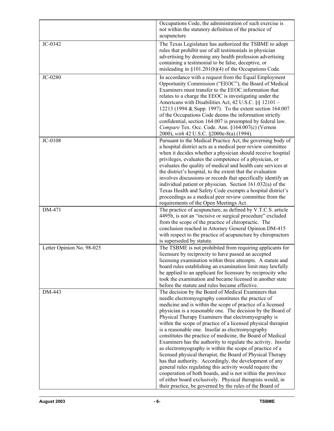|                           | Occupations Code, the administration of such exercise is                                                               |
|---------------------------|------------------------------------------------------------------------------------------------------------------------|
|                           | not within the statutory definition of the practice of<br>acupuncture                                                  |
| JC-0342                   | The Texas Legislature has authorized the TSBME to adopt                                                                |
|                           | rules that prohibit use of all testimonials in physician                                                               |
|                           | advertising by deeming any health profession advertising                                                               |
|                           | containing a testimonial to be false, deceptive, or                                                                    |
|                           | misleading in §101.201(b)(4) of the Occupations Code.                                                                  |
| JC-0280                   | In accordance with a request from the Equal Employment                                                                 |
|                           | Opportunity Commission ("EEOC"), the Board of Medical                                                                  |
|                           | Examiners must transfer to the EEOC information that                                                                   |
|                           | relates to a charge the EEOC is investigating under the                                                                |
|                           | Americans with Disabilities Act, 42 U.S.C. §§ 12101 -                                                                  |
|                           | 12213 (1994 & Supp. 1997). To the extent section 164.007                                                               |
|                           | of the Occupations Code deems the information strictly<br>confidential, section 164.007 is preempted by federal law.   |
|                           | Compare Tex. Occ. Code. Ann. §164.007(c) (Vernon                                                                       |
|                           | 2000), with 42 U.S.C. §2000e-8(a) (1994).                                                                              |
| JC-0108                   | Pursuant to the Medical Practice Act, the governing body of                                                            |
|                           | a hospital district acts as a medical peer review committee                                                            |
|                           | when it decides whether a physician should receive hospital                                                            |
|                           | privileges, evaluates the competence of a physician, or                                                                |
|                           | evaluates the quality of medical and health care services at                                                           |
|                           | the district's hospital, to the extent that the evaluation                                                             |
|                           | involves discussions or records that specifically identify an                                                          |
|                           | individual patient or physician. Section 161.032(a) of the                                                             |
|                           | Texas Health and Safety Code exempts a hospital district's<br>proceedings as a medical peer review committee from the  |
|                           | requirements of the Open Meetings Act.                                                                                 |
| DM-471                    | The practice of acupuncture, as defined by V.T.C.S. article                                                            |
|                           | 4495b, is not an "incisive or surgical procedure" excluded                                                             |
|                           | from the scope of the practice of chiropractic. The                                                                    |
|                           | conclusion reached in Attorney General Opinion DM-415                                                                  |
|                           | with respect to the practice of acupuncture by chiropractors                                                           |
|                           | is superseded by statute.                                                                                              |
| Letter Opinion No. 98-025 | The TSBME is not prohibited from requiring applicants for<br>licensure by reciprocity to have passed an accepted       |
|                           | licensing examination within three attempts. A statute and                                                             |
|                           | board rules establishing an examination limit may lawfully                                                             |
|                           | be applied to an applicant for licensure by reciprocity who                                                            |
|                           | took the examination and became licensed in another state                                                              |
|                           | before the statute and rules became effective.                                                                         |
| DM-443                    | The decision by the Board of Medical Examiners that                                                                    |
|                           | needle electromyography constitutes the practice of                                                                    |
|                           | medicine and is within the scope of practice of a licensed                                                             |
|                           | physician is a reasonable one. The decision by the Board of<br>Physical Therapy Examiners that electromyography is     |
|                           | within the scope of practice of a licensed physical therapist                                                          |
|                           | is a reasonable one. Insofar as electromyography                                                                       |
|                           | constitutes the practice of medicine, the Board of Medical                                                             |
|                           | Examiners has the authority to regulate the activity. Insofar                                                          |
|                           | as electromyography is within the scope of practice of a                                                               |
|                           |                                                                                                                        |
|                           | licensed physical therapist, the Board of Physical Therapy                                                             |
|                           | has that authority. Accordingly, the development of any                                                                |
|                           | general rules regulating this activity would require the                                                               |
|                           | cooperation of both boards, and is not within the province                                                             |
|                           | of either board exclusively. Physical therapists would, in<br>their practice, be governed by the rules of the Board of |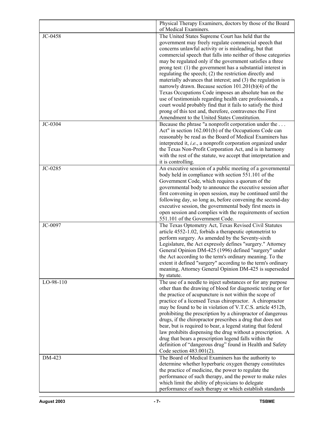|           | Physical Therapy Examiners, doctors by those of the Board<br>of Medical Examiners.                                         |
|-----------|----------------------------------------------------------------------------------------------------------------------------|
| JC-0458   | The United States Supreme Court has held that the                                                                          |
|           | government may freely regulate commercial speech that                                                                      |
|           | concerns unlawful activity or is misleading, but that                                                                      |
|           | commercial speech that falls into neither of those categories                                                              |
|           | may be regulated only if the government satisfies a three                                                                  |
|           | prong test: $(1)$ the government has a substantial interest in                                                             |
|           | regulating the speech; (2) the restriction directly and                                                                    |
|           | materially advances that interest; and (3) the regulation is                                                               |
|           | narrowly drawn. Because section 101.201(b)(4) of the                                                                       |
|           | Texas Occupations Code imposes an absolute ban on the                                                                      |
|           | use of testimonials regarding health care professionals, a<br>court would probably find that it fails to satisfy the third |
|           | prong of this test and, therefore, contravenes the First                                                                   |
|           | Amendment to the United States Constitution.                                                                               |
| JC-0304   | Because the phrase "a nonprofit corporation under the                                                                      |
|           | Act" in section 162.001(b) of the Occupations Code can                                                                     |
|           | reasonably be read as the Board of Medical Examiners has                                                                   |
|           | interpreted it, i.e., a nonprofit corporation organized under                                                              |
|           | the Texas Non-Profit Corporation Act, and is in harmony                                                                    |
|           | with the rest of the statute, we accept that interpretation and                                                            |
|           | it is controlling.                                                                                                         |
| JC-0285   | An executive session of a public meeting of a governmental                                                                 |
|           | body held in compliance with section 551.101 of the<br>Government Code, which requires a quorum of the                     |
|           | governmental body to announce the executive session after                                                                  |
|           | first convening in open session, may be continued until the                                                                |
|           | following day, so long as, before convening the second-day                                                                 |
|           | executive session, the governmental body first meets in                                                                    |
|           | open session and complies with the requirements of section                                                                 |
|           | 551.101 of the Government Code.                                                                                            |
| JC-0097   | The Texas Optometry Act, Texas Revised Civil Statutes                                                                      |
|           | article 4552-1.02, forbids a therapeutic optometrist to                                                                    |
|           | perform surgery. As amended by the Seventy-sixth                                                                           |
|           | Legislature, the Act expressly defines "surgery." Attorney<br>General Opinion DM-425 (1996) defined "surgery" under        |
|           | the Act according to the term's ordinary meaning. To the                                                                   |
|           | extent it defined "surgery" according to the term's ordinary                                                               |
|           | meaning, Attorney General Opinion DM-425 is superseded                                                                     |
|           | by statute.                                                                                                                |
| LO-98-110 | The use of a needle to inject substances or for any purpose                                                                |
|           | other than the drawing of blood for diagnostic testing or for                                                              |
|           | the practice of acupuncture is not within the scope of                                                                     |
|           | practice of a licensed Texas chiropractor. A chiropractor                                                                  |
|           | may be found to be in violation of V.T.C.S. article 4512b,                                                                 |
|           | prohibiting the prescription by a chiropractor of dangerous<br>drugs, if the chiropractor prescribes a drug that does not  |
|           | bear, but is required to bear, a legend stating that federal                                                               |
|           | law prohibits dispensing the drug without a prescription. A                                                                |
|           | drug that bears a prescription legend falls within the                                                                     |
|           | definition of "dangerous drug" found in Health and Safety                                                                  |
|           | Code section 483.001(2).                                                                                                   |
| DM-423    | The Board of Medical Examiners has the authority to                                                                        |
|           | determine whether hyperbaric oxygen therapy constitutes                                                                    |
|           | the practice of medicine, the power to regulate the                                                                        |
|           | performance of such therapy, and the power to make rules                                                                   |
|           | which limit the ability of physicians to delegate                                                                          |
|           | performance of such therapy or which establish standards                                                                   |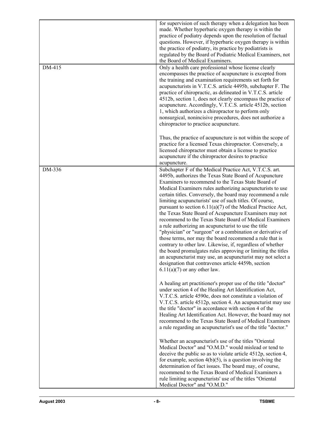| DM-415 | for supervision of such therapy when a delegation has been<br>made. Whether hyperbaric oxygen therapy is within the<br>practice of podiatry depends upon the resolution of factual<br>questions. However, if hyperbaric oxygen therapy is within<br>the practice of podiatry, its practice by podiatrists is<br>regulated by the Board of Podiatric Medical Examiners, not<br>the Board of Medical Examiners.<br>Only a health care professional whose license clearly                                                                                                                                                                                                                                                                                                                                                                                                                                                                                                                                                     |
|--------|----------------------------------------------------------------------------------------------------------------------------------------------------------------------------------------------------------------------------------------------------------------------------------------------------------------------------------------------------------------------------------------------------------------------------------------------------------------------------------------------------------------------------------------------------------------------------------------------------------------------------------------------------------------------------------------------------------------------------------------------------------------------------------------------------------------------------------------------------------------------------------------------------------------------------------------------------------------------------------------------------------------------------|
|        | encompasses the practice of acupuncture is excepted from<br>the training and examination requirements set forth for<br>acupuncturists in V.T.C.S. article 4495b, subchapter F. The<br>practice of chiropractic, as delineated in V.T.C.S. article<br>4512b, section 1, does not clearly encompass the practice of<br>acupuncture. Accordingly, V.T.C.S. article 4512b, section<br>1, which authorizes a chiropractor to perform only<br>nonsurgical, nonincisive procedures, does not authorize a<br>chiropractor to practice acupuncture.                                                                                                                                                                                                                                                                                                                                                                                                                                                                                 |
|        | Thus, the practice of acupuncture is not within the scope of<br>practice for a licensed Texas chiropractor. Conversely, a<br>licensed chiropractor must obtain a license to practice<br>acupuncture if the chiropractor desires to practice<br>acupuncture.                                                                                                                                                                                                                                                                                                                                                                                                                                                                                                                                                                                                                                                                                                                                                                |
| DM-336 | Subchapter F of the Medical Practice Act, V.T.C.S. art.<br>4495b, authorizes the Texas State Board of Acupuncture<br>Examiners to recommend to the Texas State Board of<br>Medical Examiners rules authorizing acupuncturists to use<br>certain titles. Conversely, the board may recommend a rule<br>limiting acupuncturists' use of such titles. Of course,<br>pursuant to section $6.11(a)(7)$ of the Medical Practice Act,<br>the Texas State Board of Acupuncture Examiners may not<br>recommend to the Texas State Board of Medical Examiners<br>a rule authorizing an acupuncturist to use the title<br>"physician" or "surgeon" or a combination or derivative of<br>those terms, nor may the board recommend a rule that is<br>contrary to other law. Likewise, if, regardless of whether<br>the board promulgates rules approving or limiting the titles<br>an acupuncturist may use, an acupuncturist may not select a<br>designation that contravenes article 4459b, section<br>$6.11(a)(7)$ or any other law. |
|        | A healing art practitioner's proper use of the title "doctor"<br>under section 4 of the Healing Art Identification Act,<br>V.T.C.S. article 4590e, does not constitute a violation of<br>V.T.C.S. article 4512p, section 4. An acupuncturist may use<br>the title "doctor" in accordance with section 4 of the<br>Healing Art Identification Act. However, the board may not<br>recommend to the Texas State Board of Medical Examiners<br>a rule regarding an acupuncturist's use of the title "doctor."                                                                                                                                                                                                                                                                                                                                                                                                                                                                                                                  |
|        | Whether an acupuncturist's use of the titles "Oriental<br>Medical Doctor" and "O.M.D." would mislead or tend to<br>deceive the public so as to violate article 4512p, section 4,<br>for example, section $4(b)(5)$ , is a question involving the<br>determination of fact issues. The board may, of course,<br>recommend to the Texas Board of Medical Examiners a<br>rule limiting acupuncturists' use of the titles "Oriental<br>Medical Doctor" and "O.M.D."                                                                                                                                                                                                                                                                                                                                                                                                                                                                                                                                                            |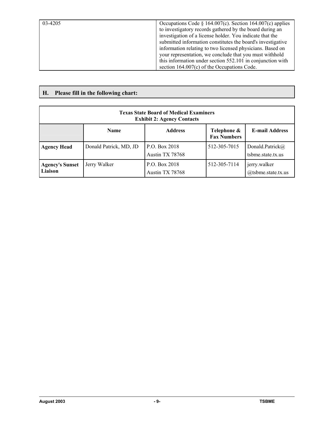| 03-4205 | Occupations Code § 164.007(c). Section 164.007(c) applies<br>to investigatory records gathered by the board during an<br>investigation of a license holder. You indicate that the<br>submitted information constitutes the board's investigative<br>information relating to two licensed physicians. Based on |
|---------|---------------------------------------------------------------------------------------------------------------------------------------------------------------------------------------------------------------------------------------------------------------------------------------------------------------|
|         | your representation, we conclude that you must withhold<br>this information under section 552.101 in conjunction with<br>section $164.007(c)$ of the Occupations Code.                                                                                                                                        |

**H. Please fill in the following chart:**

| <b>Texas State Board of Medical Examiners</b><br><b>Exhibit 2: Agency Contacts</b>          |                        |                                  |              |                                       |  |  |
|---------------------------------------------------------------------------------------------|------------------------|----------------------------------|--------------|---------------------------------------|--|--|
| <b>E-mail Address</b><br><b>Address</b><br>Telephone &<br><b>Name</b><br><b>Fax Numbers</b> |                        |                                  |              |                                       |  |  |
| <b>Agency Head</b>                                                                          | Donald Patrick, MD, JD | P.O. Box 2018<br>Austin TX 78768 | 512-305-7015 | Donald.Patrick@<br>tsbme.state.tx.us  |  |  |
| <b>Agency's Sunset</b><br>Liaison                                                           | Jerry Walker           | P.O. Box 2018<br>Austin TX 78768 | 512-305-7114 | jerry.walker<br>$@$ tsbme.state.tx.us |  |  |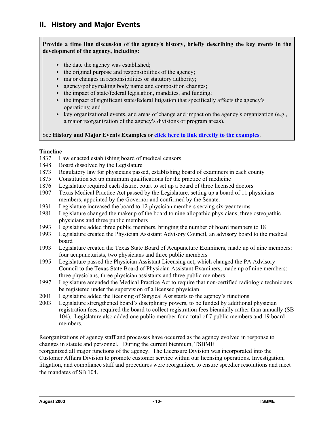## **Provide a time line discussion of the agency**=**s history, briefly describing the key events in the development of the agency, including:**

- $\bullet$  the date the agency was established;
- the original purpose and responsibilities of the agency;
- $\bullet$  major changes in responsibilities or statutory authority;
- agency/policymaking body name and composition changes;
- $\bullet$  the impact of state/federal legislation, mandates, and funding;
- $\bullet$  the impact of significant state/federal litigation that specifically affects the agency's operations; and
- key organizational events, and areas of change and impact on the agency's organization (e.g., a major reorganization of the agency's divisions or program areas).

## See **History and Major Events Examples** or **click here to link directly to the examples**.

## **Timeline**

- 1837 Law enacted establishing board of medical censors
- 1848 Board dissolved by the Legislature
- 1873 Regulatory law for physicians passed, establishing board of examiners in each county
- 1875 Constitution set up minimum qualifications for the practice of medicine
- 1876 Legislature required each district court to set up a board of three licensed doctors
- 1907 Texas Medical Practice Act passed by the Legislature, setting up a board of 11 physicians members, appointed by the Governor and confirmed by the Senate.
- 1931 Legislature increased the board to 12 physician members serving six-year terms
- 1981 Legislature changed the makeup of the board to nine allopathic physicians, three osteopathic physicians and three public members
- 1993 Legislature added three public members, bringing the number of board members to 18
- 1993 Legislature created the Physician Assistant Advisory Council, an advisory board to the medical board
- 1993 Legislature created the Texas State Board of Acupuncture Examiners, made up of nine members: four acupuncturists, two physicians and three public members
- 1995 Legislature passed the Physician Assistant Licensing act, which changed the PA Advisory Council to the Texas State Board of Physician Assistant Examiners, made up of nine members: three physicians, three physician assistants and three public members
- 1997 Legislature amended the Medical Practice Act to require that non-certified radiologic technicians be registered under the supervision of a licensed physician
- 2001 Legislature added the licensing of Surgical Assistants to the agency's functions
- 2003 Legislature strengthened board's disciplinary powers, to be funded by additional physician registration fees; required the board to collect registration fees biennially rather than annually (SB 104). Legislature also added one public member for a total of 7 public members and 19 board members.

Reorganizations of agency staff and processes have occurred as the agency evolved in response to changes in statute and personnel. During the current biennium, TSBME

reorganized all major functions of the agency. The Licensure Division was incorporated into the Customer Affairs Division to promote customer service within our licensing operations. Investigation, litigation, and compliance staff and procedures were reorganized to ensure speedier resolutions and meet the mandates of SB 104.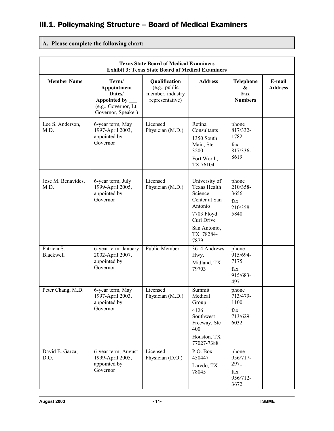# III.1. Policymaking Structure – Board of Medical Examiners

## **A. Please complete the following chart:**

| <b>Texas State Board of Medical Examiners</b><br><b>Exhibit 3: Texas State Board of Medical Examiners</b> |                                                                                                  |                                                                       |                                                                                                                                              |                                                      |                          |
|-----------------------------------------------------------------------------------------------------------|--------------------------------------------------------------------------------------------------|-----------------------------------------------------------------------|----------------------------------------------------------------------------------------------------------------------------------------------|------------------------------------------------------|--------------------------|
| <b>Member Name</b>                                                                                        | Term/<br>Appointment<br>Dates/<br>Appointed by ___<br>(e.g., Governor, Lt.<br>Governor, Speaker) | Qualification<br>(e.g., public<br>member, industry<br>representative) | <b>Address</b>                                                                                                                               | <b>Telephone</b><br>&<br>Fax<br><b>Numbers</b>       | E-mail<br><b>Address</b> |
| Lee S. Anderson,<br>M.D.                                                                                  | 6-year term, May<br>1997-April 2003,<br>appointed by<br>Governor                                 | Licensed<br>Physician (M.D.)                                          | Retina<br>Consultants<br>1350 South<br>Main, Ste<br>3200<br>Fort Worth,<br>TX 76104                                                          | phone<br>817/332-<br>1782<br>fax<br>817/336-<br>8619 |                          |
| Jose M. Benavides,<br>M.D.                                                                                | 6-year term, July<br>1999-April 2005,<br>appointed by<br>Governor                                | Licensed<br>Physician (M.D.)                                          | University of<br><b>Texas Health</b><br>Science<br>Center at San<br>Antonio<br>7703 Floyd<br>Curl Drive<br>San Antonio,<br>TX 78284-<br>7879 | phone<br>210/358-<br>3656<br>fax<br>210/358-<br>5840 |                          |
| Patricia S.<br>Blackwell                                                                                  | 6-year term, January<br>2002-April 2007,<br>appointed by<br>Governor                             | <b>Public Member</b>                                                  | 3614 Andrews<br>Hwy.<br>Midland, TX<br>79703                                                                                                 | phone<br>915/694-<br>7175<br>fax<br>915/683-<br>4971 |                          |
| Peter Chang, M.D.                                                                                         | 6-year term, May<br>1997-April 2003,<br>appointed by<br>Governor                                 | Licensed<br>Physician (M.D.)                                          | Summit<br>Medical<br>Group<br>4126<br>Southwest<br>Freeway, Ste<br>400<br>Houston, TX<br>77027-7388                                          | phone<br>713/479-<br>1100<br>fax<br>713/629-<br>6032 |                          |
| David E. Garza,<br>D.O.                                                                                   | 6-year term, August<br>1999-April 2005,<br>appointed by<br>Governor                              | Licensed<br>Physician (D.O.)                                          | P.O. Box<br>450447<br>Laredo, TX<br>78045                                                                                                    | phone<br>956/717-<br>2971<br>fax<br>956/712-<br>3672 |                          |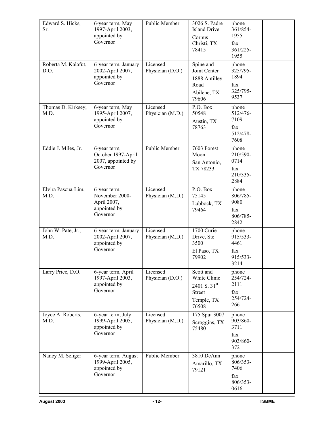| Edward S. Hicks,<br>Sr.     | 6-year term, May<br>1997-April 2003,<br>appointed by<br>Governor          | Public Member                | 3026 S. Padre<br><b>Island Drive</b><br>Corpus<br>Christi, TX<br>78415            | phone<br>361/854-<br>1955<br>fax<br>$361/225 -$<br>1955 |  |
|-----------------------------|---------------------------------------------------------------------------|------------------------------|-----------------------------------------------------------------------------------|---------------------------------------------------------|--|
| Roberta M. Kalafut,<br>D.O. | 6-year term, January<br>2002-April 2007,<br>appointed by<br>Governor      | Licensed<br>Physician (D.O.) | Spine and<br>Joint Center<br>1888 Antilley<br>Road<br>Abilene, TX<br>79606        | phone<br>325/795-<br>1894<br>fax<br>325/795-<br>9537    |  |
| Thomas D. Kirksey,<br>M.D.  | 6-year term, May<br>1995-April 2007,<br>appointed by<br>Governor          | Licensed<br>Physician (M.D.) | P.O. Box<br>50548<br>Austin, TX<br>78763                                          | phone<br>512/476-<br>7109<br>fax<br>512/478-<br>7608    |  |
| Eddie J. Miles, Jr.         | 6-year term,<br>October 1997-April<br>2007, appointed by<br>Governor      | Public Member                | 7603 Forest<br>Moon<br>San Antonio,<br>TX 78233                                   | phone<br>210/590-<br>0714<br>fax<br>210/335-<br>2884    |  |
| Elvira Pascua-Lim,<br>M.D.  | 6-year term,<br>November 2000-<br>April 2007,<br>appointed by<br>Governor | Licensed<br>Physician (M.D.) | P.O. Box<br>75145<br>Lubbock, TX<br>79464                                         | phone<br>806/785-<br>9080<br>fax<br>806/785-<br>2842    |  |
| John W. Pate, Jr.,<br>M.D.  | 6-year term, January<br>2002-April 2007,<br>appointed by<br>Governor      | Licensed<br>Physician (M.D.) | 1700 Curie<br>Drive, Ste<br>3500<br>El Paso, TX<br>79902                          | phone<br>915/533-<br>4461<br>fax<br>915/533-<br>3214    |  |
| Larry Price, D.O.           | 6-year term, April<br>1997-April 2003,<br>appointed by<br>Governor        | Licensed<br>Physician (D.O.) | Scott and<br>White Clinic<br>2401 S. 31st<br><b>Street</b><br>Temple, TX<br>76508 | phone<br>254/724-<br>2111<br>fax<br>254/724-<br>2661    |  |
| Joyce A. Roberts,<br>M.D.   | 6-year term, July<br>1999-April 2005,<br>appointed by<br>Governor         | Licensed<br>Physician (M.D.) | 175 Spur 3007<br>Scroggins, TX<br>75480                                           | phone<br>903/860-<br>3711<br>fax<br>903/860-<br>3721    |  |
| Nancy M. Seliger            | 6-year term, August<br>1999-April 2005,<br>appointed by<br>Governor       | Public Member                | 3810 DeAnn<br>Amarillo, TX<br>79121                                               | phone<br>806/353-<br>7406<br>fax<br>806/353-<br>0616    |  |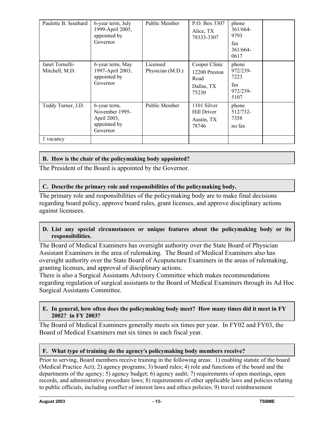| Paulette B. Southard              | 6-year term, July<br>1999-April 2005,<br>appointed by<br>Governor         | Public Member                | P.O. Box 3307<br>Alice, TX<br>78333-3307                      | phone<br>361/664<br>9793<br>fax<br>361/664-<br>0617  |  |
|-----------------------------------|---------------------------------------------------------------------------|------------------------------|---------------------------------------------------------------|------------------------------------------------------|--|
| Janet Tornelli-<br>Mitchell, M.D. | 6-year term, May<br>1997-April 2003,<br>appointed by<br>Governor          | Licensed<br>Physician (M.D.) | Cooper Clinic<br>12200 Preston<br>Road<br>Dallas, TX<br>75230 | phone<br>972/239-<br>7223<br>fax<br>972/239-<br>5107 |  |
| Teddy Turner, J.D.                | 6-year term,<br>November 1995-<br>April 2003,<br>appointed by<br>Governor | Public Member                | 1101 Silver<br>Hill Driver<br>Austin, TX<br>78746             | phone<br>512/732-<br>7358<br>no fax                  |  |
| l vacancy                         |                                                                           |                              |                                                               |                                                      |  |

## **B. How is the chair of the policymaking body appointed?**

The President of the Board is appointed by the Governor.

## **C. Describe the primary role and responsibilities of the policymaking body.**

The primary role and responsibilities of the policymaking body are to make final decisions regarding board policy, approve board rules, grant licenses, and approve disciplinary actions against licensees.

## **D. List any special circumstances or unique features about the policymaking body or its responsibilities.**

The Board of Medical Examiners has oversight authority over the State Board of Physician Assistant Examiners in the area of rulemaking. The Board of Medical Examiners also has oversight authority over the State Board of Acupuncture Examiners in the areas of rulemaking, granting licenses, and approval of disciplinary actions.

There is also a Surgical Assistants Advisory Committee which makes recommendations regarding regulation of surgical assistants to the Board of Medical Examiners through its Ad Hoc Surgical Assistants Committee.

### **E. In general, how often does the policymaking body meet? How many times did it meet in FY 2002? in FY 2003?**

The Board of Medical Examiners generally meets six times per year. In FY02 and FY03, the Board of Medical Examiners met six times in each fiscal year.

## F. What type of training do the agency's policymaking body members receive?

Prior to serving, Board members receive training in the following areas: 1) enabling statute of the board (Medical Practice Act); 2) agency programs; 3) board rules; 4) role and functions of the board and the departments of the agency; 5) agency budget; 6) agency audit; 7) requirements of open meetings, open records, and administrative procedure laws; 8) requirements of other applicable laws and policies relating to public officials, including conflict of interest laws and ethics policies; 9) travel reimbursement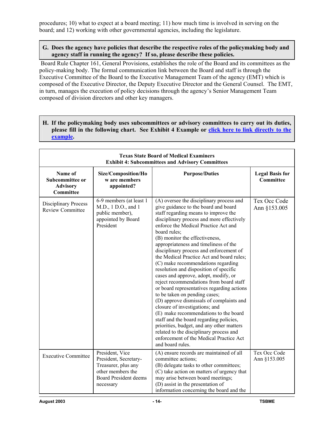procedures; 10) what to expect at a board meeting; 11) how much time is involved in serving on the board; and 12) working with other governmental agencies, including the legislature.

### **G. Does the agency have policies that describe the respective roles of the policymaking body and agency staff in running the agency? If so, please describe these policies.**

 Board Rule Chapter 161, General Provisions, establishes the role of the Board and its committees as the policy-making body. The formal communication link between the Board and staff is through the Executive Committee of the Board to the Executive Management Team of the agency (EMT) which is composed of the Executive Director, the Deputy Executive Director and the General Counsel. The EMT, in turn, manages the execution of policy decisions through the agency's Senior Management Team composed of division directors and other key managers.

**H. If the policymaking body uses subcommittees or advisory committees to carry out its duties, please fill in the following chart. See Exhibit 4 Example or click here to link directly to the example.**

| <b>Texas State Board of Medical Examiners</b><br><b>Exhibit 4: Subcommittees and Advisory Committees</b> |                                                                                                                                   |                                                                                                                                                                                                                                                                                                                                                                                                                                                                                                                                                                                                                                                                                                                                                                                                                                                                                                                                                                             |                                     |  |  |  |
|----------------------------------------------------------------------------------------------------------|-----------------------------------------------------------------------------------------------------------------------------------|-----------------------------------------------------------------------------------------------------------------------------------------------------------------------------------------------------------------------------------------------------------------------------------------------------------------------------------------------------------------------------------------------------------------------------------------------------------------------------------------------------------------------------------------------------------------------------------------------------------------------------------------------------------------------------------------------------------------------------------------------------------------------------------------------------------------------------------------------------------------------------------------------------------------------------------------------------------------------------|-------------------------------------|--|--|--|
| Name of<br>Subcommittee or<br><b>Advisory</b><br><b>Committee</b>                                        | Size/Composition/Ho<br>w are members<br>appointed?                                                                                | <b>Purpose/Duties</b>                                                                                                                                                                                                                                                                                                                                                                                                                                                                                                                                                                                                                                                                                                                                                                                                                                                                                                                                                       | <b>Legal Basis for</b><br>Committee |  |  |  |
| <b>Disciplinary Process</b><br><b>Review Committee</b>                                                   | 6-9 members (at least 1<br>M.D., 1 D.O., and 1<br>public member),<br>appointed by Board<br>President                              | (A) oversee the disciplinary process and<br>give guidance to the board and board<br>staff regarding means to improve the<br>disciplinary process and more effectively<br>enforce the Medical Practice Act and<br>board rules;<br>(B) monitor the effectiveness,<br>appropriateness and timeliness of the<br>disciplinary process and enforcement of<br>the Medical Practice Act and board rules;<br>(C) make recommendations regarding<br>resolution and disposition of specific<br>cases and approve, adopt, modify, or<br>reject recommendations from board staff<br>or board representatives regarding actions<br>to be taken on pending cases;<br>(D) approve dismissals of complaints and<br>closure of investigations; and<br>(E) make recommendations to the board<br>staff and the board regarding policies,<br>priorities, budget, and any other matters<br>related to the disciplinary process and<br>enforcement of the Medical Practice Act<br>and board rules. | Tex Occ Code<br>Ann §153.005        |  |  |  |
| <b>Executive Committee</b>                                                                               | President, Vice<br>President, Secretary-<br>Treasurer, plus any<br>other members the<br><b>Board President deems</b><br>necessary | (A) ensure records are maintained of all<br>committee actions;<br>(B) delegate tasks to other committees;<br>(C) take action on matters of urgency that<br>may arise between board meetings;<br>(D) assist in the presentation of<br>information concerning the board and the                                                                                                                                                                                                                                                                                                                                                                                                                                                                                                                                                                                                                                                                                               | Tex Occ Code<br>Ann §153.005        |  |  |  |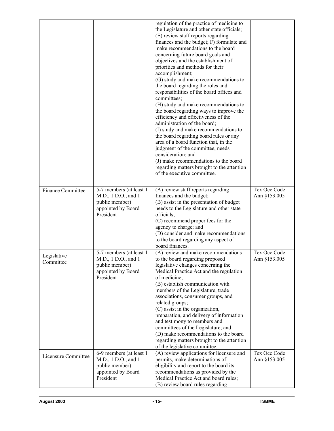|                          |                                                                                                     | regulation of the practice of medicine to<br>the Legislature and other state officials;<br>(E) review staff reports regarding<br>finances and the budget; F) formulate and<br>make recommendations to the board<br>concerning future board goals and<br>objectives and the establishment of<br>priorities and methods for their<br>accomplishment;<br>(G) study and make recommendations to<br>the board regarding the roles and<br>responsibilities of the board offices and<br>committees;<br>(H) study and make recommendations to<br>the board regarding ways to improve the<br>efficiency and effectiveness of the<br>administration of the board;<br>(I) study and make recommendations to<br>the board regarding board rules or any<br>area of a board function that, in the<br>judgment of the committee, needs<br>consideration; and<br>(J) make recommendations to the board<br>regarding matters brought to the attention<br>of the executive committee. |                              |
|--------------------------|-----------------------------------------------------------------------------------------------------|---------------------------------------------------------------------------------------------------------------------------------------------------------------------------------------------------------------------------------------------------------------------------------------------------------------------------------------------------------------------------------------------------------------------------------------------------------------------------------------------------------------------------------------------------------------------------------------------------------------------------------------------------------------------------------------------------------------------------------------------------------------------------------------------------------------------------------------------------------------------------------------------------------------------------------------------------------------------|------------------------------|
| <b>Finance Committee</b> | 5-7 members (at least 1<br>M.D., 1 D.O., and 1<br>public member)<br>appointed by Board<br>President | (A) review staff reports regarding<br>finances and the budget;<br>(B) assist in the presentation of budget<br>needs to the Legislature and other state<br>officials;<br>(C) recommend proper fees for the<br>agency to charge; and<br>(D) consider and make recommendations<br>to the board regarding any aspect of                                                                                                                                                                                                                                                                                                                                                                                                                                                                                                                                                                                                                                                 | Tex Occ Code<br>Ann §153.005 |
| Legislative<br>Committee | 5-7 members (at least 1<br>M.D., 1 D.O., and 1<br>public member)<br>appointed by Board<br>President | board finances.<br>(A) review and make recommendations<br>to the board regarding proposed<br>legislative changes concerning the<br>Medical Practice Act and the regulation<br>of medicine;<br>(B) establish communication with<br>members of the Legislature, trade<br>associations, consumer groups, and<br>related groups;<br>(C) assist in the organization,<br>preparation, and delivery of information<br>and testimony to members and<br>committees of the Legislature; and<br>(D) make recommendations to the board<br>regarding matters brought to the attention<br>of the legislative committee.                                                                                                                                                                                                                                                                                                                                                           | Tex Occ Code<br>Ann §153.005 |
| Licensure Committee      | 6-9 members (at least 1<br>M.D., 1 D.O., and 1<br>public member)<br>appointed by Board<br>President | (A) review applications for licensure and<br>permits, make determinations of<br>eligibility and report to the board its<br>recommendations as provided by the<br>Medical Practice Act and board rules;<br>(B) review board rules regarding                                                                                                                                                                                                                                                                                                                                                                                                                                                                                                                                                                                                                                                                                                                          | Tex Occ Code<br>Ann §153.005 |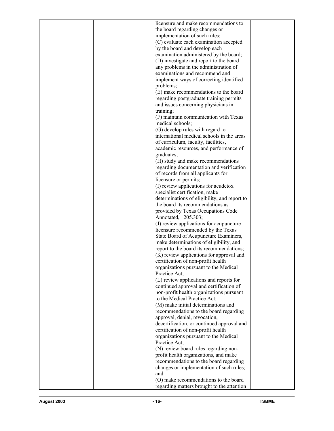| licensure and make recommendations to        |  |
|----------------------------------------------|--|
| the board regarding changes or               |  |
| implementation of such rules;                |  |
| (C) evaluate each examination accepted       |  |
| by the board and develop each                |  |
| examination administered by the board;       |  |
| (D) investigate and report to the board      |  |
| any problems in the administration of        |  |
| examinations and recommend and               |  |
| implement ways of correcting identified      |  |
| problems;                                    |  |
| (E) make recommendations to the board        |  |
| regarding postgraduate training permits      |  |
| and issues concerning physicians in          |  |
| training;                                    |  |
| (F) maintain communication with Texas        |  |
| medical schools;                             |  |
| (G) develop rules with regard to             |  |
| international medical schools in the areas   |  |
| of curriculum, faculty, facilities,          |  |
| academic resources, and performance of       |  |
| graduates;                                   |  |
| (H) study and make recommendations           |  |
| regarding documentation and verification     |  |
| of records from all applicants for           |  |
| licensure or permits;                        |  |
| (I) review applications for acudetox         |  |
| specialist certification, make               |  |
| determinations of eligibility, and report to |  |
| the board its recommendations as             |  |
| provided by Texas Occupations Code           |  |
| Annotated, 205.303;                          |  |
| (J) review applications for acupuncture      |  |
| licensure recommended by the Texas           |  |
| State Board of Acupuncture Examiners,        |  |
| make determinations of eligibility, and      |  |
| report to the board its recommendations;     |  |
| (K) review applications for approval and     |  |
| certification of non-profit health           |  |
| organizations pursuant to the Medical        |  |
| Practice Act;                                |  |
| (L) review applications and reports for      |  |
| continued approval and certification of      |  |
| non-profit health organizations pursuant     |  |
| to the Medical Practice Act;                 |  |
| (M) make initial determinations and          |  |
| recommendations to the board regarding       |  |
| approval, denial, revocation,                |  |
| decertification, or continued approval and   |  |
| certification of non-profit health           |  |
| organizations pursuant to the Medical        |  |
| Practice Act;                                |  |
| (N) review board rules regarding non-        |  |
| profit health organizations, and make        |  |
| recommendations to the board regarding       |  |
| changes or implementation of such rules;     |  |
| and                                          |  |
| (O) make recommendations to the board        |  |
| regarding matters brought to the attention   |  |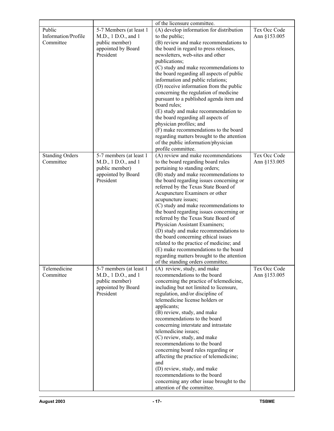|                                            |                                                                                                     | of the licensure committee.                                                                                                                                                                                                                                                                                                                                                                                                                                                                                                                                                                                                                                                                                                                |                              |
|--------------------------------------------|-----------------------------------------------------------------------------------------------------|--------------------------------------------------------------------------------------------------------------------------------------------------------------------------------------------------------------------------------------------------------------------------------------------------------------------------------------------------------------------------------------------------------------------------------------------------------------------------------------------------------------------------------------------------------------------------------------------------------------------------------------------------------------------------------------------------------------------------------------------|------------------------------|
| Public<br>Information/Profile<br>Committee | 5-7 Members (at least 1<br>M.D., 1 D.O., and 1<br>public member)<br>appointed by Board<br>President | (A) develop information for distribution<br>to the public;<br>(B) review and make recommendations to<br>the board in regard to press releases,<br>newsletters, web-sites and other<br>publications;<br>(C) study and make recommendations to<br>the board regarding all aspects of public<br>information and public relations;<br>(D) receive information from the public<br>concerning the regulation of medicine<br>pursuant to a published agenda item and<br>board rules;<br>(E) study and make recommendation to<br>the board regarding all aspects of<br>physician profiles; and<br>(F) make recommendations to the board<br>regarding matters brought to the attention<br>of the public information/physician<br>profile committee. | Tex Occ Code<br>Ann §153.005 |
| <b>Standing Orders</b><br>Committee        | 5-7 members (at least 1<br>M.D., 1 D.O., and 1<br>public member)<br>appointed by Board<br>President | (A) review and make recommendations<br>to the board regarding board rules<br>pertaining to standing orders;<br>(B) study and make recommendations to<br>the board regarding issues concerning or<br>referred by the Texas State Board of<br>Acupuncture Examiners or other<br>acupuncture issues;<br>(C) study and make recommendations to<br>the board regarding issues concerning or<br>referred by the Texas State Board of<br>Physician Assistant Examiners;<br>(D) study and make recommendations to<br>the board concerning ethical issues<br>related to the practice of medicine; and<br>(E) make recommendations to the board<br>regarding matters brought to the attention<br>of the standing orders committee.                   | Tex Occ Code<br>Ann §153.005 |
| Telemedicine<br>Committee                  | 5-7 members (at least 1<br>M.D., 1 D.O., and 1<br>public member)<br>appointed by Board<br>President | (A) review, study, and make<br>recommendations to the board<br>concerning the practice of telemedicine,<br>including but not limited to licensure,<br>regulation, and/or discipline of<br>telemedicine license holders or<br>applicants;<br>(B) review, study, and make<br>recommendations to the board<br>concerning interstate and intrastate<br>telemedicine issues;<br>(C) review, study, and make<br>recommendations to the board<br>concerning board rules regarding or<br>affecting the practice of telemedicine;<br>and<br>(D) review, study, and make<br>recommendations to the board<br>concerning any other issue brought to the<br>attention of the committee.                                                                 | Tex Occ Code<br>Ann §153.005 |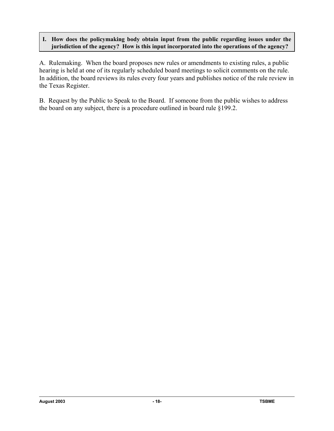## **I. How does the policymaking body obtain input from the public regarding issues under the jurisdiction of the agency? How is this input incorporated into the operations of the agency?**

A. Rulemaking. When the board proposes new rules or amendments to existing rules, a public hearing is held at one of its regularly scheduled board meetings to solicit comments on the rule. In addition, the board reviews its rules every four years and publishes notice of the rule review in the Texas Register.

B. Request by the Public to Speak to the Board. If someone from the public wishes to address the board on any subject, there is a procedure outlined in board rule §199.2.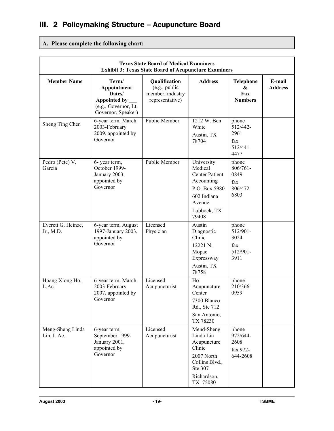# III. 2 Policymaking Structure – Acupuncture Board

## **A. Please complete the following chart:**

| <b>Texas State Board of Medical Examiners</b><br><b>Exhibit 3: Texas State Board of Acupuncture Examiners</b> |                                                                                                |                                                                       |                                                                                                                                |                                                                            |                          |
|---------------------------------------------------------------------------------------------------------------|------------------------------------------------------------------------------------------------|-----------------------------------------------------------------------|--------------------------------------------------------------------------------------------------------------------------------|----------------------------------------------------------------------------|--------------------------|
| <b>Member Name</b>                                                                                            | Term/<br>Appointment<br>Dates/<br>Appointed by _<br>(e.g., Governor, Lt.<br>Governor, Speaker) | Qualification<br>(e.g., public<br>member, industry<br>representative) | <b>Address</b>                                                                                                                 | Telephone<br>&<br>Fax<br><b>Numbers</b>                                    | E-mail<br><b>Address</b> |
| Sheng Ting Chen                                                                                               | 6-year term, March<br>2003-February<br>2009, appointed by<br>Governor                          | <b>Public Member</b>                                                  | 1212 W. Ben<br>White<br>Austin, TX<br>78704                                                                                    | phone<br>512/442-<br>2961<br>fax<br>$512/441 -$<br>4477                    |                          |
| Pedro (Pete) V.<br>Garcia                                                                                     | 6- year term,<br>October 1999-<br>January 2003,<br>appointed by<br>Governor                    | Public Member                                                         | University<br>Medical<br><b>Center Patient</b><br>Accounting<br>P.O. Box 5980<br>602 Indiana<br>Avenue<br>Lubbock, TX<br>79408 | phone<br>806/761-<br>0849<br>fax<br>806/472-<br>6803                       |                          |
| Everett G. Heinze,<br>Jr., M.D.                                                                               | 6-year term, August<br>1997-January 2003,<br>appointed by<br>Governor                          | Licensed<br>Physician                                                 | Austin<br>Diagnostic<br>Clinic<br>12221 N.<br>Mopac<br>Expressway<br>Austin, TX<br>78758                                       | phone<br>512/901-<br>3024<br>$\ensuremath{\text{fax}}$<br>512/901-<br>3911 |                          |
| Hoang Xiong Ho,<br>L.Ac.                                                                                      | 6-year term, March<br>2003-February<br>2007, appointed by<br>Governor                          | Licensed<br>Acupuncturist                                             | Ho<br>Acupuncture<br>Center<br>7300 Blanco<br>Rd., Ste 712<br>San Antonio,<br>TX 78230                                         | phone<br>210/366-<br>0959                                                  |                          |
| Meng-Sheng Linda<br>Lin, L.Ac.                                                                                | 6-year term,<br>September 1999-<br>January 2001,<br>appointed by<br>Governor                   | Licensed<br>Acupuncturist                                             | Mend-Sheng<br>Linda Lin<br>Acupuncture<br>Clinic<br>2007 North<br>Collins Blvd.,<br>Ste 307<br>Richardson,<br>TX 75080         | phone<br>972/644-<br>2608<br>fax 972-<br>644-2608                          |                          |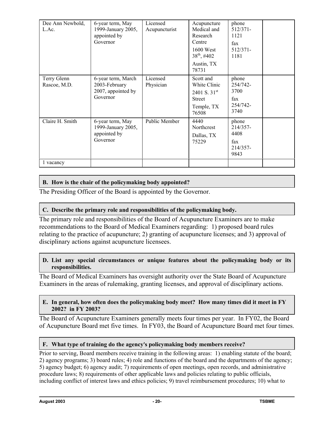| Dee Ann Newbold,<br>L.Ac.   | 6-year term, May<br>1999-January 2005,<br>appointed by<br>Governor    | Licensed<br>Acupuncturist | Acupuncture<br>Medical and<br>Research<br>Centre<br>1600 West<br>$38^{th}$ , #402<br>Austin, TX<br>78731 | phone<br>512/371-<br>1121<br>fax<br>$512/371-$<br>1181 |  |
|-----------------------------|-----------------------------------------------------------------------|---------------------------|----------------------------------------------------------------------------------------------------------|--------------------------------------------------------|--|
| Terry Glenn<br>Rascoe, M.D. | 6-year term, March<br>2003-February<br>2007, appointed by<br>Governor | Licensed<br>Physician     | Scott and<br>White Clinic<br>2401 S. $31^{st}$<br><b>Street</b><br>Temple, TX<br>76508                   | phone<br>254/742-<br>3700<br>fax<br>254/742-<br>3740   |  |
| Claire H. Smith             | 6-year term, May<br>1999-January 2005,<br>appointed by<br>Governor    | Public Member             | 4440<br><b>Northcrest</b><br>Dallas, TX<br>75229                                                         | phone<br>214/357-<br>4408<br>fax<br>214/357-<br>9843   |  |
| 1 vacancy                   |                                                                       |                           |                                                                                                          |                                                        |  |

## **B. How is the chair of the policymaking body appointed?**

The Presiding Officer of the Board is appointed by the Governor.

## **C. Describe the primary role and responsibilities of the policymaking body.**

The primary role and responsibilities of the Board of Acupuncture Examiners are to make recommendations to the Board of Medical Examiners regarding: 1) proposed board rules relating to the practice of acupuncture; 2) granting of acupuncture licenses; and 3) approval of disciplinary actions against acupuncture licensees.

## **D. List any special circumstances or unique features about the policymaking body or its responsibilities.**

The Board of Medical Examiners has oversight authority over the State Board of Acupuncture Examiners in the areas of rulemaking, granting licenses, and approval of disciplinary actions.

## **E. In general, how often does the policymaking body meet? How many times did it meet in FY 2002? in FY 2003?**

The Board of Acupuncture Examiners generally meets four times per year. In FY02, the Board of Acupuncture Board met five times. In FY03, the Board of Acupuncture Board met four times.

## F. What type of training do the agency's policymaking body members receive?

Prior to serving, Board members receive training in the following areas: 1) enabling statute of the board; 2) agency programs; 3) board rules; 4) role and functions of the board and the departments of the agency; 5) agency budget; 6) agency audit; 7) requirements of open meetings, open records, and administrative procedure laws; 8) requirements of other applicable laws and policies relating to public officials, including conflict of interest laws and ethics policies; 9) travel reimbursement procedures; 10) what to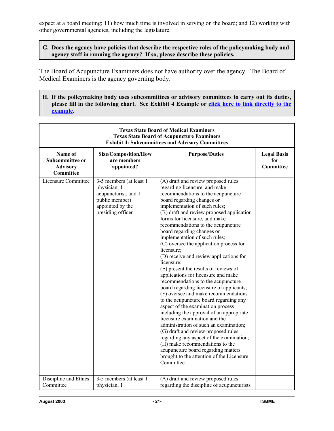expect at a board meeting; 11) how much time is involved in serving on the board; and 12) working with other governmental agencies, including the legislature.

### **G. Does the agency have policies that describe the respective roles of the policymaking body and agency staff in running the agency? If so, please describe these policies.**

The Board of Acupuncture Examiners does not have authority over the agency. The Board of Medical Examiners is the agency governing body.

**H. If the policymaking body uses subcommittees or advisory committees to carry out its duties, please fill in the following chart. See Exhibit 4 Example or click here to link directly to the example.**

| <b>Texas State Board of Medical Examiners</b><br><b>Texas State Board of Acupuncture Examiners</b><br><b>Exhibit 4: Subcommittees and Advisory Committees</b> |                                                                                                                            |                                                                                                                                                                                                                                                                                                                                                                                                                                                                                                                                                                                                                                                                                                                                                                                                                                                                                                                                                                                                                                                                                                                        |                                        |  |
|---------------------------------------------------------------------------------------------------------------------------------------------------------------|----------------------------------------------------------------------------------------------------------------------------|------------------------------------------------------------------------------------------------------------------------------------------------------------------------------------------------------------------------------------------------------------------------------------------------------------------------------------------------------------------------------------------------------------------------------------------------------------------------------------------------------------------------------------------------------------------------------------------------------------------------------------------------------------------------------------------------------------------------------------------------------------------------------------------------------------------------------------------------------------------------------------------------------------------------------------------------------------------------------------------------------------------------------------------------------------------------------------------------------------------------|----------------------------------------|--|
| Name of<br>Subcommittee or<br><b>Advisory</b><br><b>Committee</b>                                                                                             | Size/Composition/How<br>are members<br>appointed?                                                                          | <b>Purpose/Duties</b>                                                                                                                                                                                                                                                                                                                                                                                                                                                                                                                                                                                                                                                                                                                                                                                                                                                                                                                                                                                                                                                                                                  | <b>Legal Basis</b><br>for<br>Committee |  |
| Licensure Committee                                                                                                                                           | 3-5 members (at least 1<br>physician, 1<br>acupuncturist, and 1<br>public member)<br>appointed by the<br>presiding officer | (A) draft and review proposed rules<br>regarding licensure, and make<br>recommendations to the acupuncture<br>board regarding changes or<br>implementation of such rules;<br>(B) draft and review proposed application<br>forms for licensure, and make<br>recommendations to the acupuncture<br>board regarding changes or<br>implementation of such rules;<br>(C) oversee the application process for<br>licensure;<br>(D) receive and review applications for<br>licensure;<br>(E) present the results of reviews of<br>applications for licensure and make<br>recommendations to the acupuncture<br>board regarding licensure of applicants;<br>(F) oversee and make recommendations<br>to the acupuncture board regarding any<br>aspect of the examination process<br>including the approval of an appropriate<br>licensure examination and the<br>administration of such an examination;<br>(G) draft and review proposed rules<br>regarding any aspect of the examination;<br>(H) make recommendations to the<br>acupuncture board regarding matters<br>brought to the attention of the Licensure<br>Committee. |                                        |  |
| Discipline and Ethics<br>Committee                                                                                                                            | 3-5 members (at least 1<br>physician, 1                                                                                    | (A) draft and review proposed rules<br>regarding the discipline of acupuncturists                                                                                                                                                                                                                                                                                                                                                                                                                                                                                                                                                                                                                                                                                                                                                                                                                                                                                                                                                                                                                                      |                                        |  |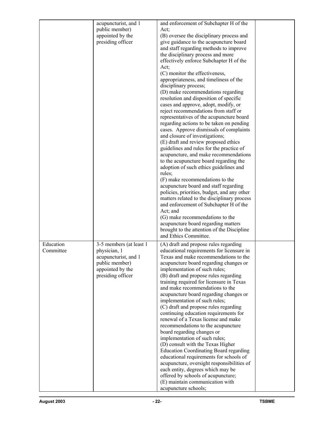|           | acupuncturist, and 1               | and enforcement of Subchapter H of the                                                     |  |
|-----------|------------------------------------|--------------------------------------------------------------------------------------------|--|
|           | public member)                     | Act:                                                                                       |  |
|           | appointed by the                   | (B) oversee the disciplinary process and                                                   |  |
|           | presiding officer                  | give guidance to the acupuncture board                                                     |  |
|           |                                    | and staff regarding methods to improve                                                     |  |
|           |                                    | the disciplinary process and more                                                          |  |
|           |                                    | effectively enforce Subchapter H of the<br>Act;                                            |  |
|           |                                    | (C) monitor the effectiveness,                                                             |  |
|           |                                    | appropriateness, and timeliness of the                                                     |  |
|           |                                    | disciplinary process;                                                                      |  |
|           |                                    | (D) make recommendations regarding                                                         |  |
|           |                                    | resolution and disposition of specific                                                     |  |
|           |                                    | cases and approve, adopt, modify, or                                                       |  |
|           |                                    | reject recommendations from staff or                                                       |  |
|           |                                    | representatives of the acupuncture board                                                   |  |
|           |                                    | regarding actions to be taken on pending                                                   |  |
|           |                                    | cases. Approve dismissals of complaints<br>and closure of investigations;                  |  |
|           |                                    | (E) draft and review proposed ethics                                                       |  |
|           |                                    | guidelines and rules for the practice of                                                   |  |
|           |                                    | acupuncture, and make recommendations                                                      |  |
|           |                                    | to the acupuncture board regarding the                                                     |  |
|           |                                    | adoption of such ethics guidelines and                                                     |  |
|           |                                    | rules;                                                                                     |  |
|           |                                    | (F) make recommendations to the                                                            |  |
|           |                                    | acupuncture board and staff regarding                                                      |  |
|           |                                    | policies, priorities, budget, and any other<br>matters related to the disciplinary process |  |
|           |                                    | and enforcement of Subchapter H of the                                                     |  |
|           |                                    | Act; and                                                                                   |  |
|           |                                    | (G) make recommendations to the                                                            |  |
|           |                                    | acupuncture board regarding matters                                                        |  |
|           |                                    | brought to the attention of the Discipline                                                 |  |
|           |                                    | and Ethics Committee.                                                                      |  |
| Education | 3-5 members (at least 1            | (A) draft and propose rules regarding                                                      |  |
| Committee | physician, 1                       | educational requirements for licensure in                                                  |  |
|           | acupuncturist, and 1               | Texas and make recommendations to the                                                      |  |
|           | public member)<br>appointed by the | acupuncture board regarding changes or<br>implementation of such rules;                    |  |
|           | presiding officer                  | (B) draft and propose rules regarding                                                      |  |
|           |                                    | training required for licensure in Texas                                                   |  |
|           |                                    | and make recommendations to the                                                            |  |
|           |                                    | acupuncture board regarding changes or                                                     |  |
|           |                                    | implementation of such rules;                                                              |  |
|           |                                    | (C) draft and propose rules regarding                                                      |  |
|           |                                    | continuing education requirements for                                                      |  |
|           |                                    | renewal of a Texas license and make<br>recommendations to the acupuncture                  |  |
|           |                                    | board regarding changes or                                                                 |  |
|           |                                    | implementation of such rules;                                                              |  |
|           |                                    | (D) consult with the Texas Higher                                                          |  |
|           |                                    | <b>Education Coordinating Board regarding</b>                                              |  |
|           |                                    | educational requirements for schools of                                                    |  |
|           |                                    | acupuncture, oversight responsibilities of                                                 |  |
|           |                                    | each entity, degrees which may be                                                          |  |
|           |                                    | offered by schools of acupuncture;<br>(E) maintain communication with                      |  |
|           |                                    | acupuncture schools;                                                                       |  |
|           |                                    |                                                                                            |  |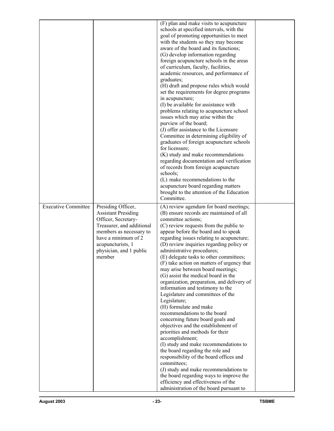|                            |                                                                                                                                                                                                                  | (F) plan and make visits to acupuncture<br>schools at specified intervals, with the<br>goal of promoting opportunities to meet<br>with the students so they may become<br>aware of the board and its functions;<br>(G) develop information regarding<br>foreign acupuncture schools in the areas<br>of curriculum, faculty, facilities,<br>academic resources, and performance of<br>graduates;<br>(H) draft and propose rules which would<br>set the requirements for degree programs<br>in acupuncture;<br>(I) be available for assistance with<br>problems relating to acupuncture school<br>issues which may arise within the<br>purview of the board;<br>(J) offer assistance to the Licensure<br>Committee in determining eligibility of<br>graduates of foreign acupuncture schools<br>for licensure;<br>(K) study and make recommendations<br>regarding documentation and verification<br>of records from foreign acupuncture<br>schools;<br>(L) make recommendations to the<br>acupuncture board regarding matters<br>brought to the attention of the Education<br>Committee.                                                  |  |
|----------------------------|------------------------------------------------------------------------------------------------------------------------------------------------------------------------------------------------------------------|-----------------------------------------------------------------------------------------------------------------------------------------------------------------------------------------------------------------------------------------------------------------------------------------------------------------------------------------------------------------------------------------------------------------------------------------------------------------------------------------------------------------------------------------------------------------------------------------------------------------------------------------------------------------------------------------------------------------------------------------------------------------------------------------------------------------------------------------------------------------------------------------------------------------------------------------------------------------------------------------------------------------------------------------------------------------------------------------------------------------------------------------|--|
| <b>Executive Committee</b> | Presiding Officer,<br><b>Assistant Presiding</b><br>Officer, Secretary-<br>Treasurer, and additional<br>members as necessary to<br>have a minimum of 2<br>acupuncturists, 1<br>physician, and 1 public<br>member | (A) review agendum for board meetings;<br>(B) ensure records are maintained of all<br>committee actions;<br>(C) review requests from the public to<br>appear before the board and to speak<br>regarding issues relating to acupuncture;<br>(D) review inquiries regarding policy or<br>administrative procedures;<br>(E) delegate tasks to other committees;<br>(F) take action on matters of urgency that<br>may arise between board meetings;<br>(G) assist the medical board in the<br>organization, preparation, and delivery of<br>information and testimony to the<br>Legislature and committees of the<br>Legislature;<br>(H) formulate and make<br>recommendations to the board<br>concerning future board goals and<br>objectives and the establishment of<br>priorities and methods for their<br>accomplishment;<br>(I) study and make recommendations to<br>the board regarding the role and<br>responsibility of the board offices and<br>committees;<br>(J) study and make recommendations to<br>the board regarding ways to improve the<br>efficiency and effectiveness of the<br>administration of the board pursuant to |  |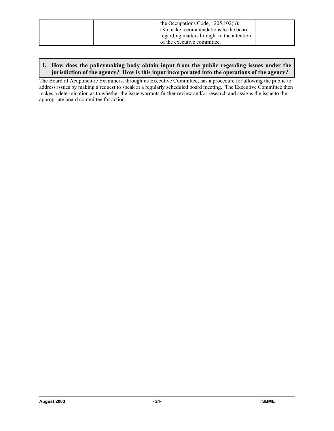| the Occupations Code, $205.102(b)$ ;<br>(K) make recommendations to the board |  |
|-------------------------------------------------------------------------------|--|
| regarding matters brought to the attention<br>of the executive committee.     |  |

### **I. How does the policymaking body obtain input from the public regarding issues under the jurisdiction of the agency? How is this input incorporated into the operations of the agency?**

The Board of Acupuncture Examiners, through its Executive Committee, has a procedure for allowing the public to address issues by making a request to speak at a regularly scheduled board meeting. The Executive Committee then makes a determination as to whether the issue warrants further review and/or research and assigns the issue to the appropriate board committee for action.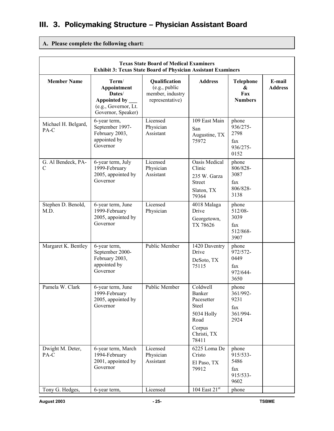# III. 3. Policymaking Structure – Physician Assistant Board

## **A. Please complete the following chart:**

| <b>Texas State Board of Medical Examiners</b><br><b>Exhibit 3: Texas State Board of Physician Assistant Examiners</b> |                                                                                                |                                                                       |                                                                                                                       |                                                      |                          |
|-----------------------------------------------------------------------------------------------------------------------|------------------------------------------------------------------------------------------------|-----------------------------------------------------------------------|-----------------------------------------------------------------------------------------------------------------------|------------------------------------------------------|--------------------------|
| <b>Member Name</b>                                                                                                    | Term/<br>Appointment<br>Dates/<br>Appointed by _<br>(e.g., Governor, Lt.<br>Governor, Speaker) | Qualification<br>(e.g., public<br>member, industry<br>representative) | <b>Address</b>                                                                                                        | <b>Telephone</b><br>&<br>Fax<br><b>Numbers</b>       | E-mail<br><b>Address</b> |
| Michael H. Belgard,<br>PA-C                                                                                           | 6-year term,<br>September 1997-<br>February 2003,<br>appointed by<br>Governor                  | Licensed<br>Physician<br>Assistant                                    | 109 East Main<br>San<br>Augustine, TX<br>75972                                                                        | phone<br>936/275-<br>2798<br>fax<br>936/275-<br>0152 |                          |
| G. Al Bendeck, PA-<br>C                                                                                               | 6-year term, July<br>1999-February<br>2005, appointed by<br>Governor                           | Licensed<br>Physician<br>Assistant                                    | Oasis Medical<br>Clinic<br>235 W. Garza<br><b>Street</b><br>Slaton, TX<br>79364                                       | phone<br>806/828-<br>3087<br>fax<br>806/828-<br>3138 |                          |
| Stephen D. Benold,<br>M.D.                                                                                            | 6-year term, June<br>1999-February<br>2005, appointed by<br>Governor                           | Licensed<br>Physician                                                 | 4018 Malaga<br>Drive<br>Georgetown,<br>TX 78626                                                                       | phone<br>512/08-<br>3039<br>fax<br>512/868-<br>3907  |                          |
| Margaret K. Bentley                                                                                                   | 6-year term,<br>September 2000-<br>February 2003,<br>appointed by<br>Governor                  | Public Member                                                         | 1420 Daventry<br>Drive<br>DeSoto, TX<br>75115                                                                         | phone<br>972/572-<br>0449<br>fax<br>972/644-<br>3650 |                          |
| Pamela W. Clark                                                                                                       | 6-year term, June<br>1999-February<br>2005, appointed by<br>Governor                           | Public Member                                                         | $\overline{\text{Coldwell}}$<br>Banker<br>Pacesetter<br>Steel<br>5034 Holly<br>Road<br>Corpus<br>Christi, TX<br>78411 | phone<br>361/992-<br>9231<br>fax<br>361/994-<br>2924 |                          |
| Dwight M. Deter,<br>PA-C                                                                                              | 6-year term, March<br>1994-February<br>2001, appointed by<br>Governor                          | Licensed<br>Physician<br>Assistant                                    | 6225 Loma De<br>Cristo<br>El Paso, TX<br>79912                                                                        | phone<br>915/533-<br>5486<br>fax<br>915/533-<br>9602 |                          |
| Tony G. Hedges,                                                                                                       | 6-year term,                                                                                   | Licensed                                                              | 104 East $21^{st}$                                                                                                    | phone                                                |                          |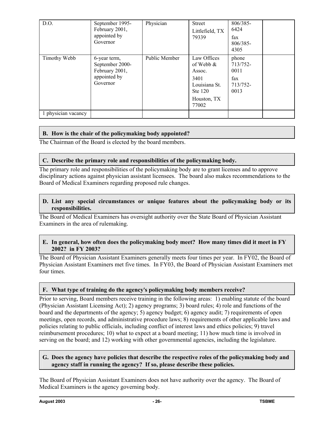| D.O.                | September 1995-<br>February 2001,<br>appointed by<br>Governor                 | Physician     | Street<br>Littlefield, TX<br>79339                                                                | 806/385-<br>6424<br>fax<br>806/385-<br>4305          |  |
|---------------------|-------------------------------------------------------------------------------|---------------|---------------------------------------------------------------------------------------------------|------------------------------------------------------|--|
| Timothy Webb        | 6-year term,<br>September 2000-<br>February 2001,<br>appointed by<br>Governor | Public Member | Law Offices<br>of Webb $\&$<br>Assoc.<br>3401<br>Louisiana St.<br>Ste 120<br>Houston, TX<br>77002 | phone<br>713/752-<br>0011<br>fax<br>713/752-<br>0013 |  |
| 1 physician vacancy |                                                                               |               |                                                                                                   |                                                      |  |

## **B. How is the chair of the policymaking body appointed?**

The Chairman of the Board is elected by the board members.

## **C. Describe the primary role and responsibilities of the policymaking body.**

The primary role and responsibilities of the policymaking body are to grant licenses and to approve disciplinary actions against physician assistant licensees. The board also makes recommendations to the Board of Medical Examiners regarding proposed rule changes.

### **D. List any special circumstances or unique features about the policymaking body or its responsibilities.**

The Board of Medical Examiners has oversight authority over the State Board of Physician Assistant Examiners in the area of rulemaking.

### **E. In general, how often does the policymaking body meet? How many times did it meet in FY 2002? in FY 2003?**

The Board of Physician Assistant Examiners generally meets four times per year. In FY02, the Board of Physician Assistant Examiners met five times. In FY03, the Board of Physician Assistant Examiners met four times.

## F. What type of training do the agency's policymaking body members receive?

Prior to serving, Board members receive training in the following areas: 1) enabling statute of the board (Physician Assistant Licensing Act); 2) agency programs; 3) board rules; 4) role and functions of the board and the departments of the agency; 5) agency budget; 6) agency audit; 7) requirements of open meetings, open records, and administrative procedure laws; 8) requirements of other applicable laws and policies relating to public officials, including conflict of interest laws and ethics policies; 9) travel reimbursement procedures; 10) what to expect at a board meeting; 11) how much time is involved in serving on the board; and 12) working with other governmental agencies, including the legislature.

### **G. Does the agency have policies that describe the respective roles of the policymaking body and agency staff in running the agency? If so, please describe these policies.**

The Board of Physician Assistant Examiners does not have authority over the agency. The Board of Medical Examiners is the agency governing body.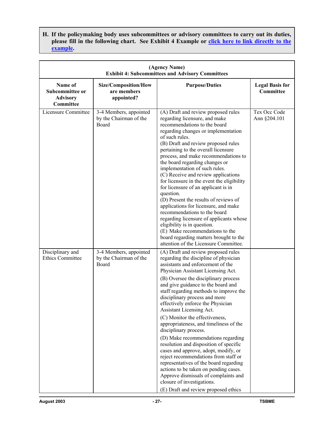**H. If the policymaking body uses subcommittees or advisory committees to carry out its duties,**  please fill in the following chart. See Exhibit 4 Example or click here to link directly to the **example.**

| (Agency Name)<br><b>Exhibit 4: Subcommittees and Advisory Committees</b> |                                                           |                                                                                                                                                                                                                                                                                                                                                                                                                                                                                                                                                                                                                                                                                                                                                                                                                                                         |                                     |  |
|--------------------------------------------------------------------------|-----------------------------------------------------------|---------------------------------------------------------------------------------------------------------------------------------------------------------------------------------------------------------------------------------------------------------------------------------------------------------------------------------------------------------------------------------------------------------------------------------------------------------------------------------------------------------------------------------------------------------------------------------------------------------------------------------------------------------------------------------------------------------------------------------------------------------------------------------------------------------------------------------------------------------|-------------------------------------|--|
| Name of<br>Subcommittee or<br><b>Advisory</b><br>Committee               | Size/Composition/How<br>are members<br>appointed?         | <b>Purpose/Duties</b>                                                                                                                                                                                                                                                                                                                                                                                                                                                                                                                                                                                                                                                                                                                                                                                                                                   | <b>Legal Basis for</b><br>Committee |  |
| Licensure Committee                                                      | 3-4 Members, appointed<br>by the Chairman of the<br>Board | (A) Draft and review proposed rules<br>regarding licensure, and make<br>recommendations to the board<br>regarding changes or implementation<br>of such rules.<br>(B) Draft and review proposed rules<br>pertaining to the overall licensure<br>process, and make recommendations to<br>the board regarding changes or<br>implementation of such rules.<br>(C) Receive and review applications<br>for licensure in the event the eligibility<br>for licensure of an applicant is in<br>question.<br>(D) Present the results of reviews of<br>applications for licensure, and make<br>recommendations to the board<br>regarding licensure of applicants whose<br>eligibility is in question.<br>(E) Make recommendations to the<br>board regarding matters brought to the<br>attention of the Licensure Committee.                                        | Tex Occ Code<br>Ann §204.101        |  |
| Disciplinary and<br>Ethics Committee                                     | 3-4 Members, appointed<br>by the Chairman of the<br>Board | (A) Draft and review proposed rules<br>regarding the discipline of physician<br>assistants and enforcement of the<br>Physician Assistant Licensing Act.<br>(B) Oversee the disciplinary process<br>and give guidance to the board and<br>staff regarding methods to improve the<br>disciplinary process and more<br>effectively enforce the Physician<br>Assistant Licensing Act.<br>(C) Monitor the effectiveness,<br>appropriateness, and timeliness of the<br>disciplinary process.<br>(D) Make recommendations regarding<br>resolution and disposition of specific<br>cases and approve, adopt, modify, or<br>reject recommendations from staff or<br>representatives of the board regarding<br>actions to be taken on pending cases.<br>Approve dismissals of complaints and<br>closure of investigations.<br>(E) Draft and review proposed ethics |                                     |  |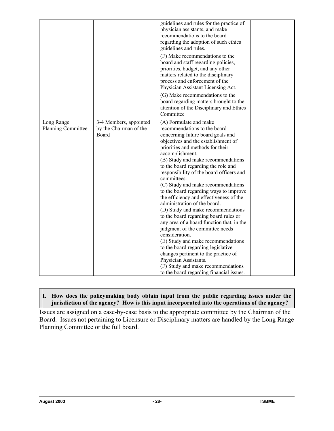|                                         |                                                                  | guidelines and rules for the practice of<br>physician assistants, and make<br>recommendations to the board<br>regarding the adoption of such ethics<br>guidelines and rules.<br>(F) Make recommendations to the<br>board and staff regarding policies,<br>priorities, budget, and any other<br>matters related to the disciplinary<br>process and enforcement of the<br>Physician Assistant Licensing Act.<br>(G) Make recommendations to the<br>board regarding matters brought to the<br>attention of the Disciplinary and Ethics<br>Committee                                                                                                                                                                                                                                                                                                                                                             |  |
|-----------------------------------------|------------------------------------------------------------------|--------------------------------------------------------------------------------------------------------------------------------------------------------------------------------------------------------------------------------------------------------------------------------------------------------------------------------------------------------------------------------------------------------------------------------------------------------------------------------------------------------------------------------------------------------------------------------------------------------------------------------------------------------------------------------------------------------------------------------------------------------------------------------------------------------------------------------------------------------------------------------------------------------------|--|
| Long Range<br><b>Planning Committee</b> | 3-4 Members, appointed<br>by the Chairman of the<br><b>Board</b> | (A) Formulate and make<br>recommendations to the board<br>concerning future board goals and<br>objectives and the establishment of<br>priorities and methods for their<br>accomplishment.<br>(B) Study and make recommendations<br>to the board regarding the role and<br>responsibility of the board officers and<br>committees.<br>(C) Study and make recommendations<br>to the board regarding ways to improve<br>the efficiency and effectiveness of the<br>administration of the board.<br>(D) Study and make recommendations<br>to the board regarding board rules or<br>any area of a board function that, in the<br>judgment of the committee needs<br>consideration.<br>(E) Study and make recommendations<br>to the board regarding legislative<br>changes pertinent to the practice of<br>Physician Assistants.<br>(F) Study and make recommendations<br>to the board regarding financial issues. |  |

## **I. How does the policymaking body obtain input from the public regarding issues under the jurisdiction of the agency? How is this input incorporated into the operations of the agency?**

Issues are assigned on a case-by-case basis to the appropriate committee by the Chairman of the Board. Issues not pertaining to Licensure or Disciplinary matters are handled by the Long Range Planning Committee or the full board.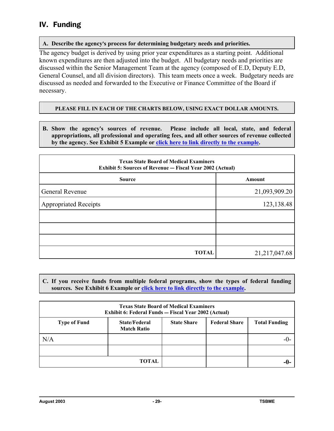## IV. Funding

## **A. Describe the agency**=**s process for determining budgetary needs and priorities.**

The agency budget is derived by using prior year expenditures as a starting point. Additional known expenditures are then adjusted into the budget. All budgetary needs and priorities are discussed within the Senior Management Team at the agency (composed of E.D, Deputy E.D, General Counsel, and all division directors). This team meets once a week. Budgetary needs are discussed as needed and forwarded to the Executive or Finance Committee of the Board if necessary.

### **PLEASE FILL IN EACH OF THE CHARTS BELOW, USING EXACT DOLLAR AMOUNTS.**

**B. Show the agency**=**s sources of revenue. Please include all local, state, and federal appropriations, all professional and operating fees, and all other sources of revenue collected by the agency. See Exhibit 5 Example or click here to link directly to the example.**

| <b>Texas State Board of Medical Examiners</b><br><b>Exhibit 5: Sources of Revenue – Fiscal Year 2002 (Actual)</b> |                 |  |  |  |
|-------------------------------------------------------------------------------------------------------------------|-----------------|--|--|--|
| <b>Source</b>                                                                                                     | Amount          |  |  |  |
| General Revenue                                                                                                   | 21,093,909.20   |  |  |  |
| <b>Appropriated Receipts</b>                                                                                      | 123, 138. 48    |  |  |  |
|                                                                                                                   |                 |  |  |  |
|                                                                                                                   |                 |  |  |  |
|                                                                                                                   |                 |  |  |  |
| <b>TOTAL</b>                                                                                                      | 21, 217, 047.68 |  |  |  |

**C. If you receive funds from multiple federal programs, show the types of federal funding sources. See Exhibit 6 Example or click here to link directly to the example.**

| <b>Texas State Board of Medical Examiners</b><br>Exhibit 6: Federal Funds - Fiscal Year 2002 (Actual) |                                            |                    |                      |                      |  |  |
|-------------------------------------------------------------------------------------------------------|--------------------------------------------|--------------------|----------------------|----------------------|--|--|
| <b>Type of Fund</b>                                                                                   | <b>State/Federal</b><br><b>Match Ratio</b> | <b>State Share</b> | <b>Federal Share</b> | <b>Total Funding</b> |  |  |
| N/A                                                                                                   |                                            |                    |                      | -( )-                |  |  |
|                                                                                                       |                                            |                    |                      |                      |  |  |
|                                                                                                       | TOTAL                                      |                    |                      | -0-                  |  |  |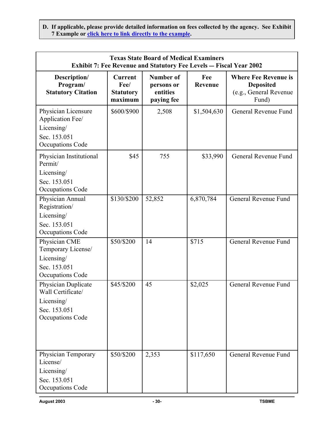**D. If applicable, please provide detailed information on fees collected by the agency. See Exhibit 7 Example or click here to link directly to the example.**

| <b>Texas State Board of Medical Examiners</b><br>Exhibit 7: Fee Revenue and Statutory Fee Levels - Fiscal Year 2002 |                                                |                                                          |                |                                                                                    |
|---------------------------------------------------------------------------------------------------------------------|------------------------------------------------|----------------------------------------------------------|----------------|------------------------------------------------------------------------------------|
| Description/<br>Program/<br><b>Statutory Citation</b>                                                               | Current<br>Fee/<br><b>Statutory</b><br>maximum | <b>Number of</b><br>persons or<br>entities<br>paying fee | Fee<br>Revenue | <b>Where Fee Revenue is</b><br><b>Deposited</b><br>(e.g., General Revenue<br>Fund) |
| Physician Licensure<br>Application Fee/<br>Licensing/<br>Sec. 153.051<br><b>Occupations Code</b>                    | \$600/\$900                                    | 2,508                                                    | \$1,504,630    | General Revenue Fund                                                               |
| Physician Institutional<br>Permit/<br>Licensing/<br>Sec. 153.051<br><b>Occupations Code</b>                         | \$45                                           | 755                                                      | \$33,990       | General Revenue Fund                                                               |
| Physician Annual<br>Registration/<br>Licensing/<br>Sec. 153.051<br><b>Occupations Code</b>                          | \$130/\$200                                    | 52,852                                                   | 6,870,784      | General Revenue Fund                                                               |
| Physician CME<br>Temporary License/<br>Licensing/<br>Sec. 153.051<br><b>Occupations Code</b>                        | \$50/\$200                                     | 14                                                       | \$715          | General Revenue Fund                                                               |
| Physician Duplicate<br>Wall Certificate/<br>Licensing/<br>Sec. 153.051<br><b>Occupations Code</b>                   | \$45/\$200                                     | 45                                                       | \$2,025        | General Revenue Fund                                                               |
| Physician Temporary<br>License/<br>Licensing/<br>Sec. 153.051<br><b>Occupations Code</b>                            | \$50/\$200                                     | 2,353                                                    | \$117,650      | General Revenue Fund                                                               |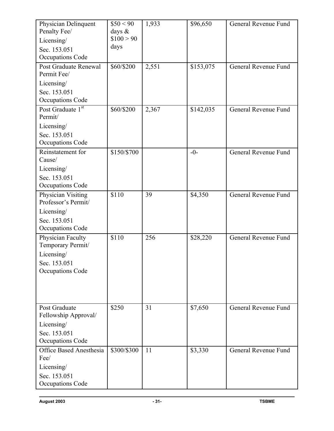| Physician Delinquent<br>Penalty Fee/<br>Licensing/<br>Sec. 153.051<br>Occupations Code     | \$50 < 90<br>days $\&$<br>\$100 > 90<br>days | 1,933 | \$96,650  | General Revenue Fund |
|--------------------------------------------------------------------------------------------|----------------------------------------------|-------|-----------|----------------------|
| Post Graduate Renewal<br>Permit Fee/                                                       | \$60/\$200                                   | 2,551 | \$153,075 | General Revenue Fund |
| Licensing/<br>Sec. 153.051<br>Occupations Code                                             |                                              |       |           |                      |
| Post Graduate 1st<br>Permit/                                                               | \$60/\$200                                   | 2,367 | \$142,035 | General Revenue Fund |
| Licensing/<br>Sec. 153.051<br>Occupations Code                                             |                                              |       |           |                      |
| Reinstatement for<br>Cause/                                                                | \$150/\$700                                  |       | $-0-$     | General Revenue Fund |
| Licensing/<br>Sec. 153.051<br>Occupations Code                                             |                                              |       |           |                      |
| Physician Visiting<br>Professor's Permit/<br>Licensing/                                    | \$110                                        | 39    | \$4,350   | General Revenue Fund |
| Sec. 153.051<br>Occupations Code                                                           |                                              |       |           |                      |
| Physician Faculty<br>Temporary Permit/<br>Licensing/<br>Sec. 153.051<br>Occupations Code   | \$110                                        | 256   | \$28,220  | General Revenue Fund |
| Post Graduate<br>Fellowship Approval/<br>Licensing $/$<br>Sec. 153.051<br>Occupations Code | \$250                                        | 31    | \$7,650   | General Revenue Fund |
| <b>Office Based Anesthesia</b><br>Fee/<br>Licensing/<br>Sec. 153.051<br>Occupations Code   | \$300/\$300                                  | 11    | \$3,330   | General Revenue Fund |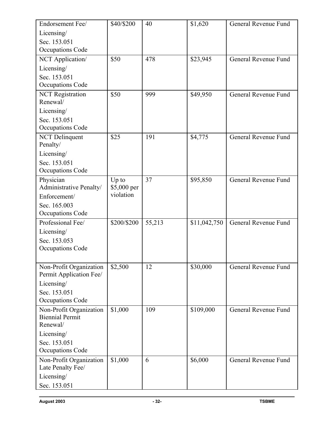| Endorsement Fee/                                   | \$40/\$200  | 40     | \$1,620      | General Revenue Fund |
|----------------------------------------------------|-------------|--------|--------------|----------------------|
| Licensing/                                         |             |        |              |                      |
| Sec. 153.051                                       |             |        |              |                      |
| Occupations Code                                   |             |        |              |                      |
| NCT Application/                                   | \$50        | 478    | \$23,945     | General Revenue Fund |
| Licensing/                                         |             |        |              |                      |
| Sec. 153.051                                       |             |        |              |                      |
| Occupations Code                                   |             |        |              |                      |
| <b>NCT</b> Registration                            | \$50        | 999    | \$49,950     | General Revenue Fund |
| Renewal/                                           |             |        |              |                      |
| Licensing/                                         |             |        |              |                      |
| Sec. 153.051<br>Occupations Code                   |             |        |              |                      |
| <b>NCT</b> Delinquent                              | \$25        | 191    | \$4,775      | General Revenue Fund |
| Penalty/                                           |             |        |              |                      |
| Licensing/                                         |             |        |              |                      |
| Sec. 153.051                                       |             |        |              |                      |
| Occupations Code                                   |             |        |              |                      |
| Physician                                          | Up to       | 37     | \$95,850     | General Revenue Fund |
| Administrative Penalty/                            | \$5,000 per |        |              |                      |
| Enforcement/                                       | violation   |        |              |                      |
| Sec. 165.003                                       |             |        |              |                      |
| Occupations Code                                   |             |        |              |                      |
| Professional Fee/                                  | \$200/\$200 | 55,213 | \$11,042,750 | General Revenue Fund |
| Licensing/                                         |             |        |              |                      |
| Sec. 153.053                                       |             |        |              |                      |
| Occupations Code                                   |             |        |              |                      |
|                                                    | \$2,500     | 12     | \$30,000     | General Revenue Fund |
| Non-Profit Organization<br>Permit Application Fee/ |             |        |              |                      |
| Licensing/                                         |             |        |              |                      |
| Sec. 153.051                                       |             |        |              |                      |
| Occupations Code                                   |             |        |              |                      |
| Non-Profit Organization                            | \$1,000     | 109    | \$109,000    | General Revenue Fund |
| <b>Biennial Permit</b>                             |             |        |              |                      |
| Renewal/                                           |             |        |              |                      |
| Licensing/                                         |             |        |              |                      |
| Sec. 153.051                                       |             |        |              |                      |
| Occupations Code                                   |             |        |              |                      |
| Non-Profit Organization                            | \$1,000     | 6      | \$6,000      | General Revenue Fund |
| Late Penalty Fee/                                  |             |        |              |                      |
| Licensing/                                         |             |        |              |                      |
| Sec. 153.051                                       |             |        |              |                      |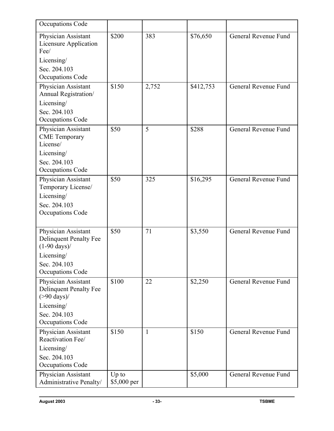| Occupations Code                                                               |             |              |           |                      |
|--------------------------------------------------------------------------------|-------------|--------------|-----------|----------------------|
| Physician Assistant<br><b>Licensure Application</b><br>Fee/                    | \$200       | 383          | \$76,650  | General Revenue Fund |
| Licensing/                                                                     |             |              |           |                      |
| Sec. 204.103<br><b>Occupations Code</b>                                        |             |              |           |                      |
| Physician Assistant<br>Annual Registration/                                    | \$150       | 2,752        | \$412,753 | General Revenue Fund |
| Licensing/                                                                     |             |              |           |                      |
| Sec. 204.103                                                                   |             |              |           |                      |
| <b>Occupations Code</b>                                                        |             |              |           |                      |
| Physician Assistant<br><b>CME</b> Temporary<br>License/                        | \$50        | 5            | \$288     | General Revenue Fund |
| Licensing/                                                                     |             |              |           |                      |
| Sec. 204.103                                                                   |             |              |           |                      |
| <b>Occupations Code</b>                                                        |             |              |           |                      |
| Physician Assistant<br>Temporary License/                                      | \$50        | 325          | \$16,295  | General Revenue Fund |
| Licensing/                                                                     |             |              |           |                      |
| Sec. 204.103                                                                   |             |              |           |                      |
| <b>Occupations Code</b>                                                        |             |              |           |                      |
|                                                                                | \$50        | 71           | \$3,550   | General Revenue Fund |
| Physician Assistant<br><b>Delinquent Penalty Fee</b><br>$(1-90 \text{ days})/$ |             |              |           |                      |
| Licensing/                                                                     |             |              |           |                      |
| Sec. 204.103                                                                   |             |              |           |                      |
| Occupations Code                                                               |             |              |           |                      |
| Physician Assistant<br><b>Delinquent Penalty Fee</b><br>$($ >90 days) $/$      | \$100       | 22           | \$2,250   | General Revenue Fund |
| Licensing/                                                                     |             |              |           |                      |
| Sec. 204.103                                                                   |             |              |           |                      |
| Occupations Code                                                               |             |              |           |                      |
| Physician Assistant<br>Reactivation Fee/                                       | \$150       | $\mathbf{1}$ | \$150     | General Revenue Fund |
| Licensing/                                                                     |             |              |           |                      |
| Sec. 204.103                                                                   |             |              |           |                      |
| Occupations Code                                                               |             |              |           |                      |
| Physician Assistant                                                            | Up to       |              | \$5,000   | General Revenue Fund |
| Administrative Penalty/                                                        | \$5,000 per |              |           |                      |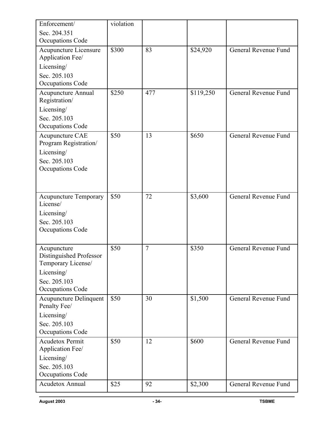| Enforcement/                                                                                                   | violation |                |           |                      |
|----------------------------------------------------------------------------------------------------------------|-----------|----------------|-----------|----------------------|
| Sec. 204.351<br><b>Occupations Code</b>                                                                        |           |                |           |                      |
| Acupuncture Licensure<br>Application Fee/<br>Licensing/<br>Sec. 205.103<br>Occupations Code                    | \$300     | 83             | \$24,920  | General Revenue Fund |
| <b>Acupuncture Annual</b><br>Registration/<br>Licensing/<br>Sec. 205.103<br><b>Occupations Code</b>            | \$250     | 477            | \$119,250 | General Revenue Fund |
| Acupuncture CAE<br>Program Registration/<br>Licensing/<br>Sec. 205.103<br><b>Occupations Code</b>              | \$50      | 13             | \$650     | General Revenue Fund |
| <b>Acupuncture Temporary</b><br>License/<br>Licensing/<br>Sec. 205.103<br><b>Occupations Code</b>              | \$50      | 72             | \$3,600   | General Revenue Fund |
| Acupuncture<br>Distinguished Professor<br>Temporary License/<br>Licensing/<br>Sec. 205.103<br>Occupations Code | \$50      | $\overline{7}$ | \$350     | General Revenue Fund |
| <b>Acupuncture Delinquent</b><br>Penalty Fee/<br>Licensing/<br>Sec. 205.103<br><b>Occupations Code</b>         | \$50      | 30             | \$1,500   | General Revenue Fund |
| <b>Acudetox Permit</b><br>Application Fee/<br>Licensing/<br>Sec. 205.103<br><b>Occupations Code</b>            | \$50      | 12             | \$600     | General Revenue Fund |
| <b>Acudetox Annual</b>                                                                                         | \$25      | 92             | \$2,300   | General Revenue Fund |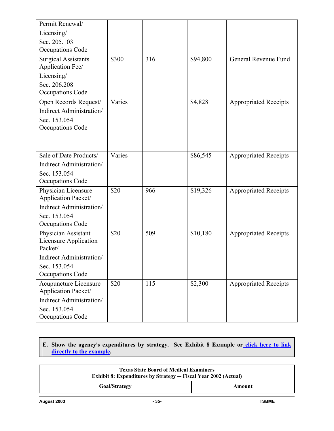| Permit Renewal/<br>Licensing/<br>Sec. 205.103<br><b>Occupations Code</b>                                                              |        |     |          |                              |
|---------------------------------------------------------------------------------------------------------------------------------------|--------|-----|----------|------------------------------|
| <b>Surgical Assistants</b><br>Application Fee/<br>Licensing/<br>Sec. 206.208<br><b>Occupations Code</b>                               | \$300  | 316 | \$94,800 | General Revenue Fund         |
| Open Records Request/<br>Indirect Administration/<br>Sec. 153.054<br>Occupations Code                                                 | Varies |     | \$4,828  | <b>Appropriated Receipts</b> |
| Sale of Date Products/<br>Indirect Administration/<br>Sec. 153.054<br>Occupations Code                                                | Varies |     | \$86,545 | <b>Appropriated Receipts</b> |
| Physician Licensure<br>Application Packet/<br>Indirect Administration/<br>Sec. 153.054<br>Occupations Code                            | \$20   | 966 | \$19,326 | <b>Appropriated Receipts</b> |
| Physician Assistant<br><b>Licensure Application</b><br>Packet/<br>Indirect Administration/<br>Sec. 153.054<br><b>Occupations Code</b> | \$20   | 509 | \$10,180 | <b>Appropriated Receipts</b> |
| <b>Acupuncture Licensure</b><br>Application Packet/<br>Indirect Administration/<br>Sec. 153.054<br>Occupations Code                   | \$20   | 115 | \$2,300  | <b>Appropriated Receipts</b> |

## E. Show the agency's expenditures by strategy. See Exhibit 8 Example or click here to link **directly to the example.**

| <b>Texas State Board of Medical Examiners</b><br><b>Exhibit 8: Expenditures by Strategy — Fiscal Year 2002 (Actual)</b> |        |  |
|-------------------------------------------------------------------------------------------------------------------------|--------|--|
| <b>Goal/Strategy</b>                                                                                                    | Amount |  |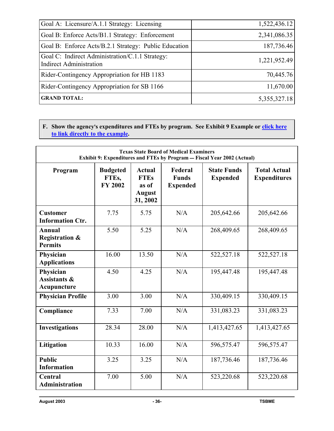| Goal A: Licensure/A.1.1 Strategy: Licensing                                       | 1,522,436.12 |
|-----------------------------------------------------------------------------------|--------------|
| Goal B: Enforce Acts/B1.1 Strategy: Enforcement                                   | 2,341,086.35 |
| Goal B: Enforce Acts/B.2.1 Strategy: Public Education                             | 187,736.46   |
| Goal C: Indirect Administration/C.1.1 Strategy:<br><b>Indirect Administration</b> | 1,221,952.49 |
| Rider-Contingency Appropriation for HB 1183                                       | 70,445.76    |
| Rider-Contingency Appropriation for SB 1166                                       | 11,670.00    |
| <b>GRAND TOTAL:</b>                                                               | 5,355,327.18 |

**F.** Show the agency's expenditures and FTEs by program. See Exhibit 9 Example or **click here to link directly to the example.**

| <b>Texas State Board of Medical Examiners</b><br>Exhibit 9: Expenditures and FTEs by Program - Fiscal Year 2002 (Actual) |                                            |                                                                    |                                            |                                       |                                            |  |
|--------------------------------------------------------------------------------------------------------------------------|--------------------------------------------|--------------------------------------------------------------------|--------------------------------------------|---------------------------------------|--------------------------------------------|--|
| Program                                                                                                                  | <b>Budgeted</b><br>FTEs,<br><b>FY 2002</b> | <b>Actual</b><br><b>FTEs</b><br>as of<br><b>August</b><br>31, 2002 | Federal<br><b>Funds</b><br><b>Expended</b> | <b>State Funds</b><br><b>Expended</b> | <b>Total Actual</b><br><b>Expenditures</b> |  |
| <b>Customer</b><br><b>Information Ctr.</b>                                                                               | 7.75                                       | 5.75                                                               | N/A                                        | 205,642.66                            | 205,642.66                                 |  |
| <b>Annual</b><br><b>Registration &amp;</b><br><b>Permits</b>                                                             | 5.50                                       | 5.25                                                               | N/A                                        | 268,409.65                            | 268,409.65                                 |  |
| Physician<br><b>Applications</b>                                                                                         | 16.00                                      | 13.50                                                              | N/A                                        | 522,527.18                            | 522,527.18                                 |  |
| Physician<br><b>Assistants &amp;</b><br>Acupuncture                                                                      | 4.50                                       | 4.25                                                               | N/A                                        | 195,447.48                            | 195,447.48                                 |  |
| <b>Physician Profile</b>                                                                                                 | 3.00                                       | 3.00                                                               | N/A                                        | 330,409.15                            | 330,409.15                                 |  |
| Compliance                                                                                                               | 7.33                                       | 7.00                                                               | N/A                                        | 331,083.23                            | 331,083.23                                 |  |
| <b>Investigations</b>                                                                                                    | 28.34                                      | 28.00                                                              | N/A                                        | 1,413,427.65                          | 1,413,427.65                               |  |
| Litigation                                                                                                               | 10.33                                      | 16.00                                                              | N/A                                        | 596,575.47                            | 596,575.47                                 |  |
| <b>Public</b><br><b>Information</b>                                                                                      | 3.25                                       | 3.25                                                               | N/A                                        | 187,736.46                            | 187,736.46                                 |  |
| Central<br><b>Administration</b>                                                                                         | 7.00                                       | 5.00                                                               | N/A                                        | 523,220.68                            | 523,220.68                                 |  |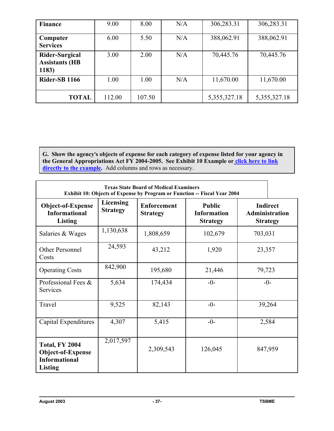| <b>Finance</b>                                   | 9.00   | 8.00   | N/A | 306,283.31      | 306,283.31      |
|--------------------------------------------------|--------|--------|-----|-----------------|-----------------|
| Computer<br><b>Services</b>                      | 6.00   | 5.50   | N/A | 388,062.91      | 388,062.91      |
| Rider-Surgical<br><b>Assistants (HB</b><br>1183) | 3.00   | 2.00   | N/A | 70,445.76       | 70,445.76       |
| <b>Rider-SB 1166</b>                             | 1.00   | 1.00   | N/A | 11,670.00       | 11,670.00       |
| <b>TOTAL</b>                                     | 112.00 | 107.50 |     | 5, 355, 327. 18 | 5, 355, 327. 18 |

G. Show the agency's objects of expense for each category of expense listed for your agency in **the General Appropriations Act FY 2004-2005. See Exhibit 10 Example or click here to link**  directly to the example. Add columns and rows as necessary.

| <b>Texas State Board of Medical Examiners</b><br>Exhibit 10: Objects of Expense by Program or Function -- Fiscal Year 2004 |                              |                                       |                                                        |                                                             |  |  |
|----------------------------------------------------------------------------------------------------------------------------|------------------------------|---------------------------------------|--------------------------------------------------------|-------------------------------------------------------------|--|--|
| <b>Object-of-Expense</b><br><b>Informational</b><br><b>Listing</b>                                                         | Licensing<br><b>Strategy</b> | <b>Enforcement</b><br><b>Strategy</b> | <b>Public</b><br><b>Information</b><br><b>Strategy</b> | <b>Indirect</b><br><b>Administration</b><br><b>Strategy</b> |  |  |
| Salaries & Wages                                                                                                           | 1,130,638                    | 1,808,659                             | 102,679                                                | 703,031                                                     |  |  |
| Other Personnel<br>Costs                                                                                                   | 24,593                       | 43,212<br>1,920                       |                                                        | 23,357                                                      |  |  |
| <b>Operating Costs</b>                                                                                                     | 842,900                      | 195,680<br>21,446                     |                                                        | 79,723                                                      |  |  |
| Professional Fees &<br>Services                                                                                            | 5,634                        | 174,434                               | $-0-$                                                  | $-0-$                                                       |  |  |
| Travel                                                                                                                     | 9,525                        | 82,143                                | $-0-$                                                  | 39,264                                                      |  |  |
| Capital Expenditures                                                                                                       | 4,307                        | 5,415                                 | $-0-$                                                  | 2,584                                                       |  |  |
| Total, FY 2004<br>Object-of-Expense<br><b>Informational</b><br><b>Listing</b>                                              | 2,017,597                    | 2,309,543                             | 126,045                                                | 847,959                                                     |  |  |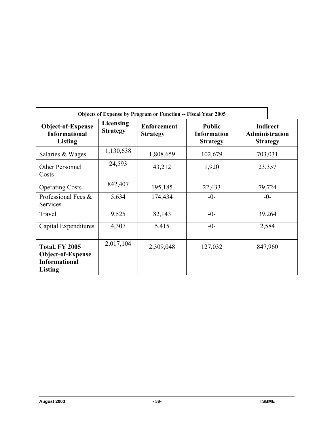|                                                                               | <b>Objects of Expense by Program or Function -- Fiscal Year 2005</b> |                                                                                                 |         |                                                      |  |  |  |  |
|-------------------------------------------------------------------------------|----------------------------------------------------------------------|-------------------------------------------------------------------------------------------------|---------|------------------------------------------------------|--|--|--|--|
| Object-of-Expense<br><b>Informational</b><br>Listing                          | Licensing<br><b>Strategy</b>                                         | <b>Public</b><br><b>Enforcement</b><br><b>Information</b><br><b>Strategy</b><br><b>Strategy</b> |         | <b>Indirect</b><br>Administration<br><b>Strategy</b> |  |  |  |  |
| Salaries & Wages                                                              | 1,130,638                                                            | 1,808,659                                                                                       | 102,679 | 703,031                                              |  |  |  |  |
| Other Personnel<br>Costs                                                      | 24,593                                                               | 43,212                                                                                          | 1,920   | 23,357                                               |  |  |  |  |
| <b>Operating Costs</b>                                                        | 842,407                                                              | 195,185                                                                                         | 22,433  | 79,724                                               |  |  |  |  |
| Professional Fees &<br><b>Services</b>                                        | 5,634                                                                | 174,434                                                                                         | $-0-$   | $-0-$                                                |  |  |  |  |
| Travel                                                                        | 9,525                                                                | 82,143                                                                                          | $-0-$   | 39,264                                               |  |  |  |  |
| Capital Expenditures                                                          | 4,307                                                                | 5,415                                                                                           | $-0-$   | 2,584                                                |  |  |  |  |
| <b>Total, FY 2005</b><br>Object-of-Expense<br><b>Informational</b><br>Listing | 2,017,104                                                            | 2,309,048                                                                                       | 127,032 | 847,960                                              |  |  |  |  |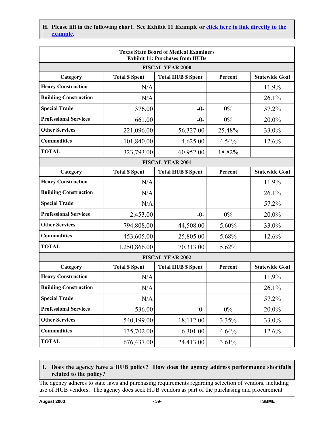H. Please fill in the following chart. See Exhibit 11 Example or click here to link directly to the **example.**

| <b>Texas State Board of Medical Examiners</b><br><b>Exhibit 11: Purchases from HUBs</b> |                         |                           |         |                       |  |  |  |  |  |
|-----------------------------------------------------------------------------------------|-------------------------|---------------------------|---------|-----------------------|--|--|--|--|--|
|                                                                                         | <b>FISCAL YEAR 2000</b> |                           |         |                       |  |  |  |  |  |
| Category                                                                                | <b>Total \$ Spent</b>   | <b>Total HUB \$ Spent</b> | Percent | <b>Statewide Goal</b> |  |  |  |  |  |
| <b>Heavy Construction</b>                                                               | N/A                     |                           |         | 11.9%                 |  |  |  |  |  |
| <b>Building Construction</b>                                                            | N/A                     |                           |         | 26.1%                 |  |  |  |  |  |
| <b>Special Trade</b>                                                                    | 376.00                  | $-0-$                     | 0%      | 57.2%                 |  |  |  |  |  |
| <b>Professional Services</b>                                                            | 661.00                  | $-0-$                     | 0%      | 20.0%                 |  |  |  |  |  |
| <b>Other Services</b>                                                                   | 221,096.00              | 56,327.00                 | 25.48%  | 33.0%                 |  |  |  |  |  |
| <b>Commodities</b>                                                                      | 101,840.00              | 4,625.00                  | 4.54%   | 12.6%                 |  |  |  |  |  |
| <b>TOTAL</b>                                                                            | 323,793.00              | 60,952.00                 | 18.82%  |                       |  |  |  |  |  |
|                                                                                         |                         | <b>FISCAL YEAR 2001</b>   |         |                       |  |  |  |  |  |
| Category                                                                                | <b>Total \$ Spent</b>   | <b>Total HUB \$ Spent</b> | Percent | <b>Statewide Goal</b> |  |  |  |  |  |
| <b>Heavy Construction</b>                                                               | N/A                     |                           |         | 11.9%                 |  |  |  |  |  |
| <b>Building Construction</b>                                                            | N/A                     |                           |         | 26.1%                 |  |  |  |  |  |
| <b>Special Trade</b>                                                                    | N/A                     |                           |         | 57.2%                 |  |  |  |  |  |
| <b>Professional Services</b>                                                            | 2,453.00                | $-0-$                     | 0%      | 20.0%                 |  |  |  |  |  |
| <b>Other Services</b>                                                                   | 794,808.00              | 44,508.00                 | 5.60%   | 33.0%                 |  |  |  |  |  |
| <b>Commodities</b>                                                                      | 453,605.00              | 25,805.00                 | 5.68%   | 12.6%                 |  |  |  |  |  |
| <b>TOTAL</b>                                                                            | 1,250,866.00            | 70,313.00                 | 5.62%   |                       |  |  |  |  |  |
|                                                                                         |                         | <b>FISCAL YEAR 2002</b>   |         |                       |  |  |  |  |  |
| Category                                                                                | <b>Total \$ Spent</b>   | <b>Total HUB \$ Spent</b> | Percent | <b>Statewide Goal</b> |  |  |  |  |  |
| <b>Heavy Construction</b>                                                               | N/A                     |                           |         | 11.9%                 |  |  |  |  |  |
| <b>Building Construction</b>                                                            | N/A                     |                           |         | 26.1%                 |  |  |  |  |  |
| <b>Special Trade</b>                                                                    | N/A                     |                           |         | 57.2%                 |  |  |  |  |  |
| <b>Professional Services</b>                                                            | 536.00                  | $-0-$                     | $0\%$   | 20.0%                 |  |  |  |  |  |
| <b>Other Services</b>                                                                   | 540,199.00              | 18,112.00                 | 3.35%   | 33.0%                 |  |  |  |  |  |
| <b>Commodities</b>                                                                      | 135,702.00              | 6,301.00                  | 4.64%   | 12.6%                 |  |  |  |  |  |
| <b>TOTAL</b>                                                                            | 676,437.00              | 24,413.00                 | 3.61%   |                       |  |  |  |  |  |

## **I. Does the agency have a HUB policy? How does the agency address performance shortfalls related to the policy?**

The agency adheres to state laws and purchasing requirements regarding selection of vendors, including use of HUB vendors. The agency does seek HUB vendors as part of the purchasing and procurement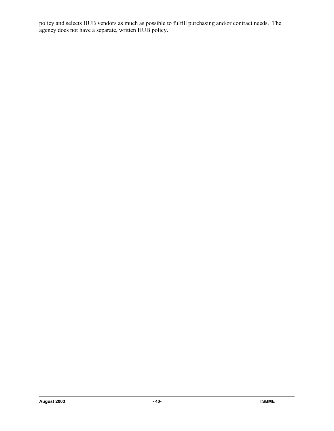policy and selects HUB vendors as much as possible to fulfill purchasing and/or contract needs. The agency does not have a separate, written HUB policy.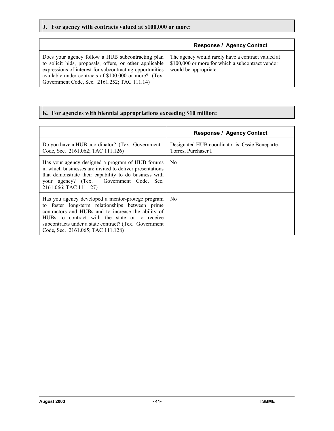# **J. For agency with contracts valued at \$100,000 or more:**

|                                                                                                                                                                                                                                                                                  | <b>Response / Agency Contact</b>                                                                                               |
|----------------------------------------------------------------------------------------------------------------------------------------------------------------------------------------------------------------------------------------------------------------------------------|--------------------------------------------------------------------------------------------------------------------------------|
| Does your agency follow a HUB subcontracting plan<br>to solicit bids, proposals, offers, or other applicable<br>expressions of interest for subcontracting opportunities<br>available under contracts of \$100,000 or more? (Tex.<br>Government Code, Sec. 2161.252; TAC 111.14) | The agency would rarely have a contract valued at<br>\$100,000 or more for which a subcontract vendor<br>would be appropriate. |

# **K. For agencies with biennial appropriations exceeding \$10 million:**

|                                                                                                                                                                                                                                                                                                            | <b>Response / Agency Contact</b>                                      |
|------------------------------------------------------------------------------------------------------------------------------------------------------------------------------------------------------------------------------------------------------------------------------------------------------------|-----------------------------------------------------------------------|
| Do you have a HUB coordinator? (Tex. Government<br>Code, Sec. 2161.062; TAC 111.126)                                                                                                                                                                                                                       | Designated HUB coordinator is Ossie Boneparte-<br>Torres, Purchaser I |
| Has your agency designed a program of HUB forums<br>in which businesses are invited to deliver presentations<br>that demonstrate their capability to do business with<br>your agency? (Tex. Government Code, Sec.<br>2161.066; TAC 111.127)                                                                | N <sub>0</sub>                                                        |
| Has you agency developed a mentor-protege program<br>to foster long-term relationships between prime<br>contractors and HUBs and to increase the ability of<br>HUBs to contract with the state or to receive<br>subcontracts under a state contract? (Tex. Government<br>Code, Sec. 2161.065; TAC 111.128) | No.                                                                   |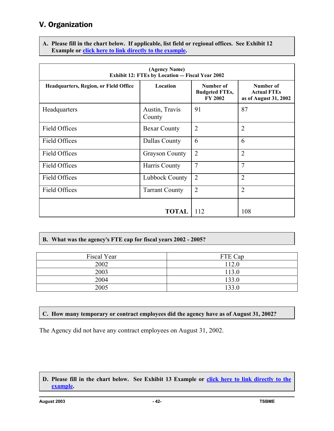# V. Organization

**A. Please fill in the chart below. If applicable, list field or regional offices. See Exhibit 12**  Example or **click here to link directly to the example.** 

| (Agency Name)<br>Exhibit 12: FTEs by Location - Fiscal Year 2002 |                          |                                                      |                                                          |  |  |  |
|------------------------------------------------------------------|--------------------------|------------------------------------------------------|----------------------------------------------------------|--|--|--|
| Headquarters, Region, or Field Office                            | Location                 | Number of<br><b>Budgeted FTEs,</b><br><b>FY 2002</b> | Number of<br><b>Actual FTEs</b><br>as of August 31, 2002 |  |  |  |
| Headquarters                                                     | Austin, Travis<br>County | 91                                                   | 87                                                       |  |  |  |
| <b>Field Offices</b>                                             | <b>Bexar County</b>      | $\overline{2}$                                       | $\overline{2}$                                           |  |  |  |
| <b>Field Offices</b>                                             | Dallas County            | 6                                                    | 6                                                        |  |  |  |
| <b>Field Offices</b>                                             | <b>Grayson County</b>    | $\overline{2}$                                       | $\overline{2}$                                           |  |  |  |
| <b>Field Offices</b>                                             | Harris County            | 7                                                    | $\overline{7}$                                           |  |  |  |
| <b>Field Offices</b>                                             | Lubbock County           | $\overline{2}$                                       | $\overline{2}$                                           |  |  |  |
| <b>Field Offices</b><br><b>Tarrant County</b>                    |                          | $\overline{2}$                                       | $\overline{2}$                                           |  |  |  |
|                                                                  | 112                      | 108                                                  |                                                          |  |  |  |

**B. What was the agency**=**s FTE cap for fiscal years 2002 - 2005?**

| Fiscal Year | FTE Cap |
|-------------|---------|
| 2002        | 112.0   |
| 2003        | 113.0   |
| 2004        | 133.0   |
| 2005        | 133.0   |

# **C. How many temporary or contract employees did the agency have as of August 31, 2002?**

The Agency did not have any contract employees on August 31, 2002.

**D. Please fill in the chart below. See Exhibit 13 Example or click here to link directly to the example.**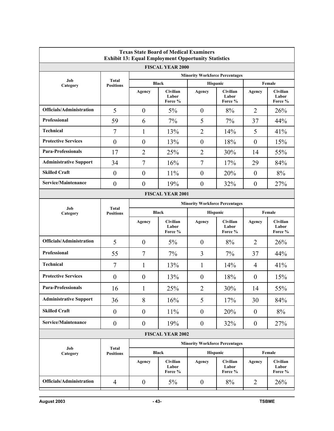| <b>Texas State Board of Medical Examiners</b><br><b>Exhibit 13: Equal Employment Opportunity Statistics</b> |                         |                  |                              |                                       |                                     |                  |                              |  |
|-------------------------------------------------------------------------------------------------------------|-------------------------|------------------|------------------------------|---------------------------------------|-------------------------------------|------------------|------------------------------|--|
|                                                                                                             | <b>FISCAL YEAR 2000</b> |                  |                              |                                       |                                     |                  |                              |  |
| Job                                                                                                         | Total                   |                  |                              | <b>Minority Workforce Percentages</b> |                                     |                  |                              |  |
| Category                                                                                                    | <b>Positions</b>        |                  | <b>Black</b>                 | Hispanic                              |                                     |                  | Female                       |  |
|                                                                                                             |                         | Agency           | Civilian<br>Labor<br>Force % | Agency                                | Civilian<br>Labor<br>Force %        | Agency           | Civilian<br>Labor<br>Force % |  |
| <b>Officials/Administration</b>                                                                             | 5                       | $\theta$         | 5%                           | $\theta$                              | 8%                                  | $\overline{2}$   | 26%                          |  |
| <b>Professional</b>                                                                                         | 59                      | 6                | 7%                           | 5                                     | 7%                                  | 37               | 44%                          |  |
| <b>Technical</b>                                                                                            | $\overline{7}$          | $\mathbf{1}$     | 13%                          | $\overline{2}$                        | 14%                                 | 5                | 41%                          |  |
| <b>Protective Services</b>                                                                                  | $\boldsymbol{0}$        | $\theta$         | 13%                          | $\theta$                              | 18%                                 | $\mathbf{0}$     | 15%                          |  |
| <b>Para-Professionals</b>                                                                                   | 17                      | $\overline{2}$   | 25%                          | $\overline{2}$                        | 30%                                 | 14               | 55%                          |  |
| <b>Administrative Support</b>                                                                               | 34                      | $\overline{7}$   | 16%                          | $\overline{7}$                        | 17%                                 | 29               | 84%                          |  |
| <b>Skilled Craft</b>                                                                                        | $\boldsymbol{0}$        | $\boldsymbol{0}$ | 11%                          | $\mathbf{0}$                          | 20%                                 | $\mathbf{0}$     | 8%                           |  |
| Service/Maintenance                                                                                         | $\boldsymbol{0}$        | $\boldsymbol{0}$ | 19%                          | $\boldsymbol{0}$                      | 32%                                 | $\boldsymbol{0}$ | 27%                          |  |
| <b>FISCAL YEAR 2001</b>                                                                                     |                         |                  |                              |                                       |                                     |                  |                              |  |
| Job                                                                                                         | Total                   |                  |                              | <b>Minority Workforce Percentages</b> |                                     |                  |                              |  |
| Category                                                                                                    | <b>Positions</b>        | <b>Black</b>     |                              |                                       | Hispanic                            |                  | Female                       |  |
|                                                                                                             |                         | Agency           | Civilian<br>Labor<br>Force % | Agency                                | <b>Civilian</b><br>Labor<br>Force % | Agency           | Civilian<br>Labor<br>Force % |  |
| Officials/Administration                                                                                    | 5                       | $\boldsymbol{0}$ | 5%                           | $\boldsymbol{0}$                      | 8%                                  | $\overline{2}$   | 26%                          |  |
| Professional                                                                                                | 55                      | $\overline{7}$   | 7%                           | 3                                     | 7%                                  | 37               | 44%                          |  |
| <b>Technical</b>                                                                                            | $\tau$                  | 1                | 13%                          | 1                                     | 14%                                 | 4                | 41%                          |  |
| <b>Protective Services</b>                                                                                  | $\overline{0}$          | $\theta$         | 13%                          | $\theta$                              | 18%                                 | $\boldsymbol{0}$ | 15%                          |  |
| <b>Para-Professionals</b>                                                                                   | 16                      | 1                | 25%                          | $\overline{c}$                        | 30%                                 | 14               | 55%                          |  |
| <b>Administrative Support</b>                                                                               | 36                      | 8                | 16%                          | 5                                     | 17%                                 | 30               | 84%                          |  |
| <b>Skilled Craft</b>                                                                                        | $\boldsymbol{0}$        | $\boldsymbol{0}$ | 11%                          | $\boldsymbol{0}$                      | 20%                                 | $\boldsymbol{0}$ | 8%                           |  |
| Service/Maintenance                                                                                         | $\boldsymbol{0}$        | $\boldsymbol{0}$ | 19%                          | $\boldsymbol{0}$                      | 32%                                 | $\boldsymbol{0}$ | 27%                          |  |
|                                                                                                             |                         |                  | <b>FISCAL YEAR 2002</b>      |                                       |                                     |                  |                              |  |
| Job                                                                                                         | <b>Total</b>            |                  |                              | <b>Minority Workforce Percentages</b> |                                     |                  |                              |  |
| Category                                                                                                    | <b>Positions</b>        |                  | <b>Black</b>                 | Hispanic                              |                                     |                  | Female                       |  |
|                                                                                                             |                         | Agency           | Civilian<br>Labor<br>Force % | Agency                                | Civilian<br>Labor<br>Force %        | Agency           | Civilian<br>Labor<br>Force % |  |
| Officials/Administration                                                                                    | $\overline{4}$          | $\boldsymbol{0}$ | 5%                           | $\boldsymbol{0}$                      | 8%                                  | $\overline{2}$   | 26%                          |  |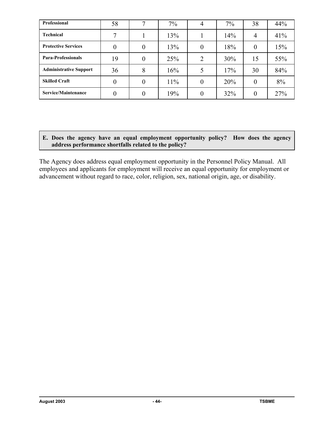| Professional                  | 58 | 7              | 7%  |          | 7%  | 38       | 44% |
|-------------------------------|----|----------------|-----|----------|-----|----------|-----|
| <b>Technical</b>              |    |                | 13% |          | 14% | 4        | 41% |
| <b>Protective Services</b>    |    | $\overline{0}$ | 13% |          | 18% | $\theta$ | 15% |
| <b>Para-Professionals</b>     | 19 | $\overline{0}$ | 25% | 2        | 30% | 15       | 55% |
| <b>Administrative Support</b> | 36 | 8              | 16% |          | 17% | 30       | 84% |
| <b>Skilled Craft</b>          |    | $\overline{0}$ | 11% | $\theta$ | 20% | $\theta$ | 8%  |
| Service/Maintenance           |    | 0              | 19% |          | 32% | $\theta$ | 27% |

**E. Does the agency have an equal employment opportunity policy? How does the agency address performance shortfalls related to the policy?**

The Agency does address equal employment opportunity in the Personnel Policy Manual. All employees and applicants for employment will receive an equal opportunity for employment or advancement without regard to race, color, religion, sex, national origin, age, or disability.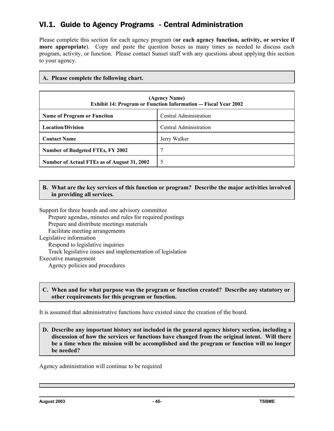# VI.1. Guide to Agency Programs - Central Administration

Please complete this section for each agency program (**or each agency function, activity, or service if more appropriate**). Copy and paste the question boxes as many times as needed to discuss each program, activity, or function. Please contact Sunset staff with any questions about applying this section to your agency.

### **A. Please complete the following chart.**

| (Agency Name)<br><b>Exhibit 14: Program or Function Information — Fiscal Year 2002</b> |                        |
|----------------------------------------------------------------------------------------|------------------------|
| <b>Name of Program or Function</b>                                                     | Central Administration |
| <b>Location/Division</b>                                                               | Central Administration |
| <b>Contact Name</b>                                                                    | Jerry Walker           |
| <b>Number of Budgeted FTEs, FY 2002</b>                                                |                        |
| Number of Actual FTEs as of August 31, 2002                                            |                        |

### **B. What are the key services of this function or program? Describe the major activities involved in providing all services.**

Support for three boards and one advisory committee Prepare agendas, minutes and rules for required postings Prepare and distribute meetings materials Facilitate meeting arrangements Legislative information Respond to legislative inquiries Track legislative issues and implementation of legislation Executive management Agency policies and procedures

#### **C. When and for what purpose was the program or function created? Describe any statutory or other requirements for this program or function.**

It is assumed that administrative functions have existed since the creation of the board.

#### **D. Describe any important history not included in the general agency history section, including a discussion of how the services or functions have changed from the original intent. Will there be a time when the mission will be accomplished and the program or function will no longer be needed?**

Agency administration will continue to be required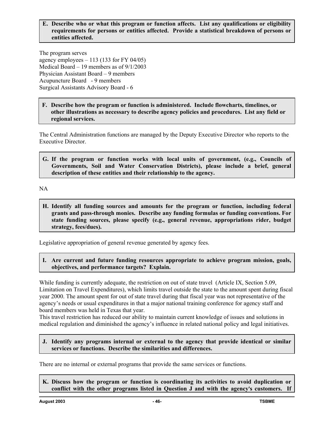#### **E. Describe who or what this program or function affects. List any qualifications or eligibility requirements for persons or entities affected. Provide a statistical breakdown of persons or entities affected.**

The program serves agency employees  $-113$  (133 for FY 04/05) Medical Board – 19 members as of 9/1/2003 Physician Assistant Board – 9 members Acupuncture Board - 9 members Surgical Assistants Advisory Board - 6

**F. Describe how the program or function is administered. Include flowcharts, timelines, or other illustrations as necessary to describe agency policies and procedures. List any field or regional services.**

The Central Administration functions are managed by the Deputy Executive Director who reports to the Executive Director.

**G. If the program or function works with local units of government, (e.g., Councils of Governments, Soil and Water Conservation Districts), please include a brief, general description of these entities and their relationship to the agency.**

NA

**H. Identify all funding sources and amounts for the program or function, including federal grants and pass-through monies. Describe any funding formulas or funding conventions. For state funding sources, please specify (e.g., general revenue, appropriations rider, budget strategy, fees/dues).**

Legislative appropriation of general revenue generated by agency fees.

**I. Are current and future funding resources appropriate to achieve program mission, goals, objectives, and performance targets? Explain.**

While funding is currently adequate, the restriction on out of state travel (Article IX, Section 5.09, Limitation on Travel Expenditures), which limits travel outside the state to the amount spent during fiscal year 2000. The amount spent for out of state travel during that fiscal year was not representative of the agency's needs or usual expenditures in that a major national training conference for agency staff and board members was held in Texas that year.

This travel restriction has reduced our ability to maintain current knowledge of issues and solutions in medical regulation and diminished the agency's influence in related national policy and legal initiatives.

**J. Identify any programs internal or external to the agency that provide identical or similar services or functions. Describe the similarities and differences.** 

There are no internal or external programs that provide the same services or functions.

**K. Discuss how the program or function is coordinating its activities to avoid duplication or**  conflict with the other programs listed in Question J and with the agency's customers. If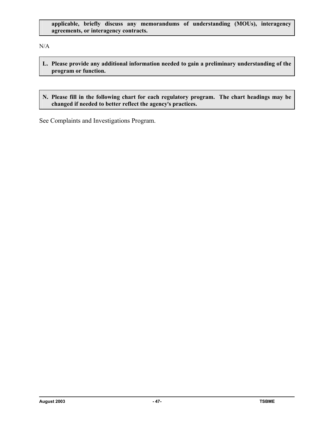## **applicable, briefly discuss any memorandums of understanding (MOUs), interagency agreements, or interagency contracts.**

N/A

- **L. Please provide any additional information needed to gain a preliminary understanding of the program or function.**
- **N. Please fill in the following chart for each regulatory program. The chart headings may be changed if needed to better reflect the agency**=**s practices.**

See Complaints and Investigations Program.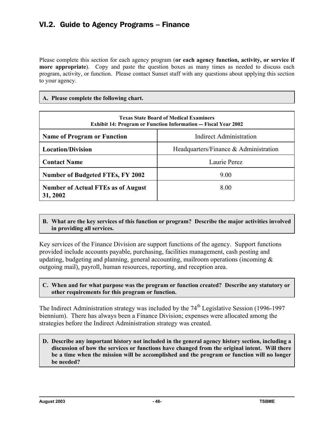# VI.2. Guide to Agency Programs – Finance

Please complete this section for each agency program (**or each agency function, activity, or service if more appropriate**). Copy and paste the question boxes as many times as needed to discuss each program, activity, or function. Please contact Sunset staff with any questions about applying this section to your agency.

## **A. Please complete the following chart.**

| <b>Texas State Board of Medical Examiners</b><br><b>Exhibit 14: Program or Function Information — Fiscal Year 2002</b> |                                          |
|------------------------------------------------------------------------------------------------------------------------|------------------------------------------|
| <b>Name of Program or Function</b>                                                                                     | <b>Indirect Administration</b>           |
| <b>Location/Division</b>                                                                                               | Headquarters/Finance $\&$ Administration |
| <b>Contact Name</b>                                                                                                    | Laurie Perez                             |
| <b>Number of Budgeted FTEs, FY 2002</b>                                                                                | 9.00                                     |
| <b>Number of Actual FTEs as of August</b><br>31, 2002                                                                  | 8.00                                     |

## **B. What are the key services of this function or program? Describe the major activities involved in providing all services.**

Key services of the Finance Division are support functions of the agency. Support functions provided include accounts payable, purchasing, facilities management, cash posting and updating, budgeting and planning, general accounting, mailroom operations (incoming  $\&$ outgoing mail), payroll, human resources, reporting, and reception area.

## **C. When and for what purpose was the program or function created? Describe any statutory or other requirements for this program or function.**

The Indirect Administration strategy was included by the 74<sup>th</sup> Legislative Session (1996-1997) biennium). There has always been a Finance Division; expenses were allocated among the strategies before the Indirect Administration strategy was created.

#### **D. Describe any important history not included in the general agency history section, including a discussion of how the services or functions have changed from the original intent. Will there be a time when the mission will be accomplished and the program or function will no longer be needed?**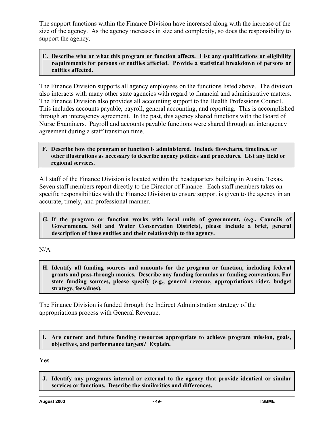The support functions within the Finance Division have increased along with the increase of the size of the agency. As the agency increases in size and complexity, so does the responsibility to support the agency.

# **E. Describe who or what this program or function affects. List any qualifications or eligibility requirements for persons or entities affected. Provide a statistical breakdown of persons or entities affected.**

The Finance Division supports all agency employees on the functions listed above. The division also interacts with many other state agencies with regard to financial and administrative matters. The Finance Division also provides all accounting support to the Health Professions Council. This includes accounts payable, payroll, general accounting, and reporting. This is accomplished through an interagency agreement. In the past, this agency shared functions with the Board of Nurse Examiners. Payroll and accounts payable functions were shared through an interagency agreement during a staff transition time.

### **F. Describe how the program or function is administered. Include flowcharts, timelines, or other illustrations as necessary to describe agency policies and procedures. List any field or regional services.**

All staff of the Finance Division is located within the headquarters building in Austin, Texas. Seven staff members report directly to the Director of Finance. Each staff members takes on specific responsibilities with the Finance Division to ensure support is given to the agency in an accurate, timely, and professional manner.

**G. If the program or function works with local units of government, (e.g., Councils of Governments, Soil and Water Conservation Districts), please include a brief, general description of these entities and their relationship to the agency.**

N/A

**H. Identify all funding sources and amounts for the program or function, including federal grants and pass-through monies. Describe any funding formulas or funding conventions. For state funding sources, please specify (e.g., general revenue, appropriations rider, budget strategy, fees/dues).**

The Finance Division is funded through the Indirect Administration strategy of the appropriations process with General Revenue.

# **I. Are current and future funding resources appropriate to achieve program mission, goals, objectives, and performance targets? Explain.**

Yes

**J. Identify any programs internal or external to the agency that provide identical or similar services or functions. Describe the similarities and differences.**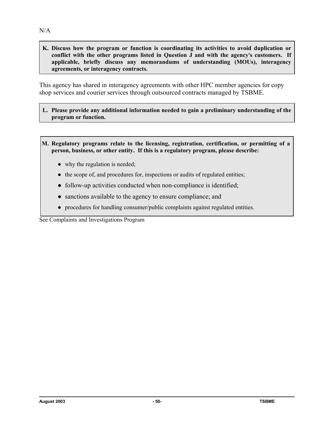**K. Discuss how the program or function is coordinating its activities to avoid duplication or**  conflict with the other programs listed in Question J and with the agency's customers. If **applicable, briefly discuss any memorandums of understanding (MOUs), interagency agreements, or interagency contracts.**

This agency has shared in interagency agreements with other HPC member agencies for copy shop services and courier services through outsourced contracts managed by TSBME.

**L. Please provide any additional information needed to gain a preliminary understanding of the program or function.**

**M. Regulatory programs relate to the licensing, registration, certification, or permitting of a person, business, or other entity. If this is a regulatory program, please describe:**

- why the regulation is needed;
- the scope of, and procedures for, inspections or audits of regulated entities;
- follow-up activities conducted when non-compliance is identified;
- sanctions available to the agency to ensure compliance; and
- procedures for handling consumer/public complaints against regulated entities.

See Complaints and Investigations Program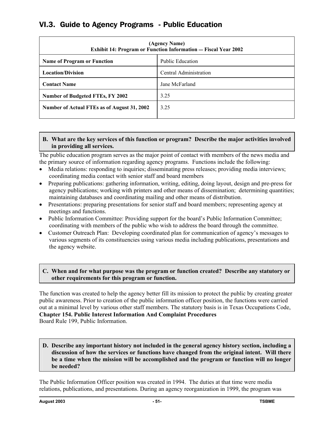# VI.3. Guide to Agency Programs - Public Education

| (Agency Name)<br><b>Exhibit 14: Program or Function Information - Fiscal Year 2002</b> |                         |
|----------------------------------------------------------------------------------------|-------------------------|
| <b>Name of Program or Function</b>                                                     | <b>Public Education</b> |
| <b>Location/Division</b>                                                               | Central Administration  |
| <b>Contact Name</b>                                                                    | Jane McFarland          |
| <b>Number of Budgeted FTEs, FY 2002</b>                                                | 3.25                    |
| Number of Actual FTEs as of August 31, 2002                                            | 3 2 5                   |

### **B. What are the key services of this function or program? Describe the major activities involved in providing all services.**

The public education program serves as the major point of contact with members of the news media and the primary source of information regarding agency programs. Functions include the following:

- Media relations: responding to inquiries; disseminating press releases; providing media interviews; coordinating media contact with senior staff and board members
- Preparing publications: gathering information, writing, editing, doing layout, design and pre-press for agency publications; working with printers and other means of dissemination; determining quantities; maintaining databases and coordinating mailing and other means of distribution.
- Presentations: preparing presentations for senior staff and board members; representing agency at meetings and functions.
- Public Information Committee: Providing support for the board's Public Information Committee; coordinating with members of the public who wish to address the board through the committee.
- Customer Outreach Plan: Developing coordinated plan for communication of agency's messages to various segments of its constituencies using various media including publications, presentations and the agency website.

## **C. When and for what purpose was the program or function created? Describe any statutory or other requirements for this program or function.**

The function was created to help the agency better fill its mission to protect the public by creating greater public awareness. Prior to creation of the public information officer position, the functions were carried out at a minimal level by various other staff members. The statutory basis is in Texas Occupations Code, **Chapter 154. Public Interest Information And Complaint Procedures** Board Rule 199, Public Information.

**D. Describe any important history not included in the general agency history section, including a discussion of how the services or functions have changed from the original intent. Will there be a time when the mission will be accomplished and the program or function will no longer be needed?**

The Public Information Officer position was created in 1994. The duties at that time were media relations, publications, and presentations. During an agency reorganization in 1999, the program was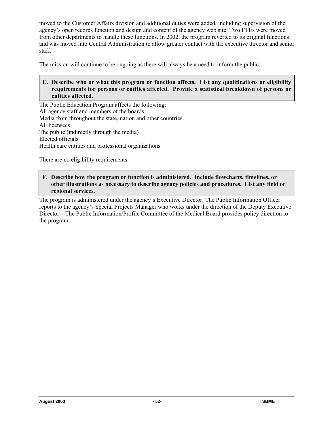moved to the Customer Affairs division and additional duties were added, including supervision of the agency's open records function and design and content of the agency web site. Two FTEs were moved from other departments to handle these functions. In 2002, the program reverted to its original functions and was moved into Central Administration to allow greater contact with the executive director and senior staff.

The mission will continue to be ongoing as there will always be a need to inform the public.

### **E. Describe who or what this program or function affects. List any qualifications or eligibility requirements for persons or entities affected. Provide a statistical breakdown of persons or entities affected.**

The Public Education Program affects the following: All agency staff and members of the boards Media from throughout the state, nation and other countries All licensees The public (indirectly through the media) Elected officials Health care entities and professional organizations

There are no eligibility requirements.

## **F. Describe how the program or function is administered. Include flowcharts, timelines, or other illustrations as necessary to describe agency policies and procedures. List any field or regional services.**

The program is administered under the agency's Executive Director. The Public Information Officer reports to the agency's Special Projects Manager who works under the direction of the Deputy Executive Director. The Public Information/Profile Committee of the Medical Board provides policy direction to the program.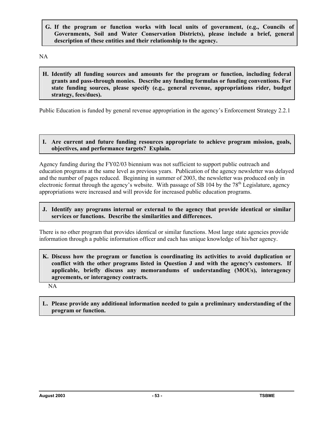**G. If the program or function works with local units of government, (e.g., Councils of Governments, Soil and Water Conservation Districts), please include a brief, general description of these entities and their relationship to the agency.**

NA

**H. Identify all funding sources and amounts for the program or function, including federal grants and pass-through monies. Describe any funding formulas or funding conventions. For state funding sources, please specify (e.g., general revenue, appropriations rider, budget strategy, fees/dues).**

Public Education is funded by general revenue appropriation in the agency's Enforcement Strategy 2.2.1

#### **I. Are current and future funding resources appropriate to achieve program mission, goals, objectives, and performance targets? Explain.**

Agency funding during the FY02/03 biennium was not sufficient to support public outreach and education programs at the same level as previous years. Publication of the agency newsletter was delayed and the number of pages reduced. Beginning in summer of 2003, the newsletter was produced only in electronic format through the agency's website. With passage of SB 104 by the  $78<sup>th</sup>$  Legislature, agency appropriations were increased and will provide for increased public education programs.

### **J. Identify any programs internal or external to the agency that provide identical or similar services or functions. Describe the similarities and differences.**

There is no other program that provides identical or similar functions. Most large state agencies provide information through a public information officer and each has unique knowledge of his/her agency.

**K. Discuss how the program or function is coordinating its activities to avoid duplication or**  conflict with the other programs listed in Question J and with the agency's customers. If **applicable, briefly discuss any memorandums of understanding (MOUs), interagency agreements, or interagency contracts.**

NA

**L. Please provide any additional information needed to gain a preliminary understanding of the program or function.**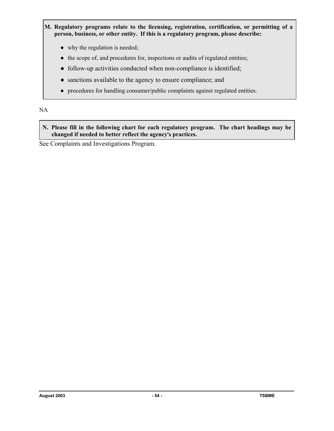- **M. Regulatory programs relate to the licensing, registration, certification, or permitting of a person, business, or other entity. If this is a regulatory program, please describe:**
	- why the regulation is needed;
	- the scope of, and procedures for, inspections or audits of regulated entities;
	- follow-up activities conducted when non-compliance is identified;
	- sanctions available to the agency to ensure compliance; and
	- procedures for handling consumer/public complaints against regulated entities.

# NA

**N. Please fill in the following chart for each regulatory program. The chart headings may be changed if needed to better reflect the agency**=**s practices.**

See Complaints and Investigations Program.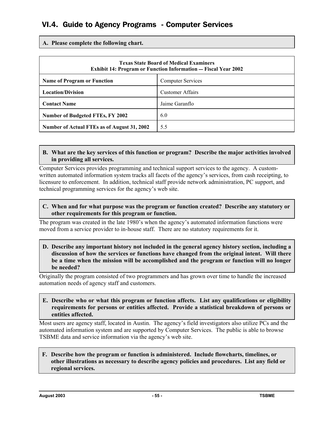# VI.4. Guide to Agency Programs - Computer Services

**A. Please complete the following chart.**

| <b>Texas State Board of Medical Examiners</b><br><b>Exhibit 14: Program or Function Information - Fiscal Year 2002</b> |                          |
|------------------------------------------------------------------------------------------------------------------------|--------------------------|
| <b>Name of Program or Function</b>                                                                                     | <b>Computer Services</b> |
| <b>Location/Division</b>                                                                                               | <b>Customer Affairs</b>  |
| <b>Contact Name</b>                                                                                                    | Jaime Garanflo           |
| <b>Number of Budgeted FTEs, FY 2002</b>                                                                                | 6.0                      |
| Number of Actual FTEs as of August 31, 2002                                                                            | 5.5                      |

#### **B. What are the key services of this function or program? Describe the major activities involved in providing all services.**

Computer Services provides programming and technical support services to the agency. A customwritten automated information system tracks all facets of the agency's services, from cash receipting, to licensure to enforcement. In addition, technical staff provide network administration, PC support, and technical programming services for the agency's web site.

#### **C. When and for what purpose was the program or function created? Describe any statutory or other requirements for this program or function.**

The program was created in the late 1980's when the agency's automated information functions were moved from a service provider to in-house staff. There are no statutory requirements for it.

**D. Describe any important history not included in the general agency history section, including a discussion of how the services or functions have changed from the original intent. Will there be a time when the mission will be accomplished and the program or function will no longer be needed?**

Originally the program consisted of two programmers and has grown over time to handle the increased automation needs of agency staff and customers.

#### **E. Describe who or what this program or function affects. List any qualifications or eligibility requirements for persons or entities affected. Provide a statistical breakdown of persons or entities affected.**

Most users are agency staff, located in Austin. The agency's field investigators also utilize PCs and the automated information system and are supported by Computer Services. The public is able to browse TSBME data and service information via the agency's web site.

#### **F. Describe how the program or function is administered. Include flowcharts, timelines, or other illustrations as necessary to describe agency policies and procedures. List any field or regional services.**

**August 2003 - 55 - TSBME**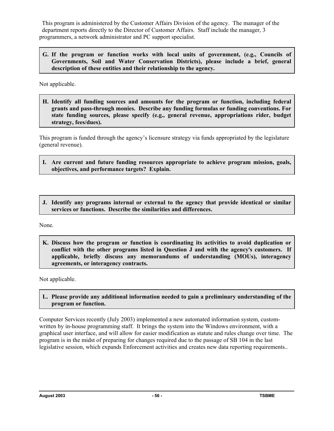This program is administered by the Customer Affairs Division of the agency. The manager of the department reports directly to the Director of Customer Affairs. Staff include the manager, 3 programmers, a network administrator and PC support specialist.

**G. If the program or function works with local units of government, (e.g., Councils of Governments, Soil and Water Conservation Districts), please include a brief, general description of these entities and their relationship to the agency.**

Not applicable.

**H. Identify all funding sources and amounts for the program or function, including federal grants and pass-through monies. Describe any funding formulas or funding conventions. For state funding sources, please specify (e.g., general revenue, appropriations rider, budget strategy, fees/dues).**

This program is funded through the agency's licensure strategy via funds appropriated by the legislature (general revenue).

- **I. Are current and future funding resources appropriate to achieve program mission, goals, objectives, and performance targets? Explain.**
- **J. Identify any programs internal or external to the agency that provide identical or similar services or functions. Describe the similarities and differences.**

None.

**K. Discuss how the program or function is coordinating its activities to avoid duplication or**  conflict with the other programs listed in Question J and with the agency's customers. If **applicable, briefly discuss any memorandums of understanding (MOUs), interagency agreements, or interagency contracts.**

Not applicable.

## **L. Please provide any additional information needed to gain a preliminary understanding of the program or function.**

Computer Services recently (July 2003) implemented a new automated information system, customwritten by in-house programming staff. It brings the system into the Windows environment, with a graphical user interface, and will allow for easier modification as statute and rules change over time. The program is in the midst of preparing for changes required due to the passage of SB 104 in the last legislative session, which expands Enforcement activities and creates new data reporting requirements..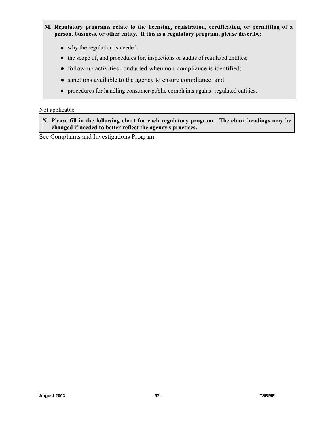- **M. Regulatory programs relate to the licensing, registration, certification, or permitting of a person, business, or other entity. If this is a regulatory program, please describe:**
	- why the regulation is needed;
	- the scope of, and procedures for, inspections or audits of regulated entities;
	- follow-up activities conducted when non-compliance is identified;
	- sanctions available to the agency to ensure compliance; and
	- procedures for handling consumer/public complaints against regulated entities.

## Not applicable.

**N. Please fill in the following chart for each regulatory program. The chart headings may be changed if needed to better reflect the agency**=**s practices.**

See Complaints and Investigations Program.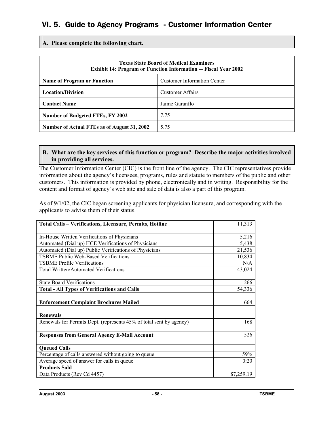# VI. 5. Guide to Agency Programs - Customer Information Center

**A. Please complete the following chart.**

| <b>Texas State Board of Medical Examiners</b><br><b>Exhibit 14: Program or Function Information — Fiscal Year 2002</b> |                                    |
|------------------------------------------------------------------------------------------------------------------------|------------------------------------|
| <b>Name of Program or Function</b>                                                                                     | <b>Customer Information Center</b> |
| <b>Location/Division</b>                                                                                               | <b>Customer Affairs</b>            |
| <b>Contact Name</b>                                                                                                    | Jaime Garanflo                     |
| Number of Budgeted FTEs, FY 2002                                                                                       | 7.75                               |
| Number of Actual FTEs as of August 31, 2002                                                                            | 5.75                               |

#### **B. What are the key services of this function or program? Describe the major activities involved in providing all services.**

The Customer Information Center (CIC) is the front line of the agency. The CIC representatives provide information about the agency's licensees, programs, rules and statute to members of the public and other customers. This information is provided by phone, electronically and in writing. Responsibility for the content and format of agency's web site and sale of data is also a part of this program.

As of 9/1/02, the CIC began screening applicants for physician licensure, and corresponding with the applicants to advise them of their status.

| <b>Total Calls - Verifications, Licensure, Permits, Hotline</b>     | 11,313     |
|---------------------------------------------------------------------|------------|
|                                                                     |            |
| In-House Written Verifications of Physicians                        | 5,216      |
| Automated (Dial up) HCE Verifications of Physicians                 | 5,438      |
| Automated (Dial up) Public Verifications of Physicians              | 21,536     |
| <b>TSBME Public Web-Based Verifications</b>                         | 10,834     |
| <b>TSBME Profile Verifications</b>                                  | N/A        |
| <b>Total Written/Automated Verifications</b>                        | 43,024     |
|                                                                     |            |
| <b>State Board Verifications</b>                                    | 266        |
| <b>Total - All Types of Verifications and Calls</b>                 | 54,336     |
|                                                                     |            |
| <b>Enforcement Complaint Brochures Mailed</b>                       | 664        |
|                                                                     |            |
| <b>Renewals</b>                                                     |            |
| Renewals for Permits Dept. (represents 45% of total sent by agency) | 168        |
|                                                                     |            |
| <b>Responses from General Agency E-Mail Account</b>                 | 526        |
|                                                                     |            |
| <b>Queued Calls</b>                                                 |            |
| Percentage of calls answered without going to queue                 | 59%        |
| Average speed of answer for calls in queue                          | 0:20       |
| <b>Products Sold</b>                                                |            |
| Data Products (Rev Cd 4457)                                         | \$7,259.19 |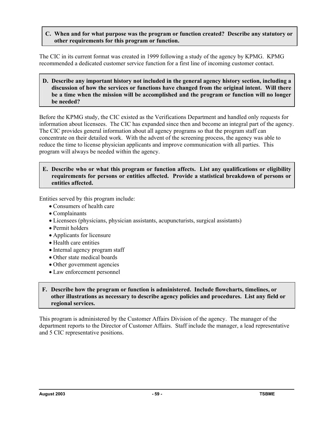**C. When and for what purpose was the program or function created? Describe any statutory or other requirements for this program or function.**

The CIC in its current format was created in 1999 following a study of the agency by KPMG. KPMG recommended a dedicated customer service function for a first line of incoming customer contact.

**D. Describe any important history not included in the general agency history section, including a discussion of how the services or functions have changed from the original intent. Will there be a time when the mission will be accomplished and the program or function will no longer be needed?**

Before the KPMG study, the CIC existed as the Verifications Department and handled only requests for information about licensees. The CIC has expanded since then and become an integral part of the agency. The CIC provides general information about all agency programs so that the program staff can concentrate on their detailed work. With the advent of the screening process, the agency was able to reduce the time to license physician applicants and improve communication with all parties. This program will always be needed within the agency.

#### **E. Describe who or what this program or function affects. List any qualifications or eligibility requirements for persons or entities affected. Provide a statistical breakdown of persons or entities affected.**

Entities served by this program include:

- Consumers of health care
- Complainants
- Licensees (physicians, physician assistants, acupuncturists, surgical assistants)
- Permit holders
- Applicants for licensure
- Health care entities
- Internal agency program staff
- Other state medical boards
- Other government agencies
- Law enforcement personnel

### **F. Describe how the program or function is administered. Include flowcharts, timelines, or other illustrations as necessary to describe agency policies and procedures. List any field or regional services.**

This program is administered by the Customer Affairs Division of the agency. The manager of the department reports to the Director of Customer Affairs. Staff include the manager, a lead representative and 5 CIC representative positions.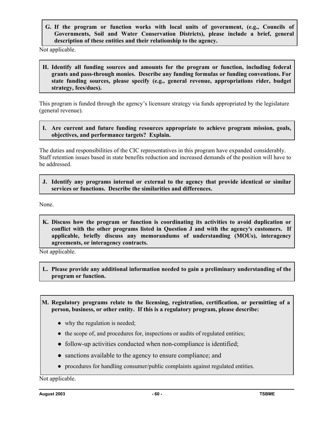**G. If the program or function works with local units of government, (e.g., Councils of Governments, Soil and Water Conservation Districts), please include a brief, general description of these entities and their relationship to the agency.**

Not applicable.

**H. Identify all funding sources and amounts for the program or function, including federal grants and pass-through monies. Describe any funding formulas or funding conventions. For state funding sources, please specify (e.g., general revenue, appropriations rider, budget strategy, fees/dues).**

This program is funded through the agency's licensure strategy via funds appropriated by the legislature (general revenue).

**I. Are current and future funding resources appropriate to achieve program mission, goals, objectives, and performance targets? Explain.**

The duties and responsibilities of the CIC representatives in this program have expanded considerably. Staff retention issues based in state benefits reduction and increased demands of the position will have to be addressed.

**J. Identify any programs internal or external to the agency that provide identical or similar services or functions. Describe the similarities and differences.** 

None.

**K. Discuss how the program or function is coordinating its activities to avoid duplication or conflict with the other programs listed in Question J and with the agency's customers. If applicable, briefly discuss any memorandums of understanding (MOUs), interagency agreements, or interagency contracts.**

Not applicable.

- **L. Please provide any additional information needed to gain a preliminary understanding of the program or function.**
- **M. Regulatory programs relate to the licensing, registration, certification, or permitting of a person, business, or other entity. If this is a regulatory program, please describe:**
	- why the regulation is needed;
	- the scope of, and procedures for, inspections or audits of regulated entities;
	- follow-up activities conducted when non-compliance is identified;
	- sanctions available to the agency to ensure compliance; and
	- procedures for handling consumer/public complaints against regulated entities.

Not applicable.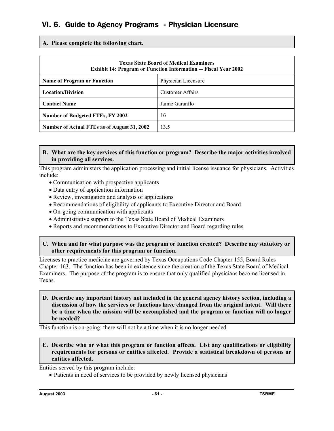# VI. 6. Guide to Agency Programs - Physician Licensure

**A. Please complete the following chart.**

| <b>Texas State Board of Medical Examiners</b><br><b>Exhibit 14: Program or Function Information — Fiscal Year 2002</b> |                         |
|------------------------------------------------------------------------------------------------------------------------|-------------------------|
| <b>Name of Program or Function</b>                                                                                     | Physician Licensure     |
| <b>Location/Division</b>                                                                                               | <b>Customer Affairs</b> |
| <b>Contact Name</b>                                                                                                    | Jaime Garanflo          |
| Number of Budgeted FTEs, FY 2002                                                                                       | 16                      |
| Number of Actual FTEs as of August 31, 2002                                                                            | 13.5                    |

### **B. What are the key services of this function or program? Describe the major activities involved in providing all services.**

This program administers the application processing and initial license issuance for physicians. Activities include:

- Communication with prospective applicants
- Data entry of application information
- Review, investigation and analysis of applications
- Recommendations of eligibility of applicants to Executive Director and Board
- On-going communication with applicants
- Administrative support to the Texas State Board of Medical Examiners
- Reports and recommendations to Executive Director and Board regarding rules

#### **C. When and for what purpose was the program or function created? Describe any statutory or other requirements for this program or function.**

Licenses to practice medicine are governed by Texas Occupations Code Chapter 155, Board Rules Chapter 163. The function has been in existence since the creation of the Texas State Board of Medical Examiners. The purpose of the program is to ensure that only qualified physicians become licensed in Texas.

#### **D. Describe any important history not included in the general agency history section, including a discussion of how the services or functions have changed from the original intent. Will there be a time when the mission will be accomplished and the program or function will no longer be needed?**

This function is on-going; there will not be a time when it is no longer needed.

## **E. Describe who or what this program or function affects. List any qualifications or eligibility requirements for persons or entities affected. Provide a statistical breakdown of persons or entities affected.**

Entities served by this program include:

• Patients in need of services to be provided by newly licensed physicians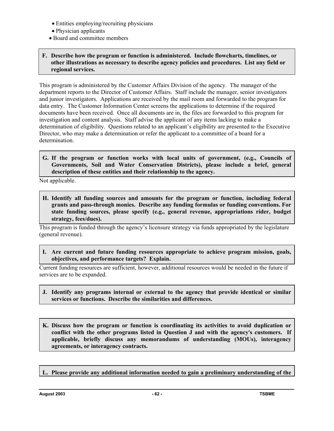- Entities employing/recruiting physicians
- Physician applicants
- Board and committee members

## **F. Describe how the program or function is administered. Include flowcharts, timelines, or other illustrations as necessary to describe agency policies and procedures. List any field or regional services.**

This program is administered by the Customer Affairs Division of the agency. The manager of the department reports to the Director of Customer Affairs. Staff include the manager, senior investigators and junior investigators. Applications are received by the mail room and forwarded to the program for data entry. The Customer Information Center screens the applications to determine if the required documents have been received. Once all documents are in, the files are forwarded to this program for investigation and content analysis. Staff advise the applicant of any items lacking to make a determination of eligibility. Questions related to an applicant's eligibility are presented to the Executive Director, who may make a determination or refer the applicant to a committee of a board for a determination.

**G. If the program or function works with local units of government, (e.g., Councils of Governments, Soil and Water Conservation Districts), please include a brief, general description of these entities and their relationship to the agency.**

Not applicable.

**H. Identify all funding sources and amounts for the program or function, including federal grants and pass-through monies. Describe any funding formulas or funding conventions. For state funding sources, please specify (e.g., general revenue, appropriations rider, budget strategy, fees/dues).**

This program is funded through the agency's licensure strategy via funds appropriated by the legislature (general revenue).

**I. Are current and future funding resources appropriate to achieve program mission, goals, objectives, and performance targets? Explain.**

Current funding resources are sufficient, however, additional resources would be needed in the future if services are to be expanded.

- **J. Identify any programs internal or external to the agency that provide identical or similar services or functions. Describe the similarities and differences.**
- **K. Discuss how the program or function is coordinating its activities to avoid duplication or**  conflict with the other programs listed in Question J and with the agency's customers. If **applicable, briefly discuss any memorandums of understanding (MOUs), interagency agreements, or interagency contracts.**
- **L. Please provide any additional information needed to gain a preliminary understanding of the**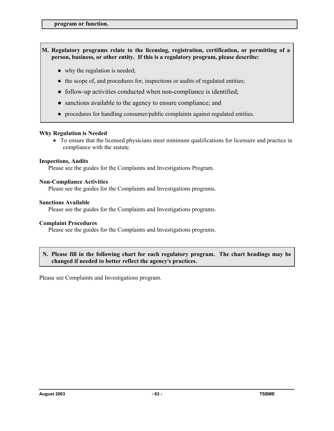## **M. Regulatory programs relate to the licensing, registration, certification, or permitting of a person, business, or other entity. If this is a regulatory program, please describe:**

- why the regulation is needed;
- the scope of, and procedures for, inspections or audits of regulated entities;
- follow-up activities conducted when non-compliance is identified;
- sanctions available to the agency to ensure compliance; and
- procedures for handling consumer/public complaints against regulated entities.

#### **Why Regulation is Needed**

• To ensure that the licensed physicians meet minimum qualifications for licensure and practice in compliance with the statute.

#### **Inspections, Audits**

Please see the guides for the Complaints and Investigations Program.

#### **Non-Compliance Activities**

Please see the guides for the Complaints and Investigations programs.

#### **Sanctions Available**

Please see the guides for the Complaints and Investigations programs.

#### **Complaint Procedures**

Please see the guides for the Complaints and Investigations programs.

#### **N. Please fill in the following chart for each regulatory program. The chart headings may be changed if needed to better reflect the agency**=**s practices.**

Please see Complaints and Investigations program.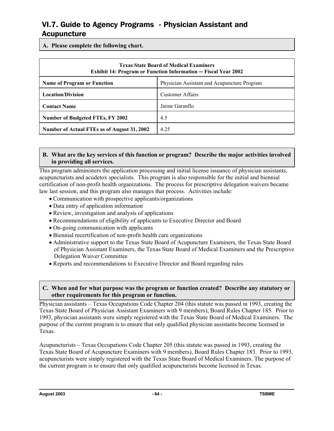# VI.7. Guide to Agency Programs - Physician Assistant and Acupuncture

**A. Please complete the following chart.**

| <b>Texas State Board of Medical Examiners</b><br><b>Exhibit 14: Program or Function Information — Fiscal Year 2002</b> |                         |
|------------------------------------------------------------------------------------------------------------------------|-------------------------|
| Physician Assistant and Acupuncture Program<br><b>Name of Program or Function</b>                                      |                         |
| <b>Location/Division</b>                                                                                               | <b>Customer Affairs</b> |
| <b>Contact Name</b>                                                                                                    | Jaime Garanflo          |
| <b>Number of Budgeted FTEs, FY 2002</b>                                                                                | 4.5                     |
| Number of Actual FTEs as of August 31, 2002                                                                            | 4.25                    |

## **B. What are the key services of this function or program? Describe the major activities involved in providing all services.**

This program administers the application processing and initial license issuance of physician assistants, acupuncturists and acudetox specialists. This program is also responsible for the initial and biennial certification of non-profit health organizations. The process for prescriptive delegation waivers became law last session, and this program also manages that process. Activities include:

- Communication with prospective applicants/organizations
- Data entry of application information
- Review, investigation and analysis of applications
- Recommendations of eligibility of applicants to Executive Director and Board
- On-going communication with applicants
- Biennial recertification of non-profit health care organizations
- Administrative support to the Texas State Board of Acupuncture Examiners, the Texas State Board of Physician Assistant Examiners, the Texas State Board of Medical Examiners and the Prescriptive Delegation Waiver Committee
- Reports and recommendations to Executive Director and Board regarding rules

#### **C. When and for what purpose was the program or function created? Describe any statutory or other requirements for this program or function.**

Physician assistants – Texas Occupations Code Chapter 204 (this statute was passed in 1993, creating the Texas State Board of Physician Assistant Examiners with 9 members), Board Rules Chapter 185. Prior to 1993, physician assistants were simply registered with the Texas State Board of Medical Examiners. The purpose of the current program is to ensure that only qualified physician assistants become licensed in Texas.

Acupuncturists – Texas Occupations Code Chapter 205 (this statute was passed in 1993, creating the Texas State Board of Acupuncture Examiners with 9 members), Board Rules Chapter 183. Prior to 1993, acupuncturists were simply registered with the Texas State Board of Medical Examiners. The purpose of the current program is to ensure that only qualified acupuncturists become licensed in Texas.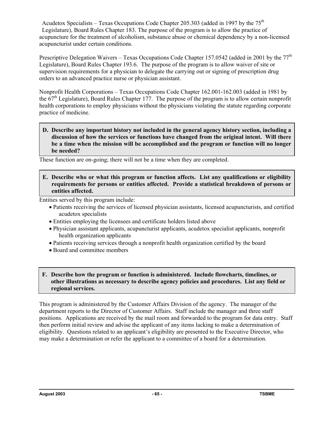Acudetox Specialists – Texas Occupations Code Chapter 205.303 (added in 1997 by the  $75<sup>th</sup>$ Legislature), Board Rules Chapter 183. The purpose of the program is to allow the practice of acupuncture for the treatment of alcoholism, substance abuse or chemical dependency by a non-licensed acupuncturist under certain conditions.

Prescriptive Delegation Waivers – Texas Occupations Code Chapter 157.0542 (added in 2001 by the  $77<sup>th</sup>$ Legislature), Board Rules Chapter 193.6. The purpose of the program is to allow waiver of site or supervision requirements for a physician to delegate the carrying out or signing of prescription drug orders to an advanced practice nurse or physician assistant.

Nonprofit Health Corporations – Texas Occupations Code Chapter 162.001-162.003 (added in 1981 by the  $67<sup>th</sup>$  Legislature), Board Rules Chapter 177. The purpose of the program is to allow certain nonprofit health corporations to employ physicians without the physicians violating the statute regarding corporate practice of medicine.

**D. Describe any important history not included in the general agency history section, including a discussion of how the services or functions have changed from the original intent. Will there be a time when the mission will be accomplished and the program or function will no longer be needed?**

These function are on-going; there will not be a time when they are completed.

**E. Describe who or what this program or function affects. List any qualifications or eligibility requirements for persons or entities affected. Provide a statistical breakdown of persons or entities affected.**

Entities served by this program include:

- Patients receiving the services of licensed physician assistants, licensed acupuncturists, and certified acudetox specialists
- Entities employing the licensees and certificate holders listed above
- Physician assistant applicants, acupuncturist applicants, acudetox specialist applicants, nonprofit health organization applicants
- Patients receiving services through a nonprofit health organization certified by the board
- Board and committee members

### **F. Describe how the program or function is administered. Include flowcharts, timelines, or other illustrations as necessary to describe agency policies and procedures. List any field or regional services.**

This program is administered by the Customer Affairs Division of the agency. The manager of the department reports to the Director of Customer Affairs. Staff include the manager and three staff positions. Applications are received by the mail room and forwarded to the program for data entry. Staff then perform initial review and advise the applicant of any items lacking to make a determination of eligibility. Questions related to an applicant's eligibility are presented to the Executive Director, who may make a determination or refer the applicant to a committee of a board for a determination.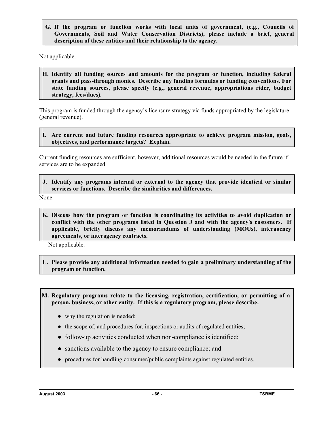**G. If the program or function works with local units of government, (e.g., Councils of Governments, Soil and Water Conservation Districts), please include a brief, general description of these entities and their relationship to the agency.**

Not applicable.

**H. Identify all funding sources and amounts for the program or function, including federal grants and pass-through monies. Describe any funding formulas or funding conventions. For state funding sources, please specify (e.g., general revenue, appropriations rider, budget strategy, fees/dues).**

This program is funded through the agency's licensure strategy via funds appropriated by the legislature (general revenue).

**I. Are current and future funding resources appropriate to achieve program mission, goals, objectives, and performance targets? Explain.**

Current funding resources are sufficient, however, additional resources would be needed in the future if services are to be expanded.

**J. Identify any programs internal or external to the agency that provide identical or similar services or functions. Describe the similarities and differences.** 

None.

**K. Discuss how the program or function is coordinating its activities to avoid duplication or**  conflict with the other programs listed in Question J and with the agency's customers. If **applicable, briefly discuss any memorandums of understanding (MOUs), interagency agreements, or interagency contracts.**

Not applicable.

**L. Please provide any additional information needed to gain a preliminary understanding of the program or function.**

**M. Regulatory programs relate to the licensing, registration, certification, or permitting of a person, business, or other entity. If this is a regulatory program, please describe:**

- why the regulation is needed;
- the scope of, and procedures for, inspections or audits of regulated entities;
- follow-up activities conducted when non-compliance is identified;
- sanctions available to the agency to ensure compliance; and
- procedures for handling consumer/public complaints against regulated entities.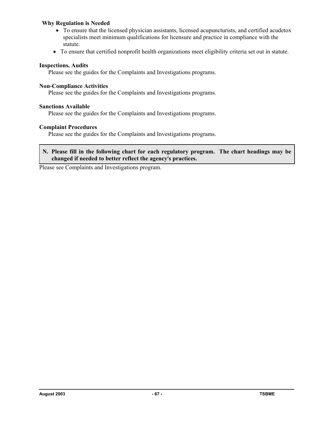#### **Why Regulation is Needed**

- To ensure that the licensed physician assistants, licensed acupuncturists, and certified acudetox specialists meet minimum qualifications for licensure and practice in compliance with the statute.
- To ensure that certified nonprofit health organizations meet eligibility criteria set out in statute.

#### **Inspections, Audits**

Please see the guides for the Complaints and Investigations programs.

#### **Non-Compliance Activities**

Please see the guides for the Complaints and Investigations programs.

#### **Sanctions Available**

Please see the guides for the Complaints and Investigations programs.

#### **Complaint Procedures**

Please see the guides for the Complaints and Investigations programs.

#### **N. Please fill in the following chart for each regulatory program. The chart headings may be changed if needed to better reflect the agency**=**s practices.**

Please see Complaints and Investigations program.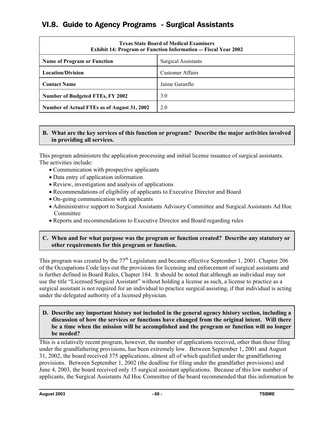# VI.8. Guide to Agency Programs - Surgical Assistants

| <b>Texas State Board of Medical Examiners</b><br><b>Exhibit 14: Program or Function Information — Fiscal Year 2002</b> |                            |
|------------------------------------------------------------------------------------------------------------------------|----------------------------|
| <b>Name of Program or Function</b>                                                                                     | <b>Surgical Assistants</b> |
| <b>Location/Division</b>                                                                                               | <b>Customer Affairs</b>    |
| <b>Contact Name</b>                                                                                                    | Jaime Garanflo             |
| Number of Budgeted FTEs, FY 2002                                                                                       | 3.0                        |
| Number of Actual FTEs as of August 31, 2002                                                                            | 2.0                        |

# **B. What are the key services of this function or program? Describe the major activities involved in providing all services.**

This program administers the application processing and initial license issuance of surgical assistants. The activities include:

- Communication with prospective applicants
- Data entry of application information
- Review, investigation and analysis of applications
- Recommendations of eligibility of applicants to Executive Director and Board
- On-going communication with applicants
- Administrative support to Surgical Assistants Advisory Committee and Surgical Assistants Ad Hoc Committee
- Reports and recommendations to Executive Director and Board regarding rules

#### **C. When and for what purpose was the program or function created? Describe any statutory or other requirements for this program or function.**

This program was created by the  $77<sup>th</sup>$  Legislature and became effective September 1, 2001. Chapter 206 of the Occupations Code lays out the provisions for licensing and enforcement of surgical assistants and is further defined in Board Rules, Chapter 184. It should be noted that although an individual may not use the title "Licensed Surgical Assistant" without holding a license as such, a license to practice as a surgical assistant is not required for an individual to practice surgical assisting, if that individual is acting under the delegated authority of a licensed physician.

**D. Describe any important history not included in the general agency history section, including a discussion of how the services or functions have changed from the original intent. Will there be a time when the mission will be accomplished and the program or function will no longer be needed?**

This is a relatively recent program, however, the number of applications received, other than those filing under the grandfathering provisions, has been extremely low. Between September 1, 2001 and August 31, 2002, the board received 375 applications, almost all of which qualified under the grandfathering provisions. Between September 1, 2002 (the deadline for filing under the grandfather provisions) and June 4, 2003, the board received only 15 surgical assistant applications. Because of this low number of applicants, the Surgical Assistants Ad Hoc Committee of the board recommended that this information be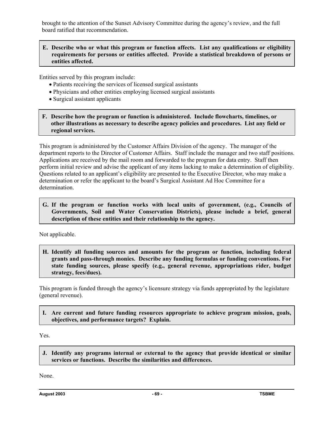brought to the attention of the Sunset Advisory Committee during the agency's review, and the full board ratified that recommendation.

#### **E. Describe who or what this program or function affects. List any qualifications or eligibility requirements for persons or entities affected. Provide a statistical breakdown of persons or entities affected.**

Entities served by this program include:

- Patients receiving the services of licensed surgical assistants
- Physicians and other entities employing licensed surgical assistants
- Surgical assistant applicants
- **F. Describe how the program or function is administered. Include flowcharts, timelines, or other illustrations as necessary to describe agency policies and procedures. List any field or regional services.**

This program is administered by the Customer Affairs Division of the agency. The manager of the department reports to the Director of Customer Affairs. Staff include the manager and two staff positions. Applications are received by the mail room and forwarded to the program for data entry. Staff then perform initial review and advise the applicant of any items lacking to make a determination of eligibility. Questions related to an applicant's eligibility are presented to the Executive Director, who may make a determination or refer the applicant to the board's Surgical Assistant Ad Hoc Committee for a determination.

**G. If the program or function works with local units of government, (e.g., Councils of Governments, Soil and Water Conservation Districts), please include a brief, general description of these entities and their relationship to the agency.**

Not applicable.

**H. Identify all funding sources and amounts for the program or function, including federal grants and pass-through monies. Describe any funding formulas or funding conventions. For state funding sources, please specify (e.g., general revenue, appropriations rider, budget strategy, fees/dues).**

This program is funded through the agency's licensure strategy via funds appropriated by the legislature (general revenue).

**I. Are current and future funding resources appropriate to achieve program mission, goals, objectives, and performance targets? Explain.**

Yes.

**J. Identify any programs internal or external to the agency that provide identical or similar services or functions. Describe the similarities and differences.** 

None.

**August 2003 - 69 - TSBME**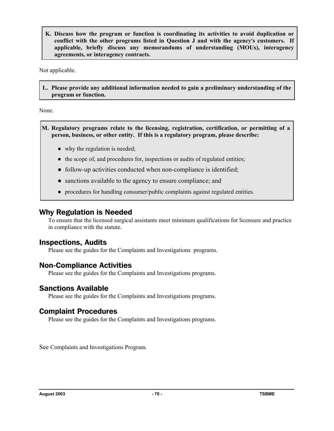**K. Discuss how the program or function is coordinating its activities to avoid duplication or conflict with the other programs listed in Question J and with the agency's customers. If applicable, briefly discuss any memorandums of understanding (MOUs), interagency agreements, or interagency contracts.**

Not applicable.

**L. Please provide any additional information needed to gain a preliminary understanding of the program or function.**

None.

**M. Regulatory programs relate to the licensing, registration, certification, or permitting of a person, business, or other entity. If this is a regulatory program, please describe:**

- why the regulation is needed;
- the scope of, and procedures for, inspections or audits of regulated entities;
- follow-up activities conducted when non-compliance is identified;
- sanctions available to the agency to ensure compliance; and
- procedures for handling consumer/public complaints against regulated entities.

# Why Regulation is Needed

To ensure that the licensed surgical assistants meet minimum qualifications for licensure and practice in compliance with the statute.

# Inspections, Audits

Please see the guides for the Complaints and Investigations programs.

# Non-Compliance Activities

Please see the guides for the Complaints and Investigations programs.

# Sanctions Available

Please see the guides for the Complaints and Investigations programs.

# Complaint Procedures

Please see the guides for the Complaints and Investigations programs.

See Complaints and Investigations Program.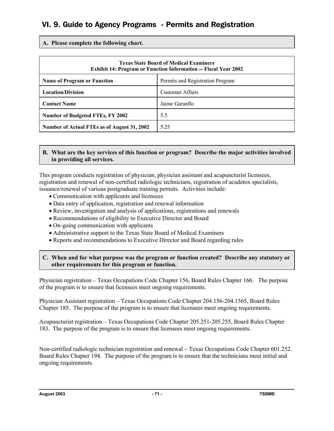# VI. 9. Guide to Agency Programs - Permits and Registration

**A. Please complete the following chart.**

| <b>Texas State Board of Medical Examiners</b><br><b>Exhibit 14: Program or Function Information — Fiscal Year 2002</b> |                                  |
|------------------------------------------------------------------------------------------------------------------------|----------------------------------|
| <b>Name of Program or Function</b>                                                                                     | Permits and Registration Program |
| <b>Location/Division</b>                                                                                               | <b>Customer Affairs</b>          |
| <b>Contact Name</b>                                                                                                    | Jaime Garanflo                   |
| <b>Number of Budgeted FTEs, FY 2002</b>                                                                                | 5.5                              |
| Number of Actual FTEs as of August 31, 2002                                                                            | 5 2 5                            |

## **B. What are the key services of this function or program? Describe the major activities involved in providing all services.**

This program conducts registration of physician, physician assistant and acupuncturist licensees, registration and renewal of non-certified radiologic technicians, registration of acudetox specialists, issuance/renewal of various postgraduate training permits. Activities include:

- Communication with applicants and licensees
- Data entry of application, registration and renewal information
- Review, investigation and analysis of applications, registrations and renewals
- Recommendations of eligibility to Executive Director and Board
- On-going communication with applicants
- Administrative support to the Texas State Board of Medical Examiners
- Reports and recommendations to Executive Director and Board regarding rules

## **C. When and for what purpose was the program or function created? Describe any statutory or other requirements for this program or function.**

Physician registration – Texas Occupations Code Chapter 156, Board Rules Chapter 166. The purpose of the program is to ensure that licensees meet ongoing requirements.

Physician Assistant registration – Texas Occupations Code Chapter 204.156-204.1565, Board Rules Chapter 185. The purpose of the program is to ensure that licensees meet ongoing requirements.

Acupuncturist registration – Texas Occupations Code Chapter 205.251-205.255, Board Rules Chapter 183. The purpose of the program is to ensure that licensees meet ongoing requirements.

Non-certified radiologic technician registration and renewal – Texas Occupations Code Chapter 601.252. Board Rules Chapter 194. The purpose of the program is to ensure that the technicians meet initial and ongoing requirements.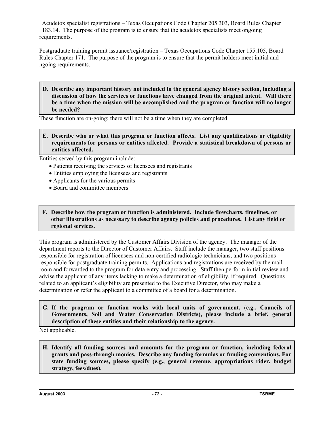Acudetox specialist registrations – Texas Occupations Code Chapter 205.303, Board Rules Chapter 183.14. The purpose of the program is to ensure that the acudetox specialists meet ongoing requirements.

Postgraduate training permit issuance/registration – Texas Occupations Code Chapter 155.105, Board Rules Chapter 171. The purpose of the program is to ensure that the permit holders meet initial and ngoing requirements.

**D. Describe any important history not included in the general agency history section, including a discussion of how the services or functions have changed from the original intent. Will there be a time when the mission will be accomplished and the program or function will no longer be needed?**

These function are on-going; there will not be a time when they are completed.

**E. Describe who or what this program or function affects. List any qualifications or eligibility requirements for persons or entities affected. Provide a statistical breakdown of persons or entities affected.**

Entities served by this program include:

- Patients receiving the services of licensees and registrants
- Entities employing the licensees and registrants
- Applicants for the various permits
- Board and committee members
- **F. Describe how the program or function is administered. Include flowcharts, timelines, or other illustrations as necessary to describe agency policies and procedures. List any field or regional services.**

This program is administered by the Customer Affairs Division of the agency. The manager of the department reports to the Director of Customer Affairs. Staff include the manager, two staff positions responsible for registration of licensees and non-certified radiologic technicians, and two positions responsible for postgraduate training permits. Applications and registrations are received by the mail room and forwarded to the program for data entry and processing. Staff then perform initial review and advise the applicant of any items lacking to make a determination of eligibility, if required. Questions related to an applicant's eligibility are presented to the Executive Director, who may make a determination or refer the applicant to a committee of a board for a determination.

**G. If the program or function works with local units of government, (e.g., Councils of Governments, Soil and Water Conservation Districts), please include a brief, general description of these entities and their relationship to the agency.**

Not applicable.

**H. Identify all funding sources and amounts for the program or function, including federal grants and pass-through monies. Describe any funding formulas or funding conventions. For state funding sources, please specify (e.g., general revenue, appropriations rider, budget strategy, fees/dues).**

**August 2003 120-2003 120-2003 120-2008 120-2008 120-2008 120-2008 120-2008 120-2008 120-2008 120-2008**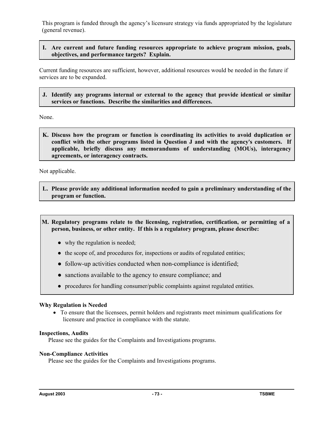This program is funded through the agency's licensure strategy via funds appropriated by the legislature (general revenue).

#### **I. Are current and future funding resources appropriate to achieve program mission, goals, objectives, and performance targets? Explain.**

Current funding resources are sufficient, however, additional resources would be needed in the future if services are to be expanded.

**J. Identify any programs internal or external to the agency that provide identical or similar services or functions. Describe the similarities and differences.** 

None.

**K. Discuss how the program or function is coordinating its activities to avoid duplication or**  conflict with the other programs listed in Question J and with the agency's customers. If **applicable, briefly discuss any memorandums of understanding (MOUs), interagency agreements, or interagency contracts.**

Not applicable.

**L. Please provide any additional information needed to gain a preliminary understanding of the program or function.**

**M. Regulatory programs relate to the licensing, registration, certification, or permitting of a person, business, or other entity. If this is a regulatory program, please describe:**

- why the regulation is needed;
- the scope of, and procedures for, inspections or audits of regulated entities;
- follow-up activities conducted when non-compliance is identified;
- sanctions available to the agency to ensure compliance; and
- procedures for handling consumer/public complaints against regulated entities.

#### **Why Regulation is Needed**

• To ensure that the licensees, permit holders and registrants meet minimum qualifications for licensure and practice in compliance with the statute.

#### **Inspections, Audits**

Please see the guides for the Complaints and Investigations programs.

#### **Non-Compliance Activities**

Please see the guides for the Complaints and Investigations programs.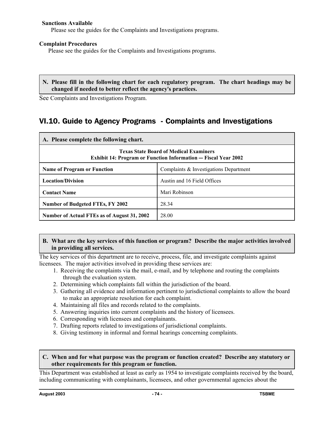#### **Sanctions Available**

Please see the guides for the Complaints and Investigations programs.

#### **Complaint Procedures**

Please see the guides for the Complaints and Investigations programs.

#### **N. Please fill in the following chart for each regulatory program. The chart headings may be changed if needed to better reflect the agency**=**s practices.**

See Complaints and Investigations Program.

# VI.10. Guide to Agency Programs - Complaints and Investigations

| A. Please complete the following chart.                                                                                |                                        |  |  |
|------------------------------------------------------------------------------------------------------------------------|----------------------------------------|--|--|
| <b>Texas State Board of Medical Examiners</b><br><b>Exhibit 14: Program or Function Information — Fiscal Year 2002</b> |                                        |  |  |
| <b>Name of Program or Function</b>                                                                                     | Complaints & Investigations Department |  |  |
| <b>Location/Division</b>                                                                                               | Austin and 16 Field Offices            |  |  |
| <b>Contact Name</b>                                                                                                    | Mari Robinson                          |  |  |
| <b>Number of Budgeted FTEs, FY 2002</b>                                                                                | 28.34                                  |  |  |
| Number of Actual FTEs as of August 31, 2002                                                                            | 28.00                                  |  |  |

#### **B. What are the key services of this function or program? Describe the major activities involved in providing all services.**

The key services of this department are to receive, process, file, and investigate complaints against licensees. The major activities involved in providing these services are:

- 1. Receiving the complaints via the mail, e-mail, and by telephone and routing the complaints through the evaluation system.
- 2. Determining which complaints fall within the jurisdiction of the board.
- 3. Gathering all evidence and information pertinent to jurisdictional complaints to allow the board to make an appropriate resolution for each complaint.
- 4. Maintaining all files and records related to the complaints.
- 5. Answering inquiries into current complaints and the history of licensees.
- 6. Corresponding with licensees and complainants.
- 7. Drafting reports related to investigations of jurisdictional complaints.
- 8. Giving testimony in informal and formal hearings concerning complaints.

#### **C. When and for what purpose was the program or function created? Describe any statutory or other requirements for this program or function.**

This Department was established at least as early as 1954 to investigate complaints received by the board, including communicating with complainants, licensees, and other governmental agencies about the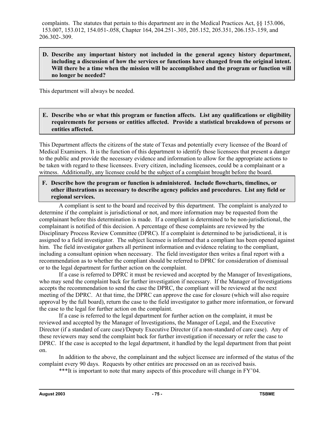complaints. The statutes that pertain to this department are in the Medical Practices Act, §§ 153.006, 153.007, 153.012, 154.051-.058, Chapter 164, 204.251-.305, 205.152, 205.351, 206.153-.159, and 206.302-.309.

#### **D. Describe any important history not included in the general agency history department, including a discussion of how the services or functions have changed from the original intent. Will there be a time when the mission will be accomplished and the program or function will no longer be needed?**

This department will always be needed.

#### **E. Describe who or what this program or function affects. List any qualifications or eligibility requirements for persons or entities affected. Provide a statistical breakdown of persons or entities affected.**

This Department affects the citizens of the state of Texas and potentially every licensee of the Board of Medical Examiners. It is the function of this department to identify those licensees that present a danger to the public and provide the necessary evidence and information to allow for the appropriate actions to be taken with regard to these licensees. Every citizen, including licensees, could be a complainant or a witness. Additionally, any licensee could be the subject of a complaint brought before the board.

**F. Describe how the program or function is administered. Include flowcharts, timelines, or other illustrations as necessary to describe agency policies and procedures. List any field or regional services.**

A compliant is sent to the board and received by this department. The complaint is analyzed to determine if the complaint is jurisdictional or not, and more information may be requested from the complainant before this determination is made. If a compliant is determined to be non-jurisdictional, the complainant is notified of this decision. A percentage of these complaints are reviewed by the Disciplinary Process Review Committee (DPRC). If a complaint is determined to be jurisdictional, it is assigned to a field investigator. The subject licensee is informed that a compliant has been opened against him. The field investigator gathers all pertinent information and evidence relating to the compliant, including a consultant opinion when necessary. The field investigator then writes a final report with a recommendation as to whether the compliant should be referred to DPRC for consideration of dismissal or to the legal department for further action on the complaint.

If a case is referred to DPRC it must be reviewed and accepted by the Manager of Investigations, who may send the complaint back for further investigation if necessary. If the Manager of Investigations accepts the recommendation to send the case the DPRC, the compliant will be reviewed at the next meeting of the DPRC. At that time, the DPRC can approve the case for closure (which will also require approval by the full board), return the case to the field investigator to gather more information, or forward the case to the legal for further action on the complaint.

If a case is referred to the legal department for further action on the complaint, it must be reviewed and accepted by the Manager of Investigations, the Manager of Legal, and the Executive Director (if a standard of care case)/Deputy Executive Director (if a non-standard of care case). Any of these reviewers may send the complaint back for further investigation if necessary or refer the case to DPRC. If the case is accepted to the legal department, it handled by the legal department from that point on.

In addition to the above, the complainant and the subject licensee are informed of the status of the complaint every 90 days. Requests by other entities are processed on an as received basis.

\*\*\*It is important to note that many aspects of this procedure will change in FY'04.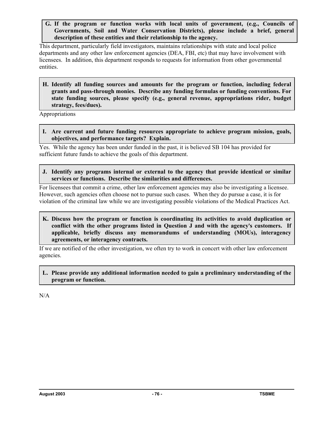**G. If the program or function works with local units of government, (e.g., Councils of Governments, Soil and Water Conservation Districts), please include a brief, general description of these entities and their relationship to the agency.**

This department, particularly field investigators, maintains relationships with state and local police departments and any other law enforcement agencies (DEA, FBI, etc) that may have involvement with licensees. In addition, this department responds to requests for information from other governmental entities.

**H. Identify all funding sources and amounts for the program or function, including federal grants and pass-through monies. Describe any funding formulas or funding conventions. For state funding sources, please specify (e.g., general revenue, appropriations rider, budget strategy, fees/dues).**

Appropriations

**I. Are current and future funding resources appropriate to achieve program mission, goals, objectives, and performance targets? Explain.**

Yes. While the agency has been under funded in the past, it is believed SB 104 has provided for sufficient future funds to achieve the goals of this department.

**J. Identify any programs internal or external to the agency that provide identical or similar services or functions. Describe the similarities and differences.** 

For licensees that commit a crime, other law enforcement agencies may also be investigating a licensee. However, such agencies often choose not to pursue such cases. When they do pursue a case, it is for violation of the criminal law while we are investigating possible violations of the Medical Practices Act.

**K. Discuss how the program or function is coordinating its activities to avoid duplication or**  conflict with the other programs listed in Question J and with the agency's customers. If **applicable, briefly discuss any memorandums of understanding (MOUs), interagency agreements, or interagency contracts.**

If we are notified of the other investigation, we often try to work in concert with other law enforcement agencies.

**L. Please provide any additional information needed to gain a preliminary understanding of the program or function.**

 $N/A$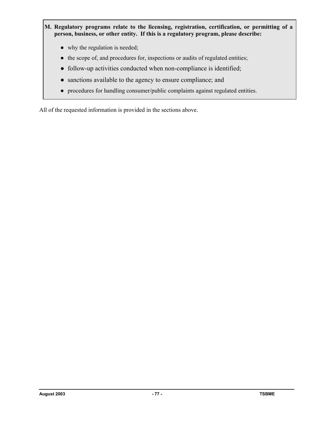- **M. Regulatory programs relate to the licensing, registration, certification, or permitting of a person, business, or other entity. If this is a regulatory program, please describe:**
	- why the regulation is needed;
	- the scope of, and procedures for, inspections or audits of regulated entities;
	- follow-up activities conducted when non-compliance is identified;
	- sanctions available to the agency to ensure compliance; and
	- procedures for handling consumer/public complaints against regulated entities.

All of the requested information is provided in the sections above.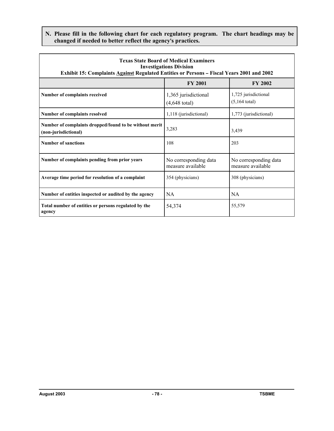**N. Please fill in the following chart for each regulatory program. The chart headings may be changed if needed to better reflect the agency**=**s practices.**

| <b>Texas State Board of Medical Examiners</b><br><b>Investigations Division</b><br><b>Exhibit 15: Complaints Against Regulated Entities or Persons - Fiscal Years 2001 and 2002</b> |                                                 |                                            |  |  |
|-------------------------------------------------------------------------------------------------------------------------------------------------------------------------------------|-------------------------------------------------|--------------------------------------------|--|--|
|                                                                                                                                                                                     | <b>FY 2001</b>                                  | <b>FY 2002</b>                             |  |  |
| Number of complaints received                                                                                                                                                       | 1,365 jurisdictional<br>$(4,648 \text{ total})$ | 1,725 jurisdictional<br>$(5, 164$ total)   |  |  |
| Number of complaints resolved                                                                                                                                                       | 1,118 (jurisdictional)                          | 1,773 (jurisdictional)                     |  |  |
| Number of complaints dropped/found to be without merit<br>(non-jurisdictional)                                                                                                      | 3,283                                           | 3,439                                      |  |  |
| <b>Number of sanctions</b>                                                                                                                                                          | 108                                             | 203                                        |  |  |
| Number of complaints pending from prior years                                                                                                                                       | No corresponding data<br>measure available      | No corresponding data<br>measure available |  |  |
| Average time period for resolution of a complaint                                                                                                                                   | 354 (physicians)                                | 308 (physicians)                           |  |  |
| Number of entities inspected or audited by the agency                                                                                                                               | <b>NA</b>                                       | <b>NA</b>                                  |  |  |
| Total number of entities or persons regulated by the<br>agency                                                                                                                      | 54,374                                          | 55,579                                     |  |  |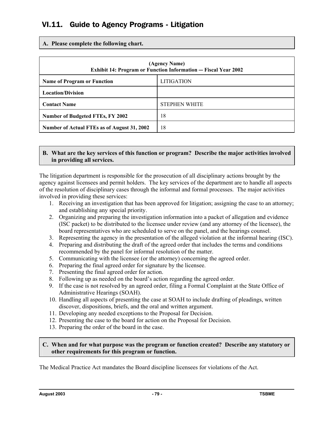# VI.11. Guide to Agency Programs - Litigation

**A. Please complete the following chart.**

| (Agency Name)<br><b>Exhibit 14: Program or Function Information — Fiscal Year 2002</b> |                      |  |  |
|----------------------------------------------------------------------------------------|----------------------|--|--|
| <b>Name of Program or Function</b>                                                     | <b>LITIGATION</b>    |  |  |
| <b>Location/Division</b>                                                               |                      |  |  |
| <b>Contact Name</b>                                                                    | <b>STEPHEN WHITE</b> |  |  |
| 18<br><b>Number of Budgeted FTEs, FY 2002</b>                                          |                      |  |  |
| Number of Actual FTEs as of August 31, 2002                                            | 18                   |  |  |

#### **B. What are the key services of this function or program? Describe the major activities involved in providing all services.**

The litigation department is responsible for the prosecution of all disciplinary actions brought by the agency against licensees and permit holders. The key services of the department are to handle all aspects of the resolution of disciplinary cases through the informal and formal processes. The major activities involved in providing these services:

- 1. Receiving an investigation that has been approved for litigation; assigning the case to an attorney; and establishing any special priority.
- 2. Organizing and preparing the investigation information into a packet of allegation and evidence (ISC packet) to be distributed to the licensee under review (and any attorney of the licensee), the board representatives who are scheduled to serve on the panel, and the hearings counsel.
- 3. Representing the agency in the presentation of the alleged violation at the informal hearing (ISC).
- 4. Preparing and distributing the draft of the agreed order that includes the terms and conditions recommended by the panel for informal resolution of the matter.
- 5. Communicating with the licensee (or the attorney) concerning the agreed order.
- 6. Preparing the final agreed order for signature by the licensee.
- 7. Presenting the final agreed order for action.
- 8. Following up as needed on the board's action regarding the agreed order.
- 9. If the case is not resolved by an agreed order, filing a Formal Complaint at the State Office of Administrative Hearings (SOAH).
- 10. Handling all aspects of presenting the case at SOAH to include drafting of pleadings, written discover, dispositions, briefs, and the oral and written argument.
- 11. Developing any needed exceptions to the Proposal for Decision.
- 12. Presenting the case to the board for action on the Proposal for Decision.
- 13. Preparing the order of the board in the case.

#### **C. When and for what purpose was the program or function created? Describe any statutory or other requirements for this program or function.**

The Medical Practice Act mandates the Board discipline licensees for violations of the Act.

**August 2003 - 79 - TSBME**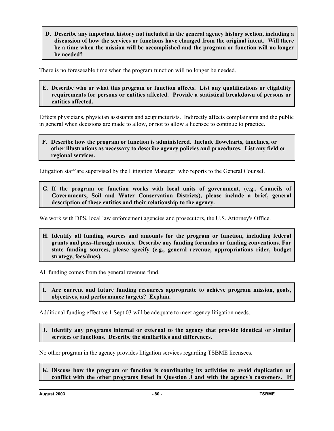**D. Describe any important history not included in the general agency history section, including a discussion of how the services or functions have changed from the original intent. Will there be a time when the mission will be accomplished and the program or function will no longer be needed?**

There is no foreseeable time when the program function will no longer be needed.

**E. Describe who or what this program or function affects. List any qualifications or eligibility requirements for persons or entities affected. Provide a statistical breakdown of persons or entities affected.** 

Effects physicians, physician assistants and acupuncturists. Indirectly affects complainants and the public in general when decisions are made to allow, or not to allow a licensee to continue to practice.

#### **F. Describe how the program or function is administered. Include flowcharts, timelines, or other illustrations as necessary to describe agency policies and procedures. List any field or regional services.**

Litigation staff are supervised by the Litigation Manager who reports to the General Counsel.

**G. If the program or function works with local units of government, (e.g., Councils of Governments, Soil and Water Conservation Districts), please include a brief, general description of these entities and their relationship to the agency.** 

We work with DPS, local law enforcement agencies and prosecutors, the U.S. Attorney's Office.

**H. Identify all funding sources and amounts for the program or function, including federal grants and pass-through monies. Describe any funding formulas or funding conventions. For state funding sources, please specify (e.g., general revenue, appropriations rider, budget strategy, fees/dues).** 

All funding comes from the general revenue fund.

**I. Are current and future funding resources appropriate to achieve program mission, goals, objectives, and performance targets? Explain.** 

Additional funding effective 1 Sept 03 will be adequate to meet agency litigation needs..

**J. Identify any programs internal or external to the agency that provide identical or similar services or functions. Describe the similarities and differences.** 

No other program in the agency provides litigation services regarding TSBME licensees.

**K. Discuss how the program or function is coordinating its activities to avoid duplication or**  conflict with the other programs listed in Question J and with the agency's customers. If

**August 2003 - 80 - TSBME**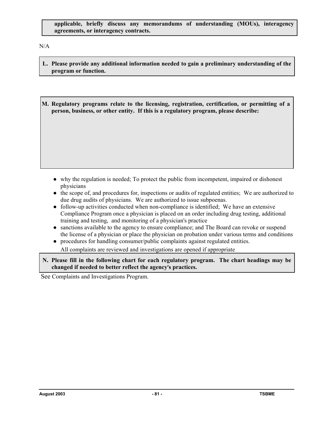N/A

- **L. Please provide any additional information needed to gain a preliminary understanding of the program or function.**
- **M. Regulatory programs relate to the licensing, registration, certification, or permitting of a person, business, or other entity. If this is a regulatory program, please describe:**

- why the regulation is needed; To protect the public from incompetent, impaired or dishonest physicians
- the scope of, and procedures for, inspections or audits of regulated entities; We are authorized to due drug audits of physicians. We are authorized to issue subpoenas.
- follow-up activities conducted when non-compliance is identified; We have an extensive Compliance Program once a physician is placed on an order including drug testing, additional training and testing, and monitoring of a physician's practice
- sanctions available to the agency to ensure compliance; and The Board can revoke or suspend the license of a physician or place the physician on probation under various terms and conditions
- procedures for handling consumer/public complaints against regulated entities. All complaints are reviewed and investigations are opened if appropriate
- **N. Please fill in the following chart for each regulatory program. The chart headings may be changed if needed to better reflect the agency**=**s practices.**

See Complaints and Investigations Program.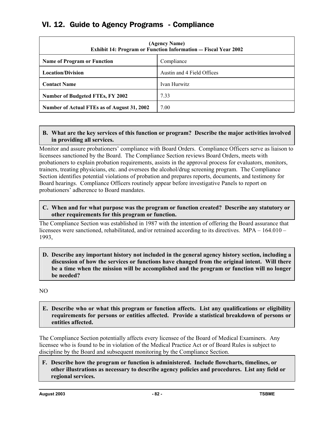# VI. 12. Guide to Agency Programs - Compliance

| (Agency Name)<br><b>Exhibit 14: Program or Function Information - Fiscal Year 2002</b> |                            |  |  |
|----------------------------------------------------------------------------------------|----------------------------|--|--|
| <b>Name of Program or Function</b>                                                     | Compliance                 |  |  |
| <b>Location/Division</b>                                                               | Austin and 4 Field Offices |  |  |
| <b>Contact Name</b>                                                                    | Ivan Hurwitz               |  |  |
| <b>Number of Budgeted FTEs, FY 2002</b>                                                | 7.33                       |  |  |
| 7.00<br>Number of Actual FTEs as of August 31, 2002                                    |                            |  |  |

### **B. What are the key services of this function or program? Describe the major activities involved in providing all services.**

Monitor and assure probationers' compliance with Board Orders. Compliance Officers serve as liaison to licensees sanctioned by the Board. The Compliance Section reviews Board Orders, meets with probationers to explain probation requirements, assists in the approval process for evaluators, monitors, trainers, treating physicians, etc. and oversees the alcohol/drug screening program. The Compliance Section identifies potential violations of probation and prepares reports, documents, and testimony for Board hearings. Compliance Officers routinely appear before investigative Panels to report on probationers' adherence to Board mandates.

#### **C. When and for what purpose was the program or function created? Describe any statutory or other requirements for this program or function.**

The Compliance Section was established in 1987 with the intention of offering the Board assurance that licensees were sanctioned, rehabilitated, and/or retrained according to its directives. MPA – 164.010 – 1993,

#### **D. Describe any important history not included in the general agency history section, including a discussion of how the services or functions have changed from the original intent. Will there be a time when the mission will be accomplished and the program or function will no longer be needed?**

NO

**E. Describe who or what this program or function affects. List any qualifications or eligibility requirements for persons or entities affected. Provide a statistical breakdown of persons or entities affected.**

The Compliance Section potentially affects every licensee of the Board of Medical Examiners. Any licensee who is found to be in violation of the Medical Practice Act or of Board Rules is subject to discipline by the Board and subsequent monitoring by the Compliance Section.

**F. Describe how the program or function is administered. Include flowcharts, timelines, or other illustrations as necessary to describe agency policies and procedures. List any field or regional services.**

**August 2003 - 82 - TSBME**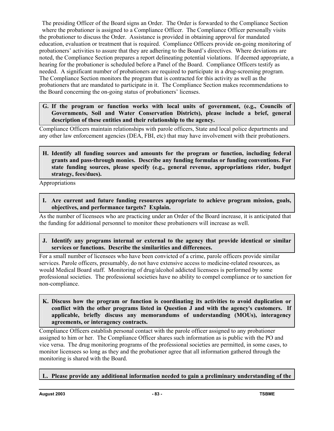The presiding Officer of the Board signs an Order. The Order is forwarded to the Compliance Section where the probationer is assigned to a Compliance Officer. The Compliance Officer personally visits the probationer to discuss the Order. Assistance is provided in obtaining approval for mandated education, evaluation or treatment that is required. Compliance Officers provide on-going monitoring of probationers' activities to assure that they are adhering to the Board's directives. Where deviations are noted, the Compliance Section prepares a report delineating potential violations. If deemed appropriate, a hearing for the probationer is scheduled before a Panel of the Board. Compliance Officers testify as needed. A significant number of probationers are required to participate in a drug-screening program. The Compliance Section monitors the program that is contracted for this activity as well as the probationers that are mandated to participate in it. The Compliance Section makes recommendations to the Board concerning the on-going status of probationers' licenses.

**G. If the program or function works with local units of government, (e.g., Councils of Governments, Soil and Water Conservation Districts), please include a brief, general description of these entities and their relationship to the agency.**

Compliance Officers maintain relationships with parole officers, State and local police departments and any other law enforcement agencies (DEA, FBI, etc) that may have involvement with their probationers.

**H. Identify all funding sources and amounts for the program or function, including federal grants and pass-through monies. Describe any funding formulas or funding conventions. For state funding sources, please specify (e.g., general revenue, appropriations rider, budget strategy, fees/dues).**

Appropriations

**I. Are current and future funding resources appropriate to achieve program mission, goals, objectives, and performance targets? Explain.**

As the number of licensees who are practicing under an Order of the Board increase, it is anticipated that the funding for additional personnel to monitor these probationers will increase as well.

**J. Identify any programs internal or external to the agency that provide identical or similar services or functions. Describe the similarities and differences.** 

For a small number of licensees who have been convicted of a crime, parole officers provide similar services. Parole officers, presumably, do not have extensive access to medicine-related resources, as would Medical Board staff. Monitoring of drug/alcohol addicted licensees is performed by some professional societies. The professional societies have no ability to compel compliance or to sanction for non-compliance.

**K. Discuss how the program or function is coordinating its activities to avoid duplication or**  conflict with the other programs listed in Question J and with the agency's customers. If **applicable, briefly discuss any memorandums of understanding (MOUs), interagency agreements, or interagency contracts.**

Compliance Officers establish personal contact with the parole officer assigned to any probationer assigned to him or her. The Compliance Officer shares such information as is public with the PO and vice versa. The drug monitoring programs of the professional societies are permitted, in some cases, to monitor licensees so long as they and the probationer agree that all information gathered through the monitoring is shared with the Board.

## **L. Please provide any additional information needed to gain a preliminary understanding of the**

**August 2003 188 ME 188 ME 188 ME 188 ME 188 ME 188 ME 188 ME 188 ME**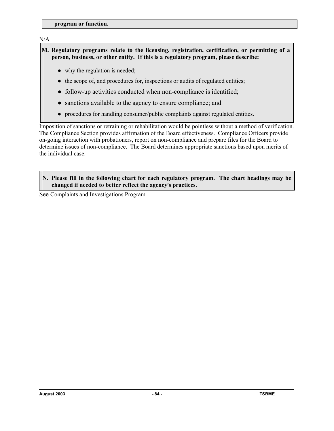**program or function.**

## N/A

**M. Regulatory programs relate to the licensing, registration, certification, or permitting of a person, business, or other entity. If this is a regulatory program, please describe:**

- why the regulation is needed;
- the scope of, and procedures for, inspections or audits of regulated entities;
- follow-up activities conducted when non-compliance is identified;
- sanctions available to the agency to ensure compliance; and
- procedures for handling consumer/public complaints against regulated entities.

Imposition of sanctions or retraining or rehabilitation would be pointless without a method of verification. The Compliance Section provides affirmation of the Board effectiveness. Compliance Officers provide on-going interaction with probationers, report on non-compliance and prepare files for the Board to determine issues of non-compliance. The Board determines appropriate sanctions based upon merits of the individual case.

#### **N. Please fill in the following chart for each regulatory program. The chart headings may be changed if needed to better reflect the agency**=**s practices.**

See Complaints and Investigations Program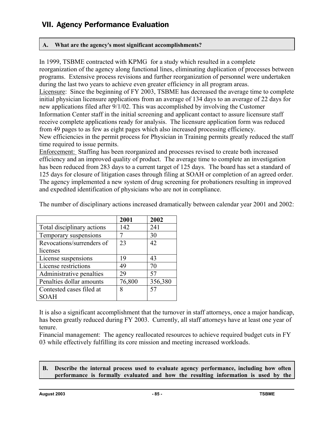# VII. Agency Performance Evaluation

## **A. What are the agency**=**s most significant accomplishments?**

In 1999, TSBME contracted with KPMG for a study which resulted in a complete reorganization of the agency along functional lines, eliminating duplication of processes between programs. Extensive process revisions and further reorganization of personnel were undertaken during the last two years to achieve even greater efficiency in all program areas. Licensure: Since the beginning of FY 2003, TSBME has decreased the average time to complete initial physician licensure applications from an average of 134 days to an average of 22 days for new applications filed after 9/1/02. This was accomplished by involving the Customer Information Center staff in the initial screening and applicant contact to assure licensure staff receive complete applications ready for analysis. The licensure application form was reduced from 49 pages to as few as eight pages which also increased processing efficiency. New efficiencies in the permit process for Physician in Training permits greatly reduced the staff time required to issue permits.

Enforcement: Staffing has been reorganized and processes revised to create both increased efficiency and an improved quality of product. The average time to complete an investigation has been reduced from 283 days to a current target of 125 days. The board has set a standard of 125 days for closure of litigation cases through filing at SOAH or completion of an agreed order. The agency implemented a new system of drug screening for probationers resulting in improved and expedited identification of physicians who are not in compliance.

|                            | 2001   | 2002    |
|----------------------------|--------|---------|
| Total disciplinary actions | 142    | 241     |
| Temporary suspensions      |        | 30      |
| Revocations/surrenders of  | 23     | 42      |
| licenses                   |        |         |
| License suspensions        | 19     | 43      |
| License restrictions       | 49     | 70      |
| Administrative penalties   | 29     | 57      |
| Penalties dollar amounts   | 76,800 | 356,380 |
| Contested cases filed at   |        | 57      |
| SOAH                       |        |         |

The number of disciplinary actions increased dramatically between calendar year 2001 and 2002:

It is also a significant accomplishment that the turnover in staff attorneys, once a major handicap, has been greatly reduced during FY 2003. Currently, all staff attorneys have at least one year of tenure.

Financial management: The agency reallocated resources to achieve required budget cuts in FY 03 while effectively fulfilling its core mission and meeting increased workloads.

### **B. Describe the internal process used to evaluate agency performance, including how often performance is formally evaluated and how the resulting information is used by the**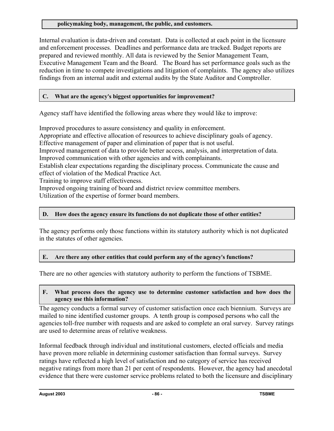### **policymaking body, management, the public, and customers.**

Internal evaluation is data-driven and constant. Data is collected at each point in the licensure and enforcement processes. Deadlines and performance data are tracked. Budget reports are prepared and reviewed monthly. All data is reviewed by the Senior Management Team, Executive Management Team and the Board. The Board has set performance goals such as the reduction in time to compete investigations and litigation of complaints. The agency also utilizes findings from an internal audit and external audits by the State Auditor and Comptroller.

## **C. What are the agency**=**s biggest opportunities for improvement?**

Agency staff have identified the following areas where they would like to improve:

Improved procedures to assure consistency and quality in enforcement.

Appropriate and effective allocation of resources to achieve disciplinary goals of agency.

Effective management of paper and elimination of paper that is not useful.

Improved management of data to provide better access, analysis, and interpretation of data. Improved communication with other agencies and with complainants.

Establish clear expectations regarding the disciplinary process. Communicate the cause and effect of violation of the Medical Practice Act.

Training to improve staff effectiveness.

Improved ongoing training of board and district review committee members.

Utilization of the expertise of former board members.

## **D. How does the agency ensure its functions do not duplicate those of other entities?**

The agency performs only those functions within its statutory authority which is not duplicated in the statutes of other agencies.

## **E.** Are there any other entities that could perform any of the agency's functions?

There are no other agencies with statutory authority to perform the functions of TSBME.

#### **F. What process does the agency use to determine customer satisfaction and how does the agency use this information?**

The agency conducts a formal survey of customer satisfaction once each biennium. Surveys are mailed to nine identified customer groups. A tenth group is composed persons who call the agencies toll-free number with requests and are asked to complete an oral survey. Survey ratings are used to determine areas of relative weakness.

Informal feedback through individual and institutional customers, elected officials and media have proven more reliable in determining customer satisfaction than formal surveys. Survey ratings have reflected a high level of satisfaction and no category of service has received negative ratings from more than 21 per cent of respondents. However, the agency had anecdotal evidence that there were customer service problems related to both the licensure and disciplinary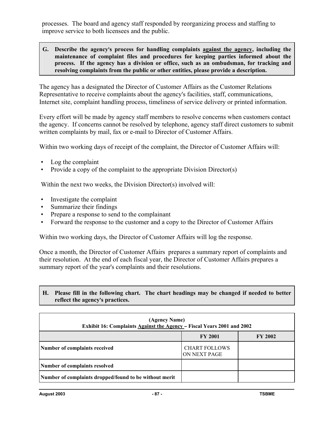processes. The board and agency staff responded by reorganizing process and staffing to improve service to both licensees and the public.

### **G. Describe the agency**=**s process for handling complaints against the agency, including the maintenance of complaint files and procedures for keeping parties informed about the process. If the agency has a division or office, such as an ombudsman, for tracking and resolving complaints from the public or other entities, please provide a description.**

The agency has a designated the Director of Customer Affairs as the Customer Relations Representative to receive complaints about the agency's facilities, staff, communications, Internet site, complaint handling process, timeliness of service delivery or printed information.

Every effort will be made by agency staff members to resolve concerns when customers contact the agency. If concerns cannot be resolved by telephone, agency staff direct customers to submit written complaints by mail, fax or e-mail to Director of Customer Affairs.

Within two working days of receipt of the complaint, the Director of Customer Affairs will:

- Log the complaint
- Provide a copy of the complaint to the appropriate Division Director(s)

Within the next two weeks, the Division Director(s) involved will:

- Investigate the complaint
- Summarize their findings
- Prepare a response to send to the complainant
- Forward the response to the customer and a copy to the Director of Customer Affairs

Within two working days, the Director of Customer Affairs will log the response.

Once a month, the Director of Customer Affairs prepares a summary report of complaints and their resolution. At the end of each fiscal year, the Director of Customer Affairs prepares a summary report of the year's complaints and their resolutions.

### **H. Please fill in the following chart. The chart headings may be changed if needed to better reflect the agency**=**s practices.**

| (Agency Name)<br>Exhibit 16: Complaints <b>Against the Agency</b> - Fiscal Years 2001 and 2002 |                                      |  |  |  |
|------------------------------------------------------------------------------------------------|--------------------------------------|--|--|--|
| <b>FY 2001</b><br><b>FY 2002</b>                                                               |                                      |  |  |  |
| Number of complaints received                                                                  | <b>CHART FOLLOWS</b><br>ON NEXT PAGE |  |  |  |
| Number of complaints resolved                                                                  |                                      |  |  |  |
| Number of complaints dropped/found to be without merit                                         |                                      |  |  |  |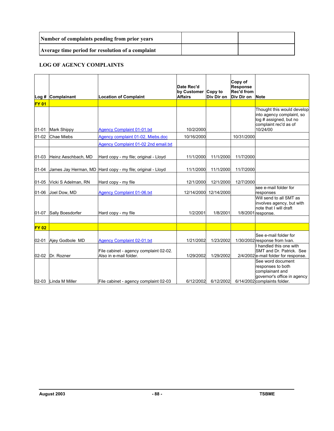| Number of complaints pending from prior years     |  |
|---------------------------------------------------|--|
| Average time period for resolution of a complaint |  |

#### **LOG OF AGENCY COMPLAINTS**

|              | Log # Complainant    | <b>Location of Complaint</b>                                     | Date Rec'd<br>by Customer Copy to<br><b>Affairs</b> | Div Dir on | Copy of<br><b>Response</b><br>Rec'd from<br>Div Dir on | <b>Note</b>                                                                                                              |
|--------------|----------------------|------------------------------------------------------------------|-----------------------------------------------------|------------|--------------------------------------------------------|--------------------------------------------------------------------------------------------------------------------------|
| <b>FY 01</b> |                      |                                                                  |                                                     |            |                                                        |                                                                                                                          |
| $01 - 01$    | <b>Mark Shippy</b>   | <b>Agency Complaint 01-01.txt</b>                                | 10/2/2000                                           |            |                                                        | Thought this would develop<br>into agency complaint, so<br>log # assigned, but no<br>complaint rec'd as of<br>10/24/00   |
| $01-02$      | <b>Chae Miebs</b>    | Agency complaint 01-02. Miebs.doc                                | 10/16/2000                                          |            | 10/31/2000                                             |                                                                                                                          |
|              |                      | Agency Complaint 01-02 2nd email.txt                             |                                                     |            |                                                        |                                                                                                                          |
| $01 - 03$    | Heinz Aeschbach, MD  | Hard copy - my file; original - Lloyd                            | 11/1/2000                                           | 11/1/2000  | 11/7/2000                                              |                                                                                                                          |
| $01 - 04$    |                      | James Jay Herman, MD Hard copy - my file; original - Lloyd       | 11/1/2000                                           | 11/1/2000  | 11/7/2000                                              |                                                                                                                          |
| $01 - 05$    | Vicki S Adelman, RN  | Hard copy - my file                                              | 12/1/2000                                           | 12/1/2000  | 12/7/2000                                              |                                                                                                                          |
| 01-06        | Joel Dow, MD         | <b>Agency Complaint 01-06.txt</b>                                | 12/14/2000                                          | 12/14/2000 |                                                        | see e-mail folder for<br>responses                                                                                       |
| 01-07        | Sally Boesdorfer     | Hard copy - my file                                              | 1/2/2001                                            | 1/8/2001   |                                                        | Will send to all SMT as<br>involves agency, but with<br>note that I will draft<br>1/8/2001 response.                     |
|              |                      |                                                                  |                                                     |            |                                                        |                                                                                                                          |
| <b>FY 02</b> |                      |                                                                  |                                                     |            |                                                        |                                                                                                                          |
| $02 - 01$    | Ajey Godbole MD      | <b>Agency Complaint 02-01.txt</b>                                | 1/21/2002                                           | 1/23/2002  |                                                        | See e-mail folder for<br>1/30/2002 response from Ivan.                                                                   |
| $02 - 02$    | Dr. Rozner           | File cabinet - agency complaint 02-02.<br>Also in e-mail folder. | 1/29/2002                                           | 1/29/2002  |                                                        | I handled this one with<br>SMT and Dr. Patrick. See<br>2/4/2002 e-mail folder for response.                              |
|              | 02-03 Linda M Miller | File cabinet - agency complaint 02-03                            | 6/12/2002                                           | 6/12/2002  |                                                        | See word document<br>responses to both<br>complainant and<br>governor's office in agency<br>6/14/2002 complaints folder. |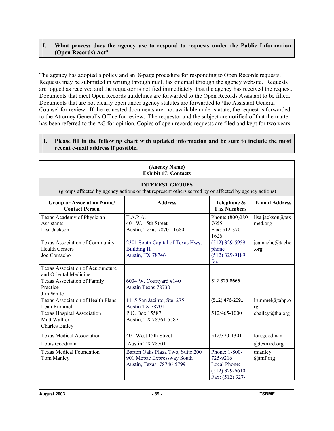#### **I. What process does the agency use to respond to requests under the Public Information (Open Records) Act?**

The agency has adopted a policy and an 8-page procedure for responding to Open Records requests. Requests may be submitted in writing through mail, fax or email through the agency website. Requests are logged as received and the requestor is notified immediately that the agency has received the request. Documents that meet Open Records guidelines are forwarded to the Open Records Assistant to be filled. Documents that are not clearly open under agency statutes are forwarded to \the Assistant General Counsel for review. If the requested documents are not available under statute, the request is forwarded to the Attorney General's Office for review. The requestor and the subject are notified of that the matter has been referred to the AG for opinion. Copies of open records requests are filed and kept for two years.

#### **J. Please fill in the following chart with updated information and be sure to include the most recent e-mail address if possible.**

| (Agency Name)<br><b>Exhibit 17: Contacts</b>                               |                                                                                                                                |                                                                                  |                             |  |
|----------------------------------------------------------------------------|--------------------------------------------------------------------------------------------------------------------------------|----------------------------------------------------------------------------------|-----------------------------|--|
|                                                                            | <b>INTEREST GROUPS</b><br>(groups affected by agency actions or that represent others served by or affected by agency actions) |                                                                                  |                             |  |
| <b>Group or Association Name/</b><br><b>Contact Person</b>                 | <b>Address</b>                                                                                                                 | Telephone &<br><b>Fax Numbers</b>                                                | <b>E-mail Address</b>       |  |
| Texas Academy of Physician<br><b>Assistants</b><br>Lisa Jackson            | T.A.P.A.<br>401 W. 15th Street<br>Austin, Texas 78701-1680                                                                     | Phone: (800)280-<br>7655<br>Fax: 512-370-<br>1626                                | lisa.jackson@tex<br>med.org |  |
| Texas Association of Community<br><b>Health Centers</b><br>Joe Comacho     | 2301 South Capital of Texas Hwy.<br><b>Building H</b><br><b>Austin, TX 78746</b>                                               | $(512)$ 329-5959<br>phone<br>$(512)$ 329-9189<br>fax                             | jcamacho@tachc<br>.org      |  |
| Texas Association of Acupuncture<br>and Oriental Medicine                  |                                                                                                                                |                                                                                  |                             |  |
| <b>Texas Association of Family</b><br>Practice<br>Jim White                | 6034 W. Courtyard #140<br>Austin Texas 78730                                                                                   | 512-329-8666                                                                     |                             |  |
| <b>Texas Association of Health Plans</b><br>Leah Rummel                    | 1115 San Jacinto, Ste. 275<br>Austin TX 78701                                                                                  | $(512)$ 476-2091                                                                 | lrummel@tahp.o<br>rg        |  |
| <b>Texas Hospital Association</b><br>Matt Wall or<br><b>Charles Bailey</b> | P.O. Box 15587<br>Austin, TX 78761-5587                                                                                        | 512/465-1000                                                                     | cbailey@tha.org             |  |
| <b>Texas Medical Association</b><br>Louis Goodman                          | 401 West 15th Street<br>Austin TX 78701                                                                                        | 512/370-1301                                                                     | lou.goodman<br>@texmed.org  |  |
| <b>Texas Medical Foundation</b><br>Tom Manley                              | Barton Oaks Plaza Two, Suite 200<br>901 Mopac Expressway South<br>Austin, Texas 78746-5799                                     | Phone: 1-800-<br>725-9216<br>Local Phone:<br>$(512)$ 329-6610<br>Fax: (512) 327- | tmanley<br>@tmf.org         |  |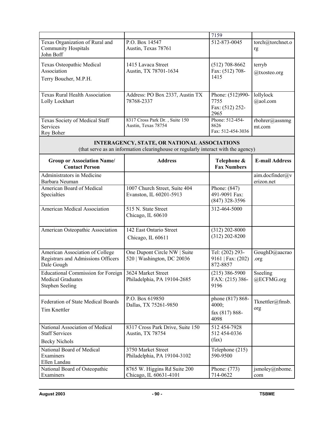|                                                                                                             |                                                                                                                                    | 7159                                                |                               |
|-------------------------------------------------------------------------------------------------------------|------------------------------------------------------------------------------------------------------------------------------------|-----------------------------------------------------|-------------------------------|
| Texas Organization of Rural and<br><b>Community Hospitals</b><br>John Boff                                  | P.O. Box 14547<br>Austin, Texas 78761                                                                                              | 512-873-0045                                        | torch@torchnet.o<br>rg        |
| Texas Osteopathic Medical<br>Association<br>Terry Boucher, M.P.H.                                           | 1415 Lavaca Street<br>Austin, TX 78701-1634                                                                                        | $(512)$ 708-8662<br>Fax: (512) 708-<br>1415         | terryb<br>@txosteo.org        |
| <b>Texas Rural Health Association</b><br>Lolly Lockhart                                                     | Address: PO Box 2337, Austin TX<br>78768-2337                                                                                      | Phone: (512)990-<br>7755<br>Fax: (512) 252-<br>2965 | lollylock<br>@aol.com         |
| Texas Society of Medical Staff<br>Services<br>Roy Boher                                                     | 8317 Cross Park Dr., Suite 150<br>Austin, Texas 78754                                                                              | Phone: 512-454-<br>8626<br>Fax: 512-454-3036        | rbohrer@assnmg<br>mt.com      |
|                                                                                                             | INTERAGENCY, STATE, OR NATIONAL ASSOCIATIONS<br>(that serve as an information clearinghouse or regularly interact with the agency) |                                                     |                               |
| <b>Group or Association Name/</b><br><b>Contact Person</b>                                                  | <b>Address</b>                                                                                                                     | Telephone &<br><b>Fax Numbers</b>                   | <b>E-mail Address</b>         |
| Administrators in Medicine<br>Barbara Neuman                                                                |                                                                                                                                    |                                                     | aim.docfinder@v<br>erizon.net |
| American Board of Medical<br>Specialties                                                                    | 1007 Church Street, Suite 404<br>Evanston, IL 60201-5913                                                                           | Phone: (847)<br>491-9091 Fax:<br>$(847)$ 328-3596   |                               |
| American Medical Association                                                                                | 515 N. State Street<br>Chicago, IL 60610                                                                                           | 312-464-5000                                        |                               |
| American Osteopathic Association                                                                            | 142 East Ontario Street<br>Chicago, IL 60611                                                                                       | $(312)$ 202-8000<br>$(312) 202 - 8200$              |                               |
| American Association of College<br>Registrars and Admissions Officers<br>Dale Gough                         | One Dupont Circle NW   Suite<br>520   Washington, DC 20036                                                                         | Tel: (202) 293-<br>9161   Fax: (202)<br>872-8857    | GoughD@aacrao<br>.org         |
| Educational Commission for Foreign 3624 Market Street<br><b>Medical Graduates</b><br><b>Stephen Seeling</b> | Philadelphia, PA 19104-2685                                                                                                        | $(215)$ 386-5900<br>FAX: (215) 386-<br>9196         | Sseeling<br>@ECFMG.org        |
| Federation of State Medical Boards<br>Tim Knettler                                                          | P.O. Box 619850<br>Dallas, TX 75261-9850                                                                                           | phone (817) 868-<br>4000;<br>fax (817) 868-<br>4098 | Tknettler@fmsb.<br>org        |
| National Association of Medical<br><b>Staff Services</b><br><b>Becky Nichols</b>                            | 8317 Cross Park Drive, Suite 150<br>Austin, TX 78754                                                                               | 512 454-7928<br>512 454-0336<br>(fax)               |                               |
| National Board of Medical<br>Examiners<br>Ellen Landau                                                      | 3750 Market Street<br>Philadelphia, PA 19104-3102                                                                                  | Telephone (215)<br>590-9500                         |                               |
| National Board of Osteopathic<br>Examiners                                                                  | 8765 W. Higgins Rd Suite 200<br>Chicago, IL 60631-4101                                                                             | Phone: (773)<br>714-0622                            | jsmoley@nbome.<br>com         |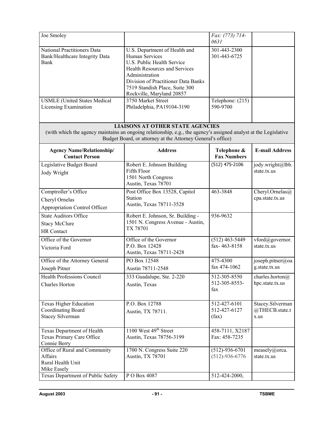| Joe Smoley                                                                     |                                                                                                                                                                                                                                               | Fax: (773) 714-<br>0631                  |                                            |
|--------------------------------------------------------------------------------|-----------------------------------------------------------------------------------------------------------------------------------------------------------------------------------------------------------------------------------------------|------------------------------------------|--------------------------------------------|
| National Practitioners Data<br>Bank/Healthcare Integrity Data<br>Bank          | U.S. Department of Health and<br>Human Services<br>U.S. Public Health Service<br><b>Health Resources and Services</b><br>Administration<br>Division of Practitioner Data Banks<br>7519 Standish Place, Suite 300<br>Rockville, Maryland 20857 | 301-443-2300<br>301-443-6725             |                                            |
| <b>USMLE</b> (United States Medical<br>Licensing Examination                   | 3750 Market Street<br>Philadelphia, PA19104-3190                                                                                                                                                                                              | Telephone: (215)<br>590-9700             |                                            |
|                                                                                | <b>LIAISONS AT OTHER STATE AGENCIES</b><br>(with which the agency maintains an ongoing relationship, e.g., the agency's assigned analyst at the Legislative<br>Budget Board, or attorney at the Attorney General's office)                    |                                          |                                            |
| <b>Agency Name/Relationship/</b><br><b>Contact Person</b>                      | <b>Address</b>                                                                                                                                                                                                                                | Telephone &<br><b>Fax Numbers</b>        | <b>E-mail Address</b>                      |
| Legislative Budget Board<br>Jody Wright                                        | Robert E. Johnson Building<br>Fifth Floor<br>1501 North Congress<br>Austin, Texas 78701                                                                                                                                                       | $(512)$ 475-2106                         | jody.wright@lbb.<br>state.tx.us            |
| Comptroller's Office<br>Cheryl Ornelas<br>Appropriation Control Officer        | Post Office Box 13528, Capitol<br><b>Station</b><br>Austin, Texas 78711-3528                                                                                                                                                                  | 463-3848                                 | Cheryl.Ornelas@<br>cpa.state.tx.us         |
| <b>State Auditors Office</b><br><b>Stacy McClure</b><br><b>HR</b> Contact      | Robert E. Johnson, Sr. Building -<br>1501 N. Congress Avenue - Austin,<br>TX 78701                                                                                                                                                            | 936-9632                                 |                                            |
| Office of the Governor<br>Victoria Ford                                        | Office of the Governor<br>P.O. Box 12428<br>Austin, Texas 78711-2428                                                                                                                                                                          | $(512)$ 463-5449<br>fax-463-8158         | vford@governor.<br>state.tx.us             |
| Office of the Attorney General<br>Joseph Pitner                                | PO Box 12548<br>Austin 78711-2548                                                                                                                                                                                                             | 475-4300<br>fax 474-1062                 | joseph.pitner@oa<br>g.state.tx.us          |
| Health Professions Council<br>Charles Horton                                   | 333 Guadalupe, Ste. 2-220<br>Austin, Texas                                                                                                                                                                                                    | 512-305-8550<br>512-305-8553-<br>fax     | charles.horton $@$<br>hpc.state.tx.us      |
| <b>Texas Higher Education</b><br>Coordinating Board<br><b>Stacey Silverman</b> | P.O. Box 12788<br>Austin, TX 78711.                                                                                                                                                                                                           | 512-427-6101<br>512-427-6127<br>(fax)    | Stacey.Silverman<br>@THECB.state.t<br>x.us |
| Texas Department of Health<br>Texas Primary Care Office<br>Connie Berry        | 1100 West 49 <sup>th</sup> Street<br>Austin, Texas 78756-3199                                                                                                                                                                                 | 458-7111, X2187<br>Fax: 458-7235         |                                            |
| Office of Rural and Community<br>Affairs<br>Rural Health Unit<br>Mike Easely   | 1700 N. Congress Suite 220<br>Austin, TX 78701                                                                                                                                                                                                | $(512) - 936 - 6701$<br>$(512)-936-6776$ | measely@orca.<br>state.tx.us               |
| Texas Department of Public Safety                                              | PO Box 4087                                                                                                                                                                                                                                   | 512-424-2000,                            |                                            |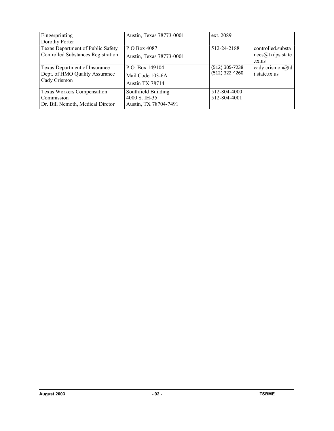| Fingerprinting<br>Dorothy Porter                                                    | Austin, Texas 78773-0001                                      | ext. 2089                        |                                                 |
|-------------------------------------------------------------------------------------|---------------------------------------------------------------|----------------------------------|-------------------------------------------------|
| Texas Department of Public Safety<br><b>Controlled Substances Registration</b>      | P O Box 4087<br>Austin, Texas 78773-0001                      | 512-24-2188                      | controlled.substa<br>nces@txdps.state<br>.tx.us |
| Texas Department of Insurance<br>Dept. of HMO Quality Assurance<br>Cady Crismon     | P.O. Box 149104<br>Mail Code 103-6A<br>Austin TX 78714        | (512) 305-7238<br>(512) 322-4260 | cady.crismon@td<br>i.state.tx.us                |
| <b>Texas Workers Compensation</b><br>Commission<br>Dr. Bill Nemoth, Medical Dirctor | Southfield Building<br>4000 S. IH-35<br>Austin, TX 78704-7491 | 512-804-4000<br>512-804-4001     |                                                 |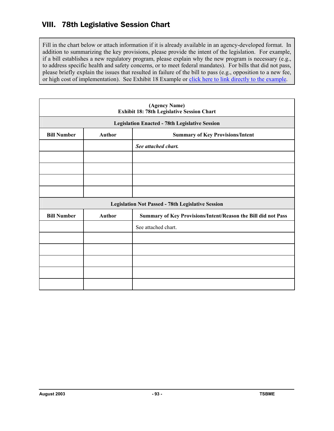# VIII. 78th Legislative Session Chart

Fill in the chart below or attach information if it is already available in an agency-developed format. In addition to summarizing the key provisions, please provide the intent of the legislation. For example, if a bill establishes a new regulatory program, please explain why the new program is necessary (e.g., to address specific health and safety concerns, or to meet federal mandates). For bills that did not pass, please briefly explain the issues that resulted in failure of the bill to pass (e.g., opposition to a new fee, or high cost of implementation). See Exhibit 18 Example or click here to link directly to the example.

|                    |                                                                                | (Agency Name)<br>Exhibit 18: 78th Legislative Session Chart |  |
|--------------------|--------------------------------------------------------------------------------|-------------------------------------------------------------|--|
|                    | <b>Legislation Enacted - 78th Legislative Session</b>                          |                                                             |  |
| <b>Bill Number</b> | <b>Author</b><br><b>Summary of Key Provisions/Intent</b>                       |                                                             |  |
|                    |                                                                                | See attached chart.                                         |  |
|                    |                                                                                |                                                             |  |
|                    |                                                                                |                                                             |  |
|                    |                                                                                |                                                             |  |
|                    |                                                                                |                                                             |  |
|                    |                                                                                | <b>Legislation Not Passed - 78th Legislative Session</b>    |  |
| <b>Bill Number</b> | <b>Author</b><br>Summary of Key Provisions/Intent/Reason the Bill did not Pass |                                                             |  |
|                    |                                                                                | See attached chart.                                         |  |
|                    |                                                                                |                                                             |  |
|                    |                                                                                |                                                             |  |
|                    |                                                                                |                                                             |  |
|                    |                                                                                |                                                             |  |
|                    |                                                                                |                                                             |  |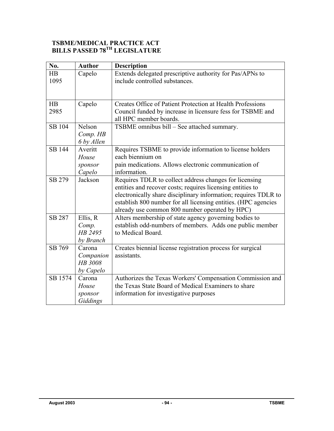### **TSBME/MEDICAL PRACTICE ACT BILLS PASSED 78TH LEGISLATURE**

| No.           | <b>Author</b> | <b>Description</b>                                              |
|---------------|---------------|-----------------------------------------------------------------|
| HB            | Capelo        | Extends delegated prescriptive authority for Pas/APNs to        |
| 1095          |               | include controlled substances.                                  |
|               |               |                                                                 |
|               |               |                                                                 |
| HB            | Capelo        | Creates Office of Patient Protection at Health Professions      |
| 2985          |               | Council funded by increase in licensure fess for TSBME and      |
|               |               | all HPC member boards.                                          |
| SB 104        | Nelson        | TSBME omnibus bill – See attached summary.                      |
|               | Comp. HB      |                                                                 |
|               | 6 by Allen    |                                                                 |
| <b>SB 144</b> | Averitt       | Requires TSBME to provide information to license holders        |
|               | House         | each biennium on                                                |
|               | sponsor       | pain medications. Allows electronic communication of            |
|               | Capelo        | information.                                                    |
| SB 279        | Jackson       | Requires TDLR to collect address changes for licensing          |
|               |               | entities and recover costs; requires licensing entities to      |
|               |               | electronically share disciplinary information; requires TDLR to |
|               |               | establish 800 number for all licensing entities. (HPC agencies  |
|               |               | already use common 800 number operated by HPC)                  |
| SB 287        | Ellis, R      | Alters membership of state agency governing bodies to           |
|               | Comp.         | establish odd-numbers of members. Adds one public member        |
|               | HB 2495       | to Medical Board.                                               |
|               | by Branch     |                                                                 |
| SB 769        | Carona        | Creates biennial license registration process for surgical      |
|               | Companion     | assistants.                                                     |
|               | HB 3008       |                                                                 |
|               | by Capelo     |                                                                 |
| SB 1574       | Carona        | Authorizes the Texas Workers' Compensation Commission and       |
|               | House         | the Texas State Board of Medical Examiners to share             |
|               | sponsor       | information for investigative purposes                          |
|               | Giddings      |                                                                 |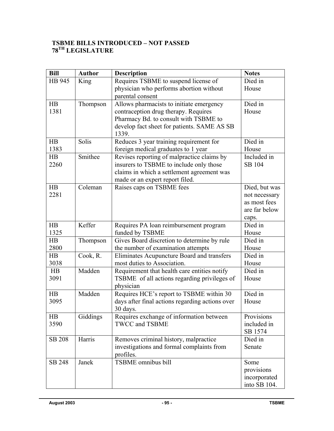### **TSBME BILLS INTRODUCED – NOT PASSED 78TH LEGISLATURE**

| <b>Bill</b>   | <b>Author</b> | <b>Description</b>                              | <b>Notes</b>  |
|---------------|---------------|-------------------------------------------------|---------------|
| HB 945        | King          | Requires TSBME to suspend license of            | Died in       |
|               |               | physician who performs abortion without         | House         |
|               |               | parental consent                                |               |
| HB            | Thompson      | Allows pharmacists to initiate emergency        | Died in       |
| 1381          |               | contraception drug therapy. Requires            | House         |
|               |               | Pharmacy Bd. to consult with TSBME to           |               |
|               |               | develop fact sheet for patients. SAME AS SB     |               |
|               |               | 1339.                                           |               |
| HB            | Solis         | Reduces 3 year training requirement for         | Died in       |
| 1383          |               | foreign medical graduates to 1 year             | House         |
| HB            | Smithee       | Revises reporting of malpractice claims by      | Included in   |
| 2260          |               | insurers to TSBME to include only those         | SB 104        |
|               |               | claims in which a settlement agreement was      |               |
|               |               | made or an expert report filed.                 |               |
| HB            | Coleman       | Raises caps on TSBME fees                       | Died, but was |
| 2281          |               |                                                 | not necessary |
|               |               |                                                 | as most fees  |
|               |               |                                                 | are far below |
|               |               |                                                 | caps.         |
| HB            | Keffer        | Requires PA loan reimbursement program          | Died in       |
| 1325          |               | funded by TSBME                                 | House         |
| HB            | Thompson      | Gives Board discretion to determine by rule     | Died in       |
| 2800          |               | the number of examination attempts              | House         |
| HB            | Cook, R.      | Eliminates Acupuncture Board and transfers      | Died in       |
| 3038          |               | most duties to Association.                     | House         |
| HB            | Madden        | Requirement that health care entities notify    | Died in       |
| 3091          |               | TSBME of all actions regarding privileges of    | House         |
|               |               | physician                                       |               |
| HB            | Madden        | Requires HCE's report to TSBME within 30        | Died in       |
| 3095          |               | days after final actions regarding actions over | House         |
|               |               | 30 days.                                        |               |
| HB            | Giddings      | Requires exchange of information between        | Provisions    |
| 3590          |               | <b>TWCC and TSBME</b>                           | included in   |
|               |               |                                                 | SB 1574       |
| <b>SB 208</b> | Harris        | Removes criminal history, malpractice           | Died in       |
|               |               | investigations and formal complaints from       | Senate        |
|               |               | profiles.                                       |               |
| SB 248        | Janek         | TSBME omnibus bill                              | Some          |
|               |               |                                                 | provisions    |
|               |               |                                                 | incorporated  |
|               |               |                                                 | into SB 104.  |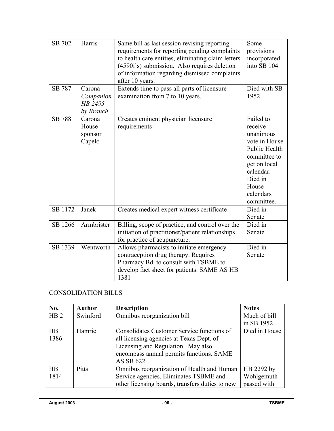| SB 702<br><b>SB 787</b> | Harris<br>Carona<br>Companion        | Same bill as last session revising reporting<br>requirements for reporting pending complaints<br>to health care entities, eliminating claim letters<br>(4590i's) submission. Also requires deletion<br>of information regarding dismissed complaints<br>after 10 years.<br>Extends time to pass all parts of licensure<br>examination from 7 to 10 years. | Some<br>provisions<br>incorporated<br>into SB 104<br>Died with SB<br>1952                                                                                       |
|-------------------------|--------------------------------------|-----------------------------------------------------------------------------------------------------------------------------------------------------------------------------------------------------------------------------------------------------------------------------------------------------------------------------------------------------------|-----------------------------------------------------------------------------------------------------------------------------------------------------------------|
|                         | HB 2495<br>by Branch                 |                                                                                                                                                                                                                                                                                                                                                           |                                                                                                                                                                 |
| <b>SB 788</b>           | Carona<br>House<br>sponsor<br>Capelo | Creates eminent physician licensure<br>requirements                                                                                                                                                                                                                                                                                                       | Failed to<br>receive<br>unanimous<br>vote in House<br>Public Health<br>committee to<br>get on local<br>calendar.<br>Died in<br>House<br>calendars<br>committee. |
| SB 1172                 | Janek                                | Creates medical expert witness certificate                                                                                                                                                                                                                                                                                                                | Died in<br>Senate                                                                                                                                               |
| SB 1266                 | Armbrister                           | Billing, scope of practice, and control over the<br>initiation of practitioner/patient relationships<br>for practice of acupuncture.                                                                                                                                                                                                                      | Died in<br>Senate                                                                                                                                               |
| SB 1339                 | Wentworth                            | Allows pharmacists to initiate emergency<br>contraception drug therapy. Requires<br>Pharmacy Bd. to consult with TSBME to<br>develop fact sheet for patients. SAME AS HB<br>1381                                                                                                                                                                          | Died in<br>Senate                                                                                                                                               |

# CONSOLIDATION BILLS

| No.             | <b>Author</b> | <b>Description</b>                              | <b>Notes</b>  |
|-----------------|---------------|-------------------------------------------------|---------------|
| HB <sub>2</sub> | Swinford      | Omnibus reorganization bill                     | Much of bill  |
|                 |               |                                                 | in SB 1952    |
| HB              | Hamric        | Consolidates Customer Service functions of      | Died in House |
| 1386            |               | all licensing agencies at Texas Dept. of        |               |
|                 |               | Licensing and Regulation. May also              |               |
|                 |               | encompass annual permits functions. SAME        |               |
|                 |               | AS SB 622                                       |               |
| HB              | <b>Pitts</b>  | Omnibus reorganization of Health and Human      | HB 2292 by    |
| 1814            |               | Service agencies. Eliminates TSBME and          | Wohlgemuth    |
|                 |               | other licensing boards, transfers duties to new | passed with   |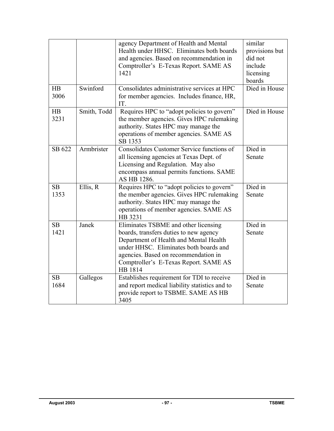|            | Swinford    | agency Department of Health and Mental<br>Health under HHSC. Eliminates both boards<br>and agencies. Based on recommendation in<br>Comptroller's E-Texas Report. SAME AS<br>1421<br>Consolidates administrative services at HPC                                | similar<br>provisions but<br>did not<br>include<br>licensing<br>boards<br>Died in House |
|------------|-------------|----------------------------------------------------------------------------------------------------------------------------------------------------------------------------------------------------------------------------------------------------------------|-----------------------------------------------------------------------------------------|
| HB<br>3006 |             | for member agencies. Includes finance, HR,<br>IT.                                                                                                                                                                                                              |                                                                                         |
| HB<br>3231 | Smith, Todd | Requires HPC to "adopt policies to govern"<br>the member agencies. Gives HPC rulemaking<br>authority. States HPC may manage the<br>operations of member agencies. SAME AS<br>SB 1353                                                                           | Died in House                                                                           |
| SB 622     | Armbrister  | Consolidates Customer Service functions of<br>all licensing agencies at Texas Dept. of<br>Licensing and Regulation. May also<br>encompass annual permits functions. SAME<br>AS HB 1286.                                                                        | Died in<br>Senate                                                                       |
| SB<br>1353 | Ellis, R    | Requires HPC to "adopt policies to govern"<br>the member agencies. Gives HPC rulemaking<br>authority. States HPC may manage the<br>operations of member agencies. SAME AS<br>HB 3231                                                                           | Died in<br>Senate                                                                       |
| SB<br>1421 | Janek       | Eliminates TSBME and other licensing<br>boards, transfers duties to new agency<br>Department of Health and Mental Health<br>under HHSC. Eliminates both boards and<br>agencies. Based on recommendation in<br>Comptroller's E-Texas Report. SAME AS<br>HB 1814 | Died in<br>Senate                                                                       |
| SB<br>1684 | Gallegos    | Establishes requirement for TDI to receive<br>and report medical liability statistics and to<br>provide report to TSBME. SAME AS HB<br>3405                                                                                                                    | Died in<br>Senate                                                                       |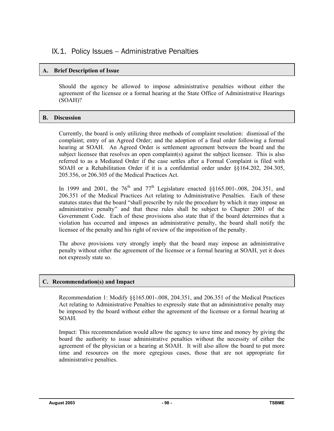# IX.1. Policy Issues – Administrative Penalties

### **A. Brief Description of Issue**

Should the agency be allowed to impose administrative penalties without either the agreement of the licensee or a formal hearing at the State Office of Administrative Hearings (SOAH)?

### **B. Discussion**

Currently, the board is only utilizing three methods of complaint resolution: dismissal of the complaint; entry of an Agreed Order; and the adoption of a final order following a formal hearing at SOAH. An Agreed Order is settlement agreement between the board and the subject licensee that resolves an open complaint(s) against the subject licensee. This is also referred to as a Mediated Order if the case settles after a Formal Complaint is filed with SOAH or a Rehabilitation Order if it is a confidential order under §§164.202, 204.305, 205.356, or 206.305 of the Medical Practices Act.

In 1999 and 2001, the  $76<sup>th</sup>$  and  $77<sup>th</sup>$  Legislature enacted §§165.001-.008, 204.351, and 206.351 of the Medical Practices Act relating to Administrative Penalties. Each of these statutes states that the board "shall prescribe by rule the procedure by which it may impose an administrative penalty" and that these rules shall be subject to Chapter 2001 of the Government Code. Each of these provisions also state that if the board determines that a violation has occurred and imposes an administrative penalty, the board shall notify the licensee of the penalty and his right of review of the imposition of the penalty.

The above provisions very strongly imply that the board may impose an administrative penalty without either the agreement of the licensee or a formal hearing at SOAH, yet it does not expressly state so.

#### **C. Recommendation(s) and Impact**

Recommendation 1: Modify §§165.001-.008, 204.351, and 206.351 of the Medical Practices Act relating to Administrative Penalties to expressly state that an administrative penalty may be imposed by the board without either the agreement of the licensee or a formal hearing at SOAH.

Impact: This recommendation would allow the agency to save time and money by giving the board the authority to issue administrative penalties without the necessity of either the agreement of the physician or a hearing at SOAH. It will also allow the board to put more time and resources on the more egregious cases, those that are not appropriate for administrative penalties.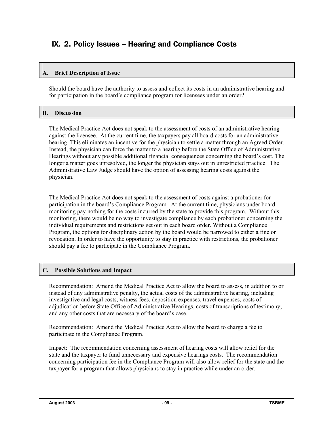# IX. 2. Policy Issues – Hearing and Compliance Costs

### **A. Brief Description of Issue**

Should the board have the authority to assess and collect its costs in an administrative hearing and for participation in the board's compliance program for licensees under an order?

### **B. Discussion**

The Medical Practice Act does not speak to the assessment of costs of an administrative hearing against the licensee. At the current time, the taxpayers pay all board costs for an administrative hearing. This eliminates an incentive for the physician to settle a matter through an Agreed Order. Instead, the physician can force the matter to a hearing before the State Office of Administrative Hearings without any possible additional financial consequences concerning the board's cost. The longer a matter goes unresolved, the longer the physician stays out in unrestricted practice. The Administrative Law Judge should have the option of assessing hearing costs against the physician.

The Medical Practice Act does not speak to the assessment of costs against a probationer for participation in the board's Compliance Program. At the current time, physicians under board monitoring pay nothing for the costs incurred by the state to provide this program. Without this monitoring, there would be no way to investigate compliance by each probationer concerning the individual requirements and restrictions set out in each board order. Without a Compliance Program, the options for disciplinary action by the board would be narrowed to either a fine or revocation. In order to have the opportunity to stay in practice with restrictions, the probationer should pay a fee to participate in the Compliance Program.

#### **C. Possible Solutions and Impact**

Recommendation: Amend the Medical Practice Act to allow the board to assess, in addition to or instead of any administrative penalty, the actual costs of the administrative hearing, including investigative and legal costs, witness fees, deposition expenses, travel expenses, costs of adjudication before State Office of Administrative Hearings, costs of transcriptions of testimony, and any other costs that are necessary of the board's case.

Recommendation: Amend the Medical Practice Act to allow the board to charge a fee to participate in the Compliance Program.

Impact: The recommendation concerning assessment of hearing costs will allow relief for the state and the taxpayer to fund unnecessary and expensive hearings costs. The recommendation concerning participation fee in the Compliance Program will also allow relief for the state and the taxpayer for a program that allows physicians to stay in practice while under an order.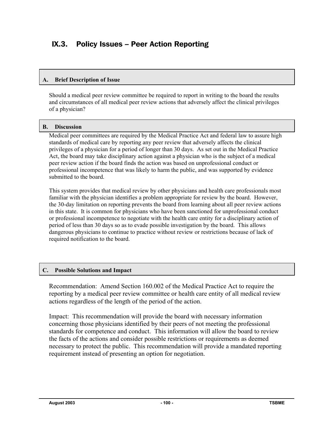# IX.3. Policy Issues – Peer Action Reporting

#### **A. Brief Description of Issue**

Should a medical peer review committee be required to report in writing to the board the results and circumstances of all medical peer review actions that adversely affect the clinical privileges of a physician?

#### **B. Discussion**

Medical peer committees are required by the Medical Practice Act and federal law to assure high standards of medical care by reporting any peer review that adversely affects the clinical privileges of a physician for a period of longer than 30 days. As set out in the Medical Practice Act, the board may take disciplinary action against a physician who is the subject of a medical peer review action if the board finds the action was based on unprofessional conduct or professional incompetence that was likely to harm the public, and was supported by evidence submitted to the board.

This system provides that medical review by other physicians and health care professionals most familiar with the physician identifies a problem appropriate for review by the board. However, the 30-day limitation on reporting prevents the board from learning about all peer review actions in this state. It is common for physicians who have been sanctioned for unprofessional conduct or professional incompetence to negotiate with the health care entity for a disciplinary action of period of less than 30 days so as to evade possible investigation by the board. This allows dangerous physicians to continue to practice without review or restrictions because of lack of required notification to the board.

#### **C. Possible Solutions and Impact**

Recommendation: Amend Section 160.002 of the Medical Practice Act to require the reporting by a medical peer review committee or health care entity of all medical review actions regardless of the length of the period of the action.

Impact: This recommendation will provide the board with necessary information concerning those physicians identified by their peers of not meeting the professional standards for competence and conduct. This information will allow the board to review the facts of the actions and consider possible restrictions or requirements as deemed necessary to protect the public. This recommendation will provide a mandated reporting requirement instead of presenting an option for negotiation.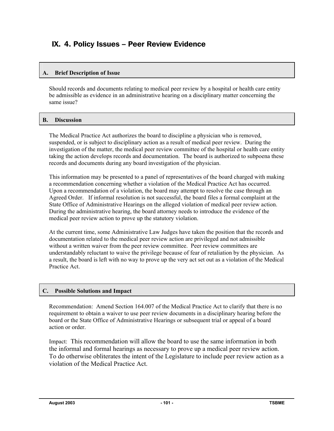# IX. 4. Policy Issues – Peer Review Evidence

### **A. Brief Description of Issue**

Should records and documents relating to medical peer review by a hospital or health care entity be admissible as evidence in an administrative hearing on a disciplinary matter concerning the same issue?

### **B. Discussion**

The Medical Practice Act authorizes the board to discipline a physician who is removed, suspended, or is subject to disciplinary action as a result of medical peer review. During the investigation of the matter, the medical peer review committee of the hospital or health care entity taking the action develops records and documentation. The board is authorized to subpoena these records and documents during any board investigation of the physician.

This information may be presented to a panel of representatives of the board charged with making a recommendation concerning whether a violation of the Medical Practice Act has occurred. Upon a recommendation of a violation, the board may attempt to resolve the case through an Agreed Order. If informal resolution is not successful, the board files a formal complaint at the State Office of Administrative Hearings on the alleged violation of medical peer review action. During the administrative hearing, the board attorney needs to introduce the evidence of the medical peer review action to prove up the statutory violation.

At the current time, some Administrative Law Judges have taken the position that the records and documentation related to the medical peer review action are privileged and not admissible without a written waiver from the peer review committee. Peer review committees are understandably reluctant to waive the privilege because of fear of retaliation by the physician. As a result, the board is left with no way to prove up the very act set out as a violation of the Medical Practice Act.

#### **C. Possible Solutions and Impact**

Recommendation: Amend Section 164.007 of the Medical Practice Act to clarify that there is no requirement to obtain a waiver to use peer review documents in a disciplinary hearing before the board or the State Office of Administrative Hearings or subsequent trial or appeal of a board action or order.

Impact: This recommendation will allow the board to use the same information in both the informal and formal hearings as necessary to prove up a medical peer review action. To do otherwise obliterates the intent of the Legislature to include peer review action as a violation of the Medical Practice Act.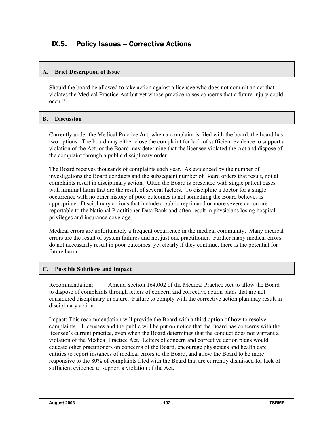# IX.5. Policy Issues – Corrective Actions

#### **A. Brief Description of Issue**

Should the board be allowed to take action against a licensee who does not commit an act that violates the Medical Practice Act but yet whose practice raises concerns that a future injury could occur?

### **B. Discussion**

Currently under the Medical Practice Act, when a complaint is filed with the board, the board has two options. The board may either close the complaint for lack of sufficient evidence to support a violation of the Act, or the Board may determine that the licensee violated the Act and dispose of the complaint through a public disciplinary order.

The Board receives thousands of complaints each year. As evidenced by the number of investigations the Board conducts and the subsequent number of Board orders that result, not all complaints result in disciplinary action. Often the Board is presented with single patient cases with minimal harm that are the result of several factors. To discipline a doctor for a single occurrence with no other history of poor outcomes is not something the Board believes is appropriate. Disciplinary actions that include a public reprimand or more severe action are reportable to the National Practitioner Data Bank and often result in physicians losing hospital privileges and insurance coverage.

Medical errors are unfortunately a frequent occurrence in the medical community. Many medical errors are the result of system failures and not just one practitioner. Further many medical errors do not necessarily result in poor outcomes, yet clearly if they continue, there is the potential for future harm.

#### **C. Possible Solutions and Impact**

Recommendation: Amend Section 164.002 of the Medical Practice Act to allow the Board to dispose of complaints through letters of concern and corrective action plans that are not considered disciplinary in nature. Failure to comply with the corrective action plan may result in disciplinary action.

Impact: This recommendation will provide the Board with a third option of how to resolve complaints. Licensees and the public will be put on notice that the Board has concerns with the licensee's current practice, even when the Board determines that the conduct does not warrant a violation of the Medical Practice Act. Letters of concern and corrective action plans would educate other practitioners on concerns of the Board, encourage physicians and health care entities to report instances of medical errors to the Board, and allow the Board to be more responsive to the 80% of complaints filed with the Board that are currently dismissed for lack of sufficient evidence to support a violation of the Act.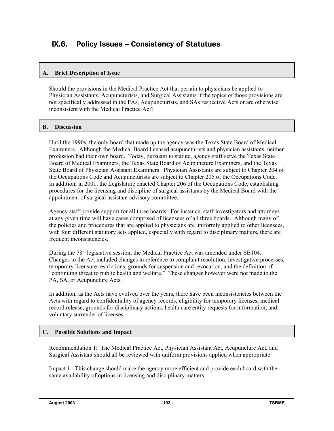# IX.6. Policy Issues – Consistency of Statutues

#### **A. Brief Description of Issue**

Should the provisions in the Medical Practice Act that pertain to physicians be applied to Physician Assistants, Acupuncturists, and Surgical Assistants if the topics of those provisions are not specifically addressed in the PAs, Acupuncturists, and SAs respective Acts or are otherwise inconsistent with the Medical Practice Act?

#### **B. Discussion**

Until the 1990s, the only board that made up the agency was the Texas State Board of Medical Examiners. Although the Medical Board licensed acupuncturists and physician assistants, neither profession had their own board. Today, pursuant to statute, agency staff serve the Texas State Board of Medical Examiners, the Texas State Board of Acupuncture Examiners, and the Texas State Board of Physician Assistant Examiners. Physician Assistants are subject to Chapter 204 of the Occupations Code and Acupuncturists are subject to Chapter 205 of the Occupations Code. In addition, in 2001, the Legislature enacted Chapter 206 of the Occupations Code, establishing procedures for the licensing and discipline of surgical assistants by the Medical Board with the appointment of surgical assistant advisory committee.

Agency staff provide support for all three boards. For instance, staff investigators and attorneys at any given time will have cases comprised of licensees of all three boards. Although many of the policies and procedures that are applied to physicians are uniformly applied to other licensees, with four different statutory acts applied, especially with regard to disciplinary matters, there are frequent inconsistencies.

During the 78<sup>th</sup> legislative session, the Medical Practice Act was amended under SB104. Changes to the Act included changes in reference to complaint resolution, investigative processes, temporary licensure restrictions, grounds for suspension and revocation, and the definition of "continuing threat to public health and welfare." These changes however were not made to the PA, SA, or Acupuncture Acts.

In addition, as the Acts have evolved over the years, there have been inconsistencies between the Acts with regard to confidentiality of agency records, eligibility for temporary licenses, medical record release, grounds for disciplinary actions, health care entity requests for information, and voluntary surrender of licenses.

#### **C. Possible Solutions and Impact**

Recommendation 1: The Medical Practice Act, Physician Assistant Act, Acupuncture Act, and Surgical Assistant should all be reviewed with uniform provisions applied when appropriate.

Impact 1: This change should make the agency more efficient and provide each board with the same availability of options in licensing and disciplinary matters.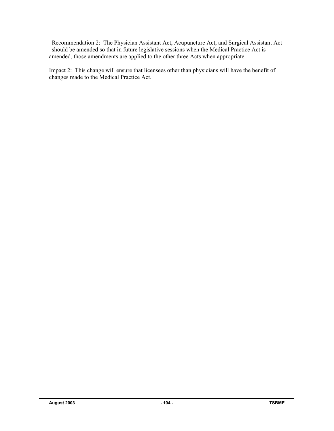Recommendation 2: The Physician Assistant Act, Acupuncture Act, and Surgical Assistant Act should be amended so that in future legislative sessions when the Medical Practice Act is amended, those amendments are applied to the other three Acts when appropriate.

Impact 2: This change will ensure that licensees other than physicians will have the benefit of changes made to the Medical Practice Act.